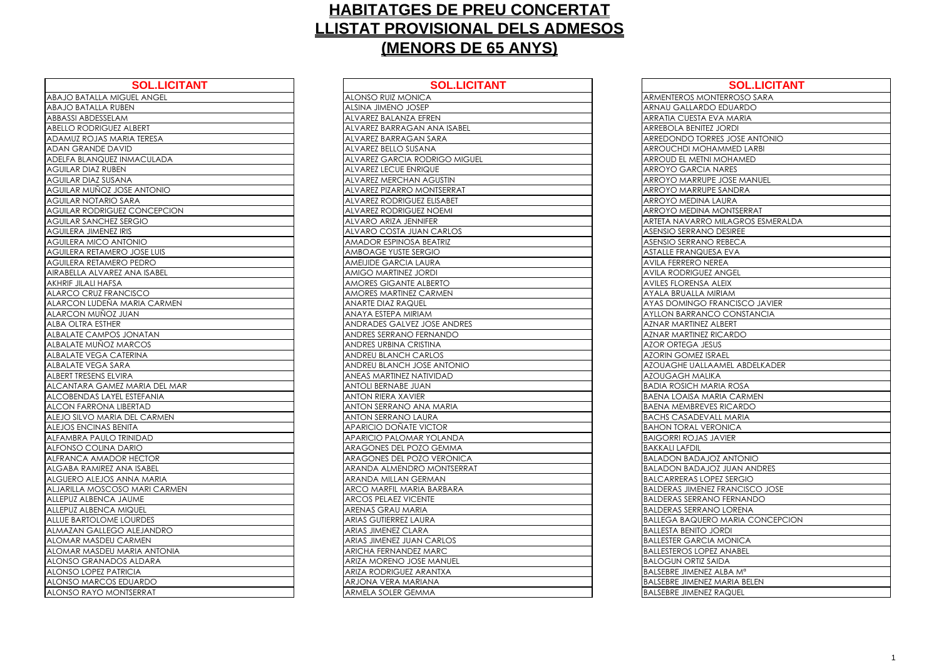| <b>SOL.LICITANT</b>                 | <b>SOL.LIC</b>                     |
|-------------------------------------|------------------------------------|
| <b>ABAJO BATALLA MIGUEL ANGEL</b>   | <b>ALONSO RUIZ MONICA</b>          |
| <b>ABAJO BATALLA RUBEN</b>          | <b>ALSINA JIMENO JOSEP</b>         |
| ABBASSI ABDESSELAM                  | ALVAREZ BALANZA EFREN              |
| <b>ABELLO RODRIGUEZ ALBERT</b>      | ALVAREZ BARRAGAN ANA ISABEL        |
| ADAMUZ ROJAS MARIA TERESA           | ALVAREZ BARRAGAN SARA              |
| ADAN GRANDE DAVID                   | ALVAREZ BELLO SUSANA               |
| ADELFA BLANQUEZ INMACULADA          | <b>ALVAREZ GARCIA RODRIGO MIGI</b> |
| <b>AGUILAR DIAZ RUBEN</b>           | <b>ALVAREZ LECUE ENRIQUE</b>       |
| <b>AGUILAR DIAZ SUSANA</b>          | <b>ALVAREZ MERCHAN AGUSTIN</b>     |
| AGUILAR MUÑOZ JOSE ANTONIO          | ALVAREZ PIZARRO MONTSERRAT         |
| <b>AGUILAR NOTARIO SARA</b>         | ALVAREZ RODRIGUEZ ELISABET         |
| <b>AGUILAR RODRIGUEZ CONCEPCION</b> | <b>ALVAREZ RODRIGUEZ NOEMI</b>     |
| <b>AGUILAR SANCHEZ SERGIO</b>       | <b>ALVARO ARIZA JENNIFER</b>       |
| <b>AGUILERA JIMENEZ IRIS</b>        | <b>ALVARO COSTA JUAN CARLOS</b>    |
| <b>AGUILERA MICO ANTONIO</b>        | AMADOR ESPINOSA BEATRIZ            |
| AGUILERA RETAMERO JOSE LUIS         | AMBOAGE YUSTE SERGIO               |
| <b>AGUILERA RETAMERO PEDRO</b>      | <b>AMEIJIDE GARCIA LAURA</b>       |
| AIRABELLA ALVAREZ ANA ISABEL        | AMIGO MARTINEZ JORDI               |
| <b>AKHRIF JILALI HAFSA</b>          | AMORES GIGANTE ALBERTO             |
| <b>ALARCO CRUZ FRANCISCO</b>        | <b>AMORES MARTINEZ CARMEN</b>      |
| ALARCON LUDEÑA MARIA CARMEN         | <b>ANARTE DIAZ RAQUEL</b>          |
| ALARCON MUÑOZ JUAN                  | ANAYA ESTEPA MIRIAM                |
| <b>ALBA OLTRA ESTHER</b>            | ANDRADES GALVEZ JOSE ANDRES        |
| <b>ALBALATE CAMPOS JONATAN</b>      | ANDRES SERRANO FERNANDO            |
| ALBALATE MUNOZ MARCOS               | ANDRES URBINA CRISTINA             |
| ALBALATE VEGA CATERINA              | ANDREU BLANCH CARLOS               |
| ALBALATE VEGA SARA                  | ANDREU BLANCH JOSE ANTONIO         |
| ALBERT TRESENS ELVIRA               | ANEAS MARTINEZ NATIVIDAD           |
| ALCANTARA GAMEZ MARIA DEL MAR       | <b>ANTOLI BERNABE JUAN</b>         |
| ALCOBENDAS LAYEL ESTEFANIA          | <b>ANTON RIERA XAVIER</b>          |
| <b>ALCON FARRONA LIBERTAD</b>       | ANTON SERRANO ANA MARIA            |
| ALEJO SILVO MARIA DEL CARMEN        | ANTON SERRANO LAURA                |
| ALEJOS ENCINAS BENITA               | APARICIO DOÑATE VICTOR             |
| ALFAMBRA PAULO TRINIDAD             | <b>APARICIO PALOMAR YOLANDA</b>    |
| <b>ALFONSO COLINA DARIO</b>         | <b>ARAGONES DEL POZO GEMMA</b>     |
| ALFRANCA AMADOR HECTOR              | <b>ARAGONES DEL POZO VERONICA</b>  |
| ALGABA RAMIREZ ANA ISABEL           | ARANDA ALMENDRO MONTSERRA          |
| ALGUERO ALEJOS ANNA MARIA           | <b>ARANDA MILLAN GERMAN</b>        |
| ALJARILLA MOSCOSO MARI CARMEN       | ARCO MARFIL MARIA BARBARA          |
| ALLEPUZ ALBENCA JAUME               | <b>ARCOS PELAEZ VICENTE</b>        |
| ALLEPUZ ALBENCA MIQUEL              | <b>ARENAS GRAU MARIA</b>           |
| <b>ALLUE BARTOLOME LOURDES</b>      | <b>ARIAS GUTIERREZ LAURA</b>       |
| ALMAZAN GALLEGO ALEJANDRO           | <b>ARIAS JIMENEZ CLARA</b>         |
| ALOMAR MASDEU CARMEN                | ARIAS JIMENEZ JUAN CARLOS          |
| ALOMAR MASDEU MARIA ANTONIA         | ARICHA FERNANDEZ MARC              |
| <b>ALONSO GRANADOS ALDARA</b>       | <b>ARIZA MORENO JOSE MANUEL</b>    |
| ALONSO LOPEZ PATRICIA               | <b>ARIZA RODRIGUEZ ARANTXA</b>     |
| ALONSO MARCOS EDUARDO               | ARJONA VERA MARIANA                |
| ALONSO RAYO MONTSERRAT              | ARMELA SOLER GEMMA                 |

| <b>SOL.LICITANT</b>   | <b>SOL.LICITANT</b>               | <b>SOL.LICITANT</b>                     |
|-----------------------|-----------------------------------|-----------------------------------------|
| <b>IIGUEL ANGEL</b>   | <b>ALONSO RUIZ MONICA</b>         | ARMENTEROS MONTERROSO SARA              |
| UBEN                  | ALSINA JIMENO JOSEP               | <b>ARNAU GALLARDO EDUARDO</b>           |
| AM                    | ALVAREZ BALANZA EFREN             | ARRATIA CUESTA EVA MARIA                |
| Z ALBERT              | ALVAREZ BARRAGAN ANA ISABEL       | <b>ARREBOLA BENITEZ JORDI</b>           |
| <b>ARIA TERESA</b>    | ALVAREZ BARRAGAN SARA             | ARREDONDO TORRES JOSE ANTONIO           |
| <b>NV</b>             | ALVAREZ BELLO SUSANA              | <b>ARROUCHDI MOHAMMED LARBI</b>         |
| INMACULADA            | ALVAREZ GARCIA RODRIGO MIGUEL     | ARROUD EL METNI MOHAMED                 |
| EN                    | ALVAREZ LECUE ENRIQUE             | <b>ARROYO GARCIA NARES</b>              |
| ANA                   | ALVAREZ MERCHAN AGUSTIN           | <b>ARROYO MARRUPE JOSE MANUEL</b>       |
| <b>IOSE ANTONIO</b>   | ALVAREZ PIZARRO MONTSERRAT        | ARROYO MARRUPE SANDRA                   |
| SARA                  | <b>ALVAREZ RODRIGUEZ ELISABET</b> | <b>ARROYO MEDINA LAURA</b>              |
| <b>JEZ CONCEPCION</b> | ALVAREZ RODRIGUEZ NOEMI           | <b>ARROYO MEDINA MONTSERRAT</b>         |
| SERGIO                | ALVARO ARIZA JENNIFER             | ARTETA NAVARRO MILAGROS ESMERALDA       |
| IRIS                  | ALVARO COSTA JUAN CARLOS          | ASENSIO SERRANO DESIREE                 |
| <b>OINOTA</b>         | <b>AMADOR ESPINOSA BEATRIZ</b>    | <b>ASENSIO SERRANO REBECA</b>           |
| RO JOSE LUIS          | AMBOAGE YUSTE SERGIO              | ASTALLE FRANQUESA EVA                   |
| RO PEDRO              | <b>AMEIJIDE GARCIA LAURA</b>      | <b>AVILA FERRERO NEREA</b>              |
| EZ ANA ISABEL         | AMIGO MARTINEZ JORDI              | <b>AVILA RODRIGUEZ ANGEL</b>            |
| A                     | <b>AMORES GIGANTE ALBERTO</b>     | <b>AVILES FLORENSA ALEIX</b>            |
| ANCISCO               | AMORES MARTINEZ CARMEN            | <b>AYALA BRUALLA MIRIAM</b>             |
| <b>MARIA CARMEN</b>   | <b>ANARTE DIAZ RAQUEL</b>         | AYAS DOMINGO FRANCISCO JAVIER           |
| JUAN                  | ANAYA ESTEPA MIRIAM               | <b>AYLLON BARRANCO CONSTANCIA</b>       |
| R.                    | ANDRADES GALVEZ JOSE ANDRES       | <b>AZNAR MARTINEZ ALBERT</b>            |
| S JONATAN             | ANDRES SERRANO FERNANDO           | <b>AZNAR MARTINEZ RICARDO</b>           |
| <b>MARCOS</b>         | ANDRES URBINA CRISTINA            | <b>AZOR ORTEGA JESUS</b>                |
| <b>ATERINA</b>        | <b>ANDREU BLANCH CARLOS</b>       | <b>AZORIN GOMEZ ISRAEL</b>              |
| ARA                   | <b>ANDREU BLANCH JOSE ANTONIO</b> | AZOUAGHE UALLAAMEL ABDELKADER           |
| VIRA                  | ANEAS MARTINEZ NATIVIDAD          | <b>AZOUGAGH MALIKA</b>                  |
| EZ MARIA DEL MAR      | <b>ANTOLI BERNABE JUAN</b>        | <b>BADIA ROSICH MARIA ROSA</b>          |
| EL ESTEFANIA          | <b>ANTON RIERA XAVIER</b>         | <b>BAENA LOAISA MARIA CARMEN</b>        |
| LIBERTAD              | ANTON SERRANO ANA MARIA           | <b>BAENA MEMBREVES RICARDO</b>          |
| A DEL CARMEN          | <b>ANTON SERRANO LAURA</b>        | <b>BACHS CASADEVALL MARIA</b>           |
| ENITA                 | APARICIO DOÑATE VICTOR            | <b>BAHON TORAL VERONICA</b>             |
| <b>TRINIDAD</b>       | APARICIO PALOMAR YOLANDA          | <b>BAIGORRI ROJAS JAVIER</b>            |
| <b>DARIO</b>          | ARAGONES DEL POZO GEMMA           | <b>BAKKALI LAFDIL</b>                   |
| OR HECTOR             | ARAGONES DEL POZO VERONICA        | <b>BALADON BADAJOZ ANTONIO</b>          |
| ANA ISABEL            | ARANDA ALMENDRO MONTSERRAT        | <b>BALADON BADAJOZ JUAN ANDRES</b>      |
| ANNA MARIA            | ARANDA MILLAN GERMAN              | <b>BALCARRERAS LOPEZ SERGIO</b>         |
| <b>SO MARI CARMEN</b> | ARCO MARFIL MARIA BARBARA         | <b>BALDERAS JIMENEZ FRANCISCO JOSE</b>  |
| JAUME                 | <b>ARCOS PELAEZ VICENTE</b>       | <b>BALDERAS SERRANO FERNANDO</b>        |
| <b>MIQUEL</b>         | ARENAS GRAU MARIA                 | <b>BALDERAS SERRANO LORENA</b>          |
| ELOURDES              | <b>ARIAS GUTIERREZ LAURA</b>      | <b>BALLEGA BAQUERO MARIA CONCEPCION</b> |
| O ALEJANDRO           | <b>ARIAS JIMENEZ CLARA</b>        | <b>BALLESTA BENITO JORDI</b>            |
| <b>CARMEN</b>         | ARIAS JIMENEZ JUAN CARLOS         | <b>BALLESTER GARCIA MONICA</b>          |
| <b>MARIA ANTONIA</b>  | ARICHA FERNANDEZ MARC             | <b>BALLESTEROS LOPEZ ANABEL</b>         |
| OS ALDARA             | ARIZA MORENO JOSE MANUEL          | <b>BALOGUN ORTIZ SAIDA</b>              |
| <b>TRICIA</b>         | ARIZA RODRIGUEZ ARANTXA           | BALSEBRE JIMENEZ ALBA Mª                |
| EDUARDO               | ARJONA VERA MARIANA               | <b>BALSEBRE JIMENEZ MARIA BELEN</b>     |
| <b>DNTSERRAT</b>      | ARMELA SOLER GEMMA                | <b>BALSEBRE JIMENEZ RAQUEL</b>          |

| <b>ARMENTEROS MO</b>                    |
|-----------------------------------------|
| ARNAU GALLARD                           |
| <b>ARRATIA CUESTA</b>                   |
| <b>ARREBOLA BENITI</b>                  |
| ARREDONDO TO                            |
| ARROUCHDI MO                            |
| ARROUD EL METN                          |
| <b>ARROYO GARCI</b>                     |
| ARROYO MARRU                            |
| ARROYO MARRU                            |
| ARROYO MEDINA                           |
| <b>ARROYO MEDINA</b>                    |
| ARTETA NAVARR                           |
| <b>ASENSIO SERRAN</b>                   |
| <b>ASENSIO SERRAN</b>                   |
| <b>ASTALLE FRANQU</b>                   |
| <b>AVILA FERRERON</b>                   |
| <b>AVILA RODRIGUE</b>                   |
| <b>AVILES FLORENSA</b>                  |
| AYALA BRUALLA                           |
| <b>AYAS DOMINGO</b>                     |
| <b>AYLLON BARRAN</b>                    |
| <b>AZNAR MARTINEZ</b>                   |
| <b>AZNAR MARTINEZ</b><br>AZOR ORTEGA JE |
| drin Gomez i<br><b>AZC</b>              |
| <b>AZOUAGHE UALL</b>                    |
| AZOUGAGH MAI                            |
| <b>BADIA ROSICH M</b>                   |
| <b>BAENA LOAISA M</b>                   |
| <b>BAENA MEMBREV</b>                    |
| <b>BACHS CASADEV</b>                    |
| <b>BAHON TORAL</b> V                    |
| <b>BAIGORRI ROJAS</b>                   |
| <b>BAKKALI LAFDIL</b>                   |
| <b>ON BADA</b><br>BALAL                 |
| <b>BALADON BADA</b>                     |
| <b>ARRERAS LO</b><br>BALC               |
| <b>BALDERAS JIMEN</b>                   |
| <b>BALDERAS SERRA</b>                   |
| <b>BALDERAS SERRA</b>                   |
| <b>BALLEGA BAQUE</b>                    |
| :STA BENITO<br>BALLE                    |
| <b>BALLESTER GARC</b>                   |
| <b>BALLESTEROS LOF</b>                  |
| <b>BALOGUN ORTIZ</b>                    |
| <b>BALSEBRE JIMENE</b>                  |
| BALSEBRE JIMENE                         |
| BALSEBRE JIMENE                         |

| <b>SOL.LICITANT</b>                 |
|-------------------------------------|
| NTERROSO SARA                       |
| O EDUARDO                           |
| <u>EVA MARIA</u>                    |
| z Jordi                             |
| <b>RES JOSE ANTONIO</b>             |
| <b>AMMED LARBI</b>                  |
| <b>MOHAMED</b>                      |
| <b>NARES</b>                        |
| <b>E JOSE MANUEL</b>                |
| <b>E SANDRA</b>                     |
| LAURA                               |
| <b>MONTSERRAT</b>                   |
| <b>MILAGROS ESMERALDA</b>           |
| D De <u>siree</u>                   |
| REBECA                              |
| <b>ESA EVA</b>                      |
| EREA                                |
| <b>ANGEL</b>                        |
| <b>ALEIX</b>                        |
| <b>AIRIAM</b>                       |
| <b>FRANCISCO JAVIER</b>             |
| CO CONSTANCIA                       |
| <b>ALBERT</b>                       |
| <b>RICARDO</b>                      |
| $\overline{\overline{\text{s}}}$ US |
| <b>RAEL</b>                         |
| AAMEL ABDELKADER                    |
| KА                                  |
| ARIA ROSA                           |
| ARIA CARMEN                         |
| ES RICARDO                          |
| ALL MARIA                           |
| RONICA                              |
| <b>JAVIER</b>                       |
|                                     |
| <b>OZ ANTONIO</b>                   |
| OZ JUAN ANDRES                      |
| PEZ SERGIO                          |
| Z FRANCISCO JOSE                    |
| <b>JO FERNANDO</b>                  |
| <b>JO LORENA</b>                    |
| O MARIA CONCEPCION                  |
| Jordi                               |
| A MONICA                            |
| EZ ANABEL                           |
| <b>AIDA</b>                         |
| ALBA M <sup>a</sup>                 |
| MARIA BELEN                         |
| <b>RAQUEL</b>                       |
|                                     |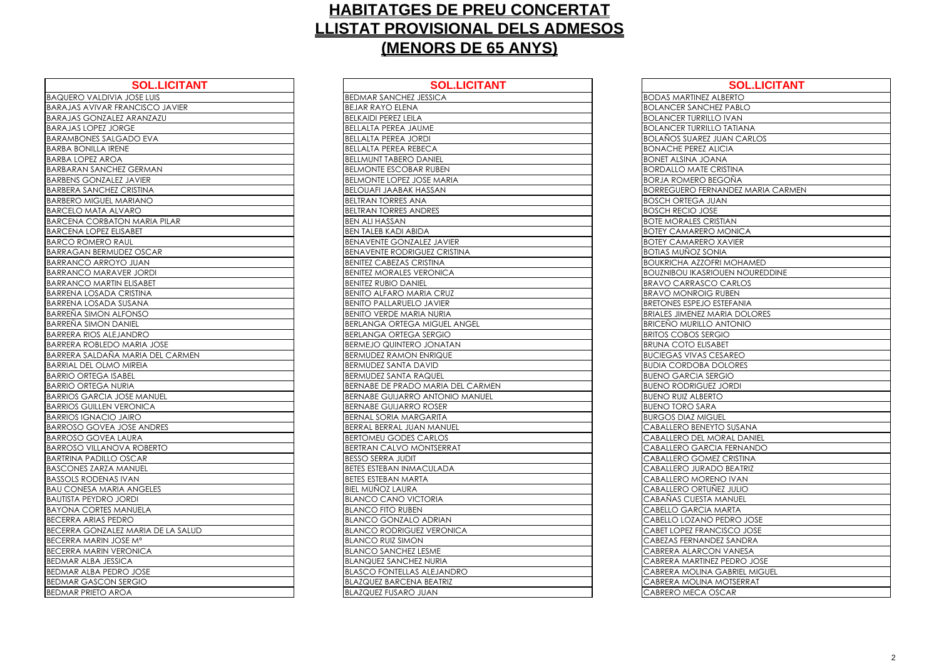| <b>SOL.LICITANT</b>                    | <b>SOL.LIC</b>                      |
|----------------------------------------|-------------------------------------|
| <b>BAQUERO VALDIVIA JOSE LUIS</b>      | BEDMAR SANCHEZ JESSICA              |
| <b>BARAJAS AVIVAR FRANCISCO JAVIER</b> | <b>BEJAR RAYO ELENA</b>             |
| <b>BARAJAS GONZALEZ ARANZAZU</b>       | <b>BELKAIDI PEREZ LEILA</b>         |
| <b>BARAJAS LOPEZ JORGE</b>             | BELLALTA PEREA JAUME                |
| <b>BARAMBONES SALGADO EVA</b>          | <b>BELLALTA PEREA JORDI</b>         |
| <b>BARBA BONILLA IRENE</b>             | <b>BELLALTA PEREA REBECA</b>        |
| <b>BARBA LOPEZ AROA</b>                | <b>BELLMUNT TABERO DANIEL</b>       |
| <b>BARBARAN SANCHEZ GERMAN</b>         | <b>BELMONTE ESCOBAR RUBEN</b>       |
| <b>BARBENS GONZALEZ JAVIER</b>         | <b>BELMONTE LOPEZ JOSE MARIA</b>    |
| <b>BARBERA SANCHEZ CRISTINA</b>        | <b>BELOUAFI JAABAK HASSAN</b>       |
| <b>BARBERO MIGUEL MARIANO</b>          | <b>BELTRAN TORRES ANA</b>           |
| <b>BARCELO MATA ALVARO</b>             | <b>BELTRAN TORRES ANDRES</b>        |
| <b>BARCENA CORBATON MARIA PILAR</b>    | <b>BEN ALI HASSAN</b>               |
| <b>BARCENA LOPEZ ELISABET</b>          | <b>BEN TALEB KADI ABIDA</b>         |
| <b>BARCO ROMERO RAUL</b>               | <b>BENAVENTE GONZALEZ JAVIER</b>    |
| <b>BARRAGAN BERMUDEZ OSCAR</b>         | <b>BENAVENTE RODRIGUEZ CRISTINA</b> |
| <b>BARRANCO ARROYO JUAN</b>            | <b>BENITEZ CABEZAS CRISTINA</b>     |
| <b>BARRANCO MARAVER JORDI</b>          | <b>BENITEZ MORALES VERONICA</b>     |
| <b>BARRANCO MARTIN ELISABET</b>        | <b>BENITEZ RUBIO DANIEL</b>         |
| <b>BARRENA LOSADA CRISTINA</b>         | <b>BENITO ALFARO MARIA CRUZ</b>     |
| <b>BARRENA LOSADA SUSANA</b>           | <b>BENITO PALLARUELO JAVIER</b>     |
| <b>BARREÑA SIMON ALFONSO</b>           | <b>BENITO VERDE MARIA NURIA</b>     |
| <b>BARRENA SIMON DANIEL</b>            | <b>BERLANGA ORTEGA MIGUEL ANG</b>   |
| <b>BARRERA RIOS ALEJANDRO</b>          | <b>BERLANGA ORTEGA SERGIO</b>       |
| <b>BARRERA ROBLEDO MARIA JOSE</b>      | <b>BERMEJO QUINTERO JONATAN</b>     |
| BARRERA SALDANA MARIA DEL CARMEN       | <b>BERMUDEZ RAMON ENRIQUE</b>       |
| <b>BARRIAL DEL OLMO MIREIA</b>         | <b>BERMUDEZ SANTA DAVID</b>         |
| <b>BARRIO ORTEGA ISABEL</b>            | BERMUDEZ SANTA RAQUEL               |
| <b>BARRIO ORTEGA NURIA</b>             | BERNABE DE PRADO MARIA DEL O        |
| <b>BARRIOS GARCIA JOSE MANUEL</b>      | <b>BERNABE GUIJARRO ANTONIO M.</b>  |
| <b>BARRIOS GUILLEN VERONICA</b>        | <b>BERNABE GUIJARRO ROSER</b>       |
| <b>BARRIOS IGNACIO JAIRO</b>           | <b>BERNAL SORIA MARGARITA</b>       |
| <b>BARROSO GOVEA JOSE ANDRES</b>       | BERRAL BERRAL JUAN MANUEL           |
| <b>BARROSO GOVEA LAURA</b>             | <b>BERTOMEU GODES CARLOS</b>        |
| <b>BARROSO VILLANOVA ROBERTO</b>       | BERTRAN CALVO MONTSERRAT            |
| <b>BARTRINA PADILLO OSCAR</b>          | <b>BESSO SERRA JUDIT</b>            |
| <b>BASCONES ZARZA MANUEL</b>           | <b>BETES ESTEBAN INMACULADA</b>     |
| <b>BASSOLS RODENAS IVAN</b>            | <b>BETES ESTEBAN MARTA</b>          |
| <b>BAU CONESA MARIA ANGELES</b>        | <b>BIEL MUÑOZ LAURA</b>             |
| <b>BAUTISTA PEYDRO JORDI</b>           | <b>BLANCO CANO VICTORIA</b>         |
| <b>BAYONA CORTES MANUELA</b>           | <b>BLANCO FITO RUBEN</b>            |
| <b>BECERRA ARIAS PEDRO</b>             | <b>BLANCO GONZALO ADRIAN</b>        |
| BECERRA GONZALEZ MARIA DE LA SALUD     | <b>BLANCO RODRIGUEZ VERONICA</b>    |
| <b>BECERRA MARIN JOSE Ma</b>           | <b>BLANCO RUIZ SIMON</b>            |
| <b>BECERRA MARIN VERONICA</b>          | <b>BLANCO SANCHEZ LESME</b>         |
| <b>BEDMAR ALBA JESSICA</b>             | <b>BLANQUEZ SANCHEZ NURIA</b>       |
| BEDMAR ALBA PEDRO JOSE                 | <b>BLASCO FONTELLAS ALEJANDRO</b>   |
| <b>BEDMAR GASCON SERGIO</b>            | <b>BLAZQUEZ BARCENA BEATRIZ</b>     |
| <b>BEDMAR PRIETO AROA</b>              | <b>BLAZQUEZ FUSARO JUAN</b>         |

| <b>SOL.LICITANT</b>                 | <b>SOL.LICITANT</b>                                                                                                                                                                                                                                                                                                                                                                                                                                                                                                                                                                                                                                                                                                                                                                                       |
|-------------------------------------|-----------------------------------------------------------------------------------------------------------------------------------------------------------------------------------------------------------------------------------------------------------------------------------------------------------------------------------------------------------------------------------------------------------------------------------------------------------------------------------------------------------------------------------------------------------------------------------------------------------------------------------------------------------------------------------------------------------------------------------------------------------------------------------------------------------|
| <b>BEDMAR SANCHEZ JESSICA</b>       | <b>BODAS MARTINEZ ALBERTO</b>                                                                                                                                                                                                                                                                                                                                                                                                                                                                                                                                                                                                                                                                                                                                                                             |
| <b>BEJAR RAYO ELENA</b>             | <b>BOLANCER SANCHEZ PABLO</b>                                                                                                                                                                                                                                                                                                                                                                                                                                                                                                                                                                                                                                                                                                                                                                             |
| <b>BELKAIDI PEREZ LEILA</b>         | <b>BOLANCER TURRILLO IVAN</b>                                                                                                                                                                                                                                                                                                                                                                                                                                                                                                                                                                                                                                                                                                                                                                             |
| <b>BELLALTA PEREA JAUME</b>         | <b>BOLANCER TURRILLO TATIANA</b>                                                                                                                                                                                                                                                                                                                                                                                                                                                                                                                                                                                                                                                                                                                                                                          |
| <b>BELLALTA PEREA JORDI</b>         | <b>BOLAÑOS SUAREZ JUAN CARLOS</b>                                                                                                                                                                                                                                                                                                                                                                                                                                                                                                                                                                                                                                                                                                                                                                         |
| <b>BELLALTA PEREA REBECA</b>        | <b>BONACHE PEREZ ALICIA</b>                                                                                                                                                                                                                                                                                                                                                                                                                                                                                                                                                                                                                                                                                                                                                                               |
| <b>BELLMUNT TABERO DANIEL</b>       | <b>BONET ALSINA JOANA</b>                                                                                                                                                                                                                                                                                                                                                                                                                                                                                                                                                                                                                                                                                                                                                                                 |
| <b>BELMONTE ESCOBAR RUBEN</b>       | <b>BORDALLO MATE CRISTINA</b>                                                                                                                                                                                                                                                                                                                                                                                                                                                                                                                                                                                                                                                                                                                                                                             |
| <b>BELMONTE LOPEZ JOSE MARIA</b>    | <b>BORJA ROMERO BEGOÑA</b>                                                                                                                                                                                                                                                                                                                                                                                                                                                                                                                                                                                                                                                                                                                                                                                |
| <b>BELOUAFI JAABAK HASSAN</b>       | <b>BORREGUERO FERNANDEZ MARIA CARMEN</b>                                                                                                                                                                                                                                                                                                                                                                                                                                                                                                                                                                                                                                                                                                                                                                  |
| BELTRAN TORRES ANA                  | <b>BOSCH ORTEGA JUAN</b>                                                                                                                                                                                                                                                                                                                                                                                                                                                                                                                                                                                                                                                                                                                                                                                  |
| <b>BELTRAN TORRES ANDRES</b>        | <b>BOSCH RECIO JOSE</b>                                                                                                                                                                                                                                                                                                                                                                                                                                                                                                                                                                                                                                                                                                                                                                                   |
| <b>BEN ALI HASSAN</b>               | <b>BOTE MORALES CRISTIAN</b>                                                                                                                                                                                                                                                                                                                                                                                                                                                                                                                                                                                                                                                                                                                                                                              |
| <b>BEN TALEB KADI ABIDA</b>         | <b>BOTEY CAMARERO MONICA</b>                                                                                                                                                                                                                                                                                                                                                                                                                                                                                                                                                                                                                                                                                                                                                                              |
| <b>BENAVENTE GONZALEZ JAVIER</b>    | <b>BOTEY CAMARERO XAVIER</b>                                                                                                                                                                                                                                                                                                                                                                                                                                                                                                                                                                                                                                                                                                                                                                              |
| <b>BENAVENTE RODRIGUEZ CRISTINA</b> | <b>BOTIAS MUÑOZ SONIA</b>                                                                                                                                                                                                                                                                                                                                                                                                                                                                                                                                                                                                                                                                                                                                                                                 |
| <b>BENITEZ CABEZAS CRISTINA</b>     | <b>BOUKRICHA AZZOFRI MOHAMED</b>                                                                                                                                                                                                                                                                                                                                                                                                                                                                                                                                                                                                                                                                                                                                                                          |
| <b>BENITEZ MORALES VERONICA</b>     | <b>BOUZNIBOU IKASRIOUEN NOUREDDINE</b>                                                                                                                                                                                                                                                                                                                                                                                                                                                                                                                                                                                                                                                                                                                                                                    |
| <b>BENITEZ RUBIO DANIEL</b>         | <b>BRAVO CARRASCO CARLOS</b>                                                                                                                                                                                                                                                                                                                                                                                                                                                                                                                                                                                                                                                                                                                                                                              |
| <b>BENITO ALFARO MARIA CRUZ</b>     | <b>BRAVO MONROIG RUBEN</b>                                                                                                                                                                                                                                                                                                                                                                                                                                                                                                                                                                                                                                                                                                                                                                                |
| <b>BENITO PALLARUELO JAVIER</b>     | <b>BRETONES ESPEJO ESTEFANIA</b>                                                                                                                                                                                                                                                                                                                                                                                                                                                                                                                                                                                                                                                                                                                                                                          |
| <b>BENITO VERDE MARIA NURIA</b>     | <b>BRIALES JIMENEZ MARIA DOLORES</b>                                                                                                                                                                                                                                                                                                                                                                                                                                                                                                                                                                                                                                                                                                                                                                      |
| <b>BERLANGA ORTEGA MIGUEL ANGEL</b> | <b>BRICEÑO MURILLO ANTONIO</b>                                                                                                                                                                                                                                                                                                                                                                                                                                                                                                                                                                                                                                                                                                                                                                            |
|                                     | <b>BRITOS COBOS SERGIO</b>                                                                                                                                                                                                                                                                                                                                                                                                                                                                                                                                                                                                                                                                                                                                                                                |
| <b>BERMEJO QUINTERO JONATAN</b>     | <b>BRUNA COTO ELISABET</b>                                                                                                                                                                                                                                                                                                                                                                                                                                                                                                                                                                                                                                                                                                                                                                                |
|                                     | <b>BUCIEGAS VIVAS CESAREO</b>                                                                                                                                                                                                                                                                                                                                                                                                                                                                                                                                                                                                                                                                                                                                                                             |
| <b>BERMUDEZ SANTA DAVID</b>         | <b>BUDIA CORDOBA DOLORES</b>                                                                                                                                                                                                                                                                                                                                                                                                                                                                                                                                                                                                                                                                                                                                                                              |
|                                     | <b>BUENO GARCIA SERGIO</b>                                                                                                                                                                                                                                                                                                                                                                                                                                                                                                                                                                                                                                                                                                                                                                                |
|                                     | <b>BUENO RODRIGUEZ JORDI</b>                                                                                                                                                                                                                                                                                                                                                                                                                                                                                                                                                                                                                                                                                                                                                                              |
|                                     | <b>BUENO RUIZ ALBERTO</b>                                                                                                                                                                                                                                                                                                                                                                                                                                                                                                                                                                                                                                                                                                                                                                                 |
|                                     | <b>BUENO TORO SARA</b>                                                                                                                                                                                                                                                                                                                                                                                                                                                                                                                                                                                                                                                                                                                                                                                    |
|                                     | <b>BURGOS DIAZ MIGUEL</b>                                                                                                                                                                                                                                                                                                                                                                                                                                                                                                                                                                                                                                                                                                                                                                                 |
|                                     | CABALLERO BENEYTO SUSANA                                                                                                                                                                                                                                                                                                                                                                                                                                                                                                                                                                                                                                                                                                                                                                                  |
|                                     | <b>CABALLERO DEL MORAL DANIEL</b>                                                                                                                                                                                                                                                                                                                                                                                                                                                                                                                                                                                                                                                                                                                                                                         |
|                                     | CABALLERO GARCIA FERNANDO                                                                                                                                                                                                                                                                                                                                                                                                                                                                                                                                                                                                                                                                                                                                                                                 |
|                                     | CABALLERO GOMEZ CRISTINA                                                                                                                                                                                                                                                                                                                                                                                                                                                                                                                                                                                                                                                                                                                                                                                  |
|                                     | <b>CABALLERO JURADO BEATRIZ</b>                                                                                                                                                                                                                                                                                                                                                                                                                                                                                                                                                                                                                                                                                                                                                                           |
|                                     | CABALLERO MORENO IVAN                                                                                                                                                                                                                                                                                                                                                                                                                                                                                                                                                                                                                                                                                                                                                                                     |
|                                     | CABALLERO ORTUÑEZ JULIO                                                                                                                                                                                                                                                                                                                                                                                                                                                                                                                                                                                                                                                                                                                                                                                   |
|                                     | CABAÑAS CUESTA MANUEL                                                                                                                                                                                                                                                                                                                                                                                                                                                                                                                                                                                                                                                                                                                                                                                     |
|                                     | <b>CABELLO GARCIA MARTA</b>                                                                                                                                                                                                                                                                                                                                                                                                                                                                                                                                                                                                                                                                                                                                                                               |
|                                     | CABELLO LOZANO PEDRO JOSE                                                                                                                                                                                                                                                                                                                                                                                                                                                                                                                                                                                                                                                                                                                                                                                 |
|                                     | CABET LOPEZ FRANCISCO JOSE                                                                                                                                                                                                                                                                                                                                                                                                                                                                                                                                                                                                                                                                                                                                                                                |
|                                     | CABEZAS FERNANDEZ SANDRA                                                                                                                                                                                                                                                                                                                                                                                                                                                                                                                                                                                                                                                                                                                                                                                  |
|                                     | <b>CABRERA ALARCON VANESA</b>                                                                                                                                                                                                                                                                                                                                                                                                                                                                                                                                                                                                                                                                                                                                                                             |
|                                     | CABRERA MARTINEZ PEDRO JOSE                                                                                                                                                                                                                                                                                                                                                                                                                                                                                                                                                                                                                                                                                                                                                                               |
|                                     | <b>CABRERA MOLINA GABRIEL MIGUEL</b>                                                                                                                                                                                                                                                                                                                                                                                                                                                                                                                                                                                                                                                                                                                                                                      |
|                                     | CABRERA MOLINA MOTSERRAT                                                                                                                                                                                                                                                                                                                                                                                                                                                                                                                                                                                                                                                                                                                                                                                  |
|                                     | CABRERO MECA OSCAR                                                                                                                                                                                                                                                                                                                                                                                                                                                                                                                                                                                                                                                                                                                                                                                        |
|                                     | <b>BERLANGA ORTEGA SERGIO</b><br><b>BERMUDEZ RAMON ENRIQUE</b><br><b>BERMUDEZ SANTA RAQUEL</b><br>BERNABE DE PRADO MARIA DEL CARMEN<br><b>BERNABE GUIJARRO ANTONIO MANUEL</b><br><b>BERNABE GUIJARRO ROSER</b><br><b>BERNAL SORIA MARGARITA</b><br>BERRAL BERRAL JUAN MANUEL<br><b>BERTOMEU GODES CARLOS</b><br><b>BERTRAN CALVO MONTSERRAT</b><br><b>BESSO SERRA JUDIT</b><br><b>BETES ESTEBAN INMACULADA</b><br><b>BETES ESTEBAN MARTA</b><br><b>BIEL MUÑOZ LAURA</b><br><b>BLANCO CANO VICTORIA</b><br><b>BLANCO FITO RUBEN</b><br><b>BLANCO GONZALO ADRIAN</b><br><b>BLANCO RODRIGUEZ VERONICA</b><br><b>BLANCO RUIZ SIMON</b><br><b>BLANCO SANCHEZ LESME</b><br><b>BLANQUEZ SANCHEZ NURIA</b><br><b>BLASCO FONTELLAS ALEJANDRO</b><br><b>BLAZQUEZ BARCENA BEATRIZ</b><br><b>BLAZQUEZ FUSARO JUAN</b> |

| <b>BODAS MARTINE</b>               |
|------------------------------------|
| <b>BOLANCER SANC</b>               |
| <b>BOLANCER TURRI</b>              |
| <b>BOLANCER TURRI</b>              |
| <b>BOLAÑOS SUARE</b>               |
| <b>DNACHE PEREZ</b><br>BC          |
| <b>BONET ALSINA JC</b>             |
| <b>BORDALLO MATE</b>               |
| <b>BORJA ROMERO</b>                |
| <b>BORREGUERO FE</b>               |
| <b>BOSCH ORTEGA</b>                |
| <b>BOSCH RECIO JC</b>              |
| <b>BOTE MORALES C</b>              |
| <b>BOTEY CAMARER</b>               |
| <b>BOTEY CAMARER</b>               |
| <b>BOTIAS MUÑOZ S</b>              |
| <b>BOUKRICHA AZZO</b>              |
| <b>BOUZNIBOU IKAS</b>              |
| <b>BRAVO CARRASO</b>               |
| <b>BRAVO MONROI</b>                |
| <b>BRETONES ESPEJO</b>             |
| BRIALES JIMENEZ                    |
| <b>BRICENO MURILL</b>              |
| <b>BRITOS COBOS SI</b>             |
| <b>BRUNA COTO ELI</b>              |
| <b>BUCIEGAS VIVAS</b>              |
| <b>BUDIA CORDOBA</b>               |
| <b>BUENO GARCIA</b> :              |
| <b>BUENO RODRIGL</b>               |
| <b>BUENO RUIZ ALBE</b>             |
| <b>BUENO TORO SAI</b>              |
| <b>BURGOS DIAZ MI</b>              |
| <b>CABALLERO BENI</b>              |
| ABALLERO DEL                       |
| <b>ABALLERO GAR</b>                |
| ABALLERO GO <i>I</i>               |
| aballero jur<br>C                  |
| <b>ABALLERO MOI</b><br>(           |
| ABALLERO ORT                       |
| ABAÑAS CUEST<br>(                  |
| ABELLO GARCI                       |
| ABELLO LOZAN                       |
|                                    |
| ABET LOPEZ FRA<br>(                |
| ABEZAS FERNAI                      |
| ABRERA ALARC<br>(                  |
| ABRERA MARTII                      |
| :ABRERA MOLIN                      |
| CABRERA MOLIN<br>(<br>CABRERO MECA |

| <b>SOL.LICITANT</b>             |
|---------------------------------|
| <b>ALBERTO</b>                  |
| <b>HEZ PABLO</b>                |
| LO IVAN                         |
| LO TATIANA                      |
| <b>JUAN CARLOS</b>              |
| ALICIA                          |
| ANA                             |
| CRISTINA                        |
| BEGOÑA                          |
| NANDEZ MARIA CARMEN             |
| UAN                             |
| SЕ                              |
| RISTIAN                         |
| <u>D MONICA</u>                 |
| <b>XAVIER</b>                   |
| <b>NIA</b>                      |
| FRI MOHAMED                     |
| <b>IOUEN NOUREDDINE</b>         |
| O CARLOS                        |
| $\overline{\overline{5}}$ RUBEN |
| <b>ESTEFANIA</b>                |
| <b>AARIA DOLORES</b>            |
| <b>OINOTIA</b>                  |
| RGIO                            |
| <b>ABET</b>                     |
| CESAREO                         |
| <b>DOLORES</b>                  |
| ERGIO                           |
| Z JORDI                         |
| $\overline{C}$                  |
| A                               |
| -<br>JUE <u>L</u>               |
| <b>YTO SUSANA</b>               |
| <b><i>AORAL DANIEL</i></b>      |
| CIA FERNANDO                    |
| <b>IEZ CRISTINA</b>             |
| <b>DO BEATRIZ</b>               |
| ENO IVAN                        |
| ÑEZ JULIO                       |
| <b>MANUEL</b>                   |
| <b>MARTA</b>                    |
| PEDRO JOSE                      |
| NCISCO JOSE                     |
| DEZ SANDRA                      |
| <b>ON VANESA</b>                |
| EZ PEDRO JOSE                   |
| GABRIEL MIGUEL                  |
| <b>MOTSERRAT</b>                |
| <b>OSCAR</b>                    |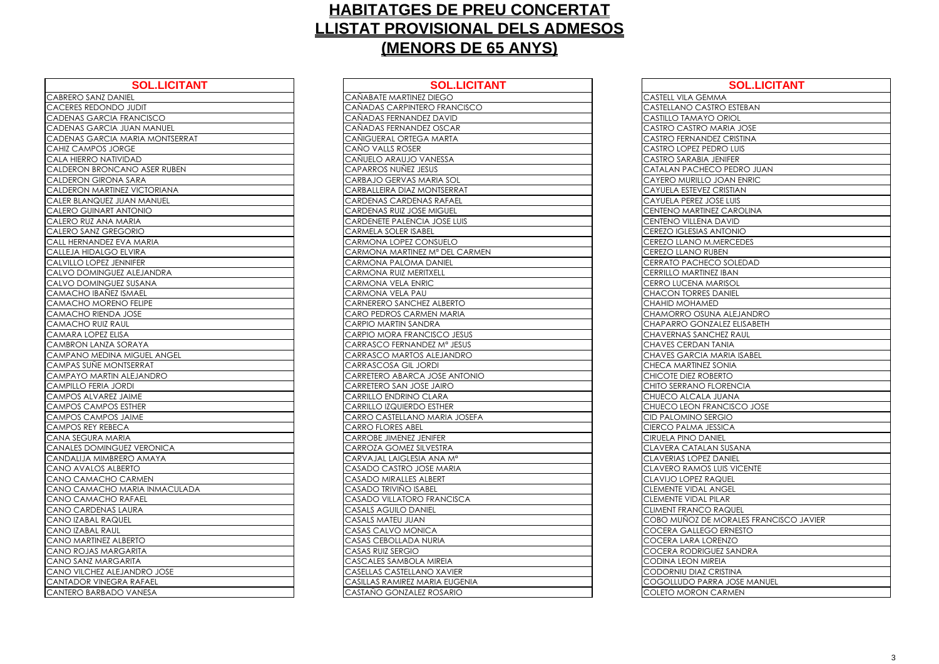| <b>SOL.LICITANT</b>               | <b>SOL.LICIT</b>                      |
|-----------------------------------|---------------------------------------|
| <b>CABRERO SANZ DANIEL</b>        | CAÑABATE MARTINEZ DIEGO               |
| <b>CACERES REDONDO JUDIT</b>      | CAÑADAS CARPINTERO FRANCISCO          |
| CADENAS GARCIA FRANCISCO          | CAÑADAS FERNANDEZ DAVID               |
| CADENAS GARCIA JUAN MANUEL        | CAÑADAS FERNANDEZ OSCAR               |
| CADENAS GARCIA MARIA MONTSERRAT   | CAÑIGUERAL ORTEGA MARTA               |
| <b>CAHIZ CAMPOS JORGE</b>         | CAÑO VALLS ROSER                      |
| CALA HIERRO NATIVIDAD             | CAÑUELO ARAUJO VANESSA                |
| CALDERON BRONCANO ASER RUBEN      | <b>CAPARROS NUNEZ JESUS</b>           |
| <b>CALDERON GIRONA SARA</b>       | CARBAJO GERVAS MARIA SOL              |
| CALDERON MARTINEZ VICTORIANA      | CARBALLEIRA DIAZ MONTSERRAT           |
| CALER BLANQUEZ JUAN MANUEL        | <b>CARDENAS CARDENAS RAFAEL</b>       |
| <b>CALERO GUINART ANTONIO</b>     | <b>CARDENAS RUIZ JOSE MIGUEL</b>      |
| CALERO RUZ ANA MARIA              | <b>CARDENETE PALENCIA JOSE LUIS</b>   |
| CALERO SANZ GREGORIO              | <b>CARMELA SOLER ISABEL</b>           |
| CALL HERNANDEZ EVA MARIA          | CARMONA LOPEZ CONSUELO                |
| CALLEJA HIDALGO ELVIRA            | CARMONA MARTINEZ Mª DEL CARMI         |
| <b>CALVILLO LOPEZ JENNIFER</b>    | <b>CARMONA PALOMA DANIEL</b>          |
| CALVO DOMINGUEZ ALEJANDRA         | <b>CARMONA RUIZ MERITXELL</b>         |
| CALVO DOMINGUEZ SUSANA            | <b>CARMONA VELA ENRIC</b>             |
| <b>CAMACHO IBAÑEZ ISMAEL</b>      | CARMONA VELA PAU                      |
| <b>CAMACHO MORENO FELIPE</b>      | CARNERERO SANCHEZ ALBERTO             |
| <b>CAMACHO RIENDA JOSE</b>        | CARO PEDROS CARMEN MARIA              |
| <b>CAMACHO RUIZ RAUL</b>          | <b>CARPIO MARTIN SANDRA</b>           |
| <b>CAMARA LOPEZ ELISA</b>         | CARPIO MORA FRANCISCO JESUS           |
| CAMBRON LANZA SORAYA              | CARRASCO FERNANDEZ Mª JESUS           |
| CAMPANO MEDINA MIGUEL ANGEL       | CARRASCO MARTOS ALEJANDRO             |
| CAMPAS SUÑE MONTSERRAT            | CARRASCOSA GIL JORDI                  |
| CAMPAYO MARTIN ALEJANDRO          | CARRETERO ABARCA JOSE ANTONIC         |
| <b>CAMPILLO FERIA JORDI</b>       | CARRETERO SAN JOSE JAIRO              |
| CAMPOS ALVAREZ JAIME              | <b>CARRILLO ENDRINO CLARA</b>         |
| <b>CAMPOS CAMPOS ESTHER</b>       | <b>CARRILLO IZQUIERDO ESTHER</b>      |
| <b>CAMPOS CAMPOS JAIME</b>        | CARRO CASTELLANO MARIA JOSEFA         |
| <b>CAMPOS REY REBECA</b>          | <b>CARRO FLORES ABEL</b>              |
| CANA SEGURA MARIA                 | <b>CARROBE JIMENEZ JENIFER</b>        |
| <b>CANALES DOMINGUEZ VERONICA</b> | CARROZA GOMEZ SILVESTRA               |
| CANDALIJA MIMBRERO AMAYA          | CARVAJAL LAIGLESIA ANA M <sup>a</sup> |
| <b>CANO AVALOS ALBERTO</b>        | CASADO CASTRO JOSE MARIA              |
| CANO CAMACHO CARMEN               | <b>CASADO MIRALLES ALBERT</b>         |
| CANO CAMACHO MARIA INMACULADA     | CASADO TRIVIÑO ISABEL                 |
| <b>CANO CAMACHO RAFAEL</b>        | CASADO VILLATORO FRANCISCA            |
| <b>CANO CARDENAS LAURA</b>        | <b>CASALS AGUILO DANIEL</b>           |
| <b>CANO IZABAL RAQUEL</b>         | <b>CASALS MATEU JUAN</b>              |
| CANO IZABAL RAUL                  | <b>CASAS CALVO MONICA</b>             |
| CANO MARTINEZ ALBERTO             | <b>CASAS CEBOLLADA NURIA</b>          |
| CANO ROJAS MARGARITA              | <b>CASAS RUIZ SERGIO</b>              |
| CANO SANZ MARGARITA               | CASCALES SAMBOLA MIREIA               |
| CANO VILCHEZ ALEJANDRO JOSE       | <b>CASELLAS CASTELLANO XAVIER</b>     |
| CANTADOR VINEGRA RAFAEL           | CASILLAS RAMIREZ MARIA EUGENIA        |
| CANTERO BARBADO VANESA            | CASTAÑO GONZALEZ ROSARIO              |

| <b>SOL.LICITANT</b>            | <b>SOL.LICITANT</b>               | <b>SOL.LICITANT</b>                    |
|--------------------------------|-----------------------------------|----------------------------------------|
| <b>IIEL</b>                    | CAÑABATE MARTINEZ DIEGO           | <b>CASTELL VILA GEMMA</b>              |
| JUDIT                          | CAÑADAS CARPINTERO FRANCISCO      | CASTELLANO CASTRO ESTEBAN              |
| RANCISCO                       | CAÑADAS FERNANDEZ DAVID           | <b>CASTILLO TAMAYO ORIOL</b>           |
| <b>UAN MANUEL</b>              | CAÑADAS FERNANDEZ OSCAR           | CASTRO CASTRO MARIA JOSE               |
| <i><b>AARIA MONTSERRAT</b></i> | CAÑIGUERAL ORTEGA MARTA           | CASTRO FERNANDEZ CRISTINA              |
| GE                             | CAÑO VALLS ROSER                  | CASTRO LOPEZ PEDRO LUIS                |
| DAD                            | CAÑUELO ARAUJO VANESSA            | <b>CASTRO SARABIA JENIFER</b>          |
| <b>NO ASER RUBEN</b>           | CAPARROS NUÑEZ JESUS              | CATALAN PACHECO PEDRO JUAN             |
| SARA                           | CARBAJO GERVAS MARIA SOL          | CAYERO MURILLO JOAN ENRIC              |
| Z VICTORIANA                   | CARBALLEIRA DIAZ MONTSERRAT       | CAYUELA ESTEVEZ CRISTIAN               |
| <b>AN MANUEL</b>               | CARDENAS CARDENAS RAFAEL          | <b>CAYUELA PEREZ JOSE LUIS</b>         |
| <b>OI</b> NOTV                 | <b>CARDENAS RUIZ JOSE MIGUEL</b>  | CENTENO MARTINEZ CAROLINA              |
| ARIA                           | CARDENETE PALENCIA JOSE LUIS      | CENTENO VILLENA DAVID                  |
| ORIO                           | <b>CARMELA SOLER ISABEL</b>       | <b>CEREZO IGLESIAS ANTONIO</b>         |
| A MARIA                        | CARMONA LOPEZ CONSUELO            | CEREZO LLANO M.MERCEDES                |
| <b>LVIRA</b>                   | CARMONA MARTINEZ Mª DEL CARMEN    | <b>CEREZO LLANO RUBEN</b>              |
| <b>INIFER</b>                  | CARMONA PALOMA DANIEL             | CERRATO PACHECO SOLEDAD                |
| ALEJANDRA                      | <b>CARMONA RUIZ MERITXELL</b>     | <b>CERRILLO MARTINEZ IBAN</b>          |
| SUSANA                         | CARMONA VELA ENRIC                | <b>CERRO LUCENA MARISOL</b>            |
| SMAEL                          | CARMONA VELA PAU                  | <b>CHACON TORRES DANIEL</b>            |
| O FELIPE                       | CARNERERO SANCHEZ ALBERTO         | <b>CHAHID MOHAMED</b>                  |
| JOSE                           | CARO PEDROS CARMEN MARIA          | CHAMORRO OSUNA ALEJANDRO               |
| JL                             | CARPIO MARTIN SANDRA              | CHAPARRO GONZALEZ ELISABETH            |
| A                              | CARPIO MORA FRANCISCO JESUS       | <b>CHAVERNAS SANCHEZ RAUL</b>          |
| <b>ORAYA</b>                   | CARRASCO FERNANDEZ Mª JESUS       | <b>CHAVES CERDAN TANIA</b>             |
| MIGUEL ANGEL                   | CARRASCO MARTOS ALEJANDRO         | CHAVES GARCIA MARIA ISABEL             |
| <b>TSERRAT</b>                 | CARRASCOSA GIL JORDI              | CHECA MARTINEZ SONIA                   |
| <b>ALEJANDRO</b>               | CARRETERO ABARCA JOSE ANTONIO     | CHICOTE DIEZ ROBERTO                   |
| IQS                            | CARRETERO SAN JOSE JAIRO          | CHITO SERRANO FLORENCIA                |
| <b>AIME</b>                    | CARRILLO ENDRINO CLARA            | CHUECO ALCALA JUANA                    |
| <b>STHER</b>                   | <b>CARRILLO IZQUIERDO ESTHER</b>  | CHUECO LEON FRANCISCO JOSE             |
| <b>AIME</b>                    | CARRO CASTELLANO MARIA JOSEFA     | <b>CID PALOMINO SERGIO</b>             |
| A                              | <b>CARRO FLORES ABEL</b>          | <b>CIERCO PALMA JESSICA</b>            |
| ΙA                             | <b>CARROBE JIMENEZ JENIFER</b>    | <b>CIRUELA PINO DANIEL</b>             |
| <b>EZ VERONICA</b>             | CARROZA GOMEZ SILVESTRA           | CLAVERA CATALAN SUSANA                 |
| RO AMAYA                       | CARVAJAL LAIGLESIA ANA Mª         | <b>CLAVERIAS LOPEZ DANIEL</b>          |
| ETO                            | CASADO CASTRO JOSE MARIA          | <b>CLAVERO RAMOS LUIS VICENTE</b>      |
| <b>CARMEN</b>                  | <b>CASADO MIRALLES ALBERT</b>     | <b>CLAVIJO LOPEZ RAQUEL</b>            |
| <b>AARIA INMACULADA</b>        | CASADO TRIVIÑO ISABEL             | <b>CLEMENTE VIDAL ANGEL</b>            |
| 'AFAEL                         | CASADO VILLATORO FRANCISCA        | <b>CLEMENTE VIDAL PILAR</b>            |
| AURA                           | <b>CASALS AGUILO DANIEL</b>       | <b>CLIMENT FRANCO RAQUEL</b>           |
| EL.                            | CASALS MATEU JUAN                 | COBO MUÑOZ DE MORALES FRANCISCO JAVIER |
|                                | CASAS CALVO MONICA                | <b>COCERA GALLEGO ERNESTO</b>          |
| <b>BERTO</b>                   | <b>CASAS CEBOLLADA NURIA</b>      | COCERA LARA LORENZO                    |
| <b>ARITA</b>                   | <b>CASAS RUIZ SERGIO</b>          | COCERA RODRIGUEZ SANDRA                |
| <b>RITA</b>                    | CASCALES SAMBOLA MIREIA           | <b>CODINA LEON MIREIA</b>              |
| ANDRO JOSE                     | <b>CASELLAS CASTELLANO XAVIER</b> | CODORNIU DIAZ CRISTINA                 |
| A RAFAEL                       |                                   |                                        |
|                                | CASILLAS RAMIREZ MARIA EUGENIA    | COGOLLUDO PARRA JOSE MANUEL            |

| CASTELL VILA GE                                    |
|----------------------------------------------------|
| CASTELLANO CA                                      |
| <b>CASTILLO TAMAY</b><br>C                         |
| CASTRO CASTRO<br>(                                 |
| <b>ASTRO FERNAN</b><br>C                           |
| <u>EASTRO LOPEZ</u> P<br>C                         |
| CASTRO SARABIA                                     |
| <b>CATALAN PACHE</b>                               |
| CAYERO MURILLO                                     |
| AYUELA ESTEVE<br>C                                 |
| AYU <u>ELA PEREZ .</u><br>C                        |
| CENTENO MARTII                                     |
| <b>CENTENO VILLEN</b>                              |
| <b>CEREZO IGLESIAS</b>                             |
| CEREZO LLANO M                                     |
| $\overline{CE}$<br><b>REZO LLANO</b>               |
| CERRATO PACHE                                      |
| <b>CERRILLO MARTIN</b>                             |
| CERRO LUCENA                                       |
| <b>CHACON TORRE</b>                                |
| CHAHID MOHAM                                       |
| CHAMORRO OSL                                       |
| CHAPARRO GON                                       |
| CHAVERNAS SAN                                      |
| <b>CHAVES CERDAN</b>                               |
| <b>CHAVES GARCIA</b>                               |
| CHECA MARTINE                                      |
| CHICOTE DIEZ RO                                    |
| CHITO SERRANO                                      |
| CHUECO ALCAL                                       |
| CHUECO LEON F                                      |
| <b>CID PALOMINOS</b>                               |
| CIERCO PALMA.                                      |
| $\overline{\overline{C}}$<br><b>IRUELA PINO DA</b> |
| CLAVERA CATAL                                      |
| <b>CLAVERIAS LOPE</b>                              |
| CLAVERO RAMO<br>(                                  |
| LAVIJO LOPEZ F<br>(                                |
| <b>LEMENT<u>E</u></b> VIDAL<br>(                   |
| <b>CLEMENTE VIDAL</b>                              |
| CLIMENT FRANC(<br>(                                |
| ζ<br>dbo munoz d<br>C                              |
| <b>OCERA GALLEO</b><br>:(<br>(                     |
| ERA LARA L<br>C<br>Х<br>(                          |
| OCERA RODRIC<br>C                                  |
| <b>CODINA LEON M</b>                               |
| CODORNIU DIAZ<br>C                                 |
| COGOLLUDO PA                                       |
| DLETO MORON<br>0                                   |
|                                                    |

| <b>SOL.LICITANT</b>                 |
|-------------------------------------|
| <b>MA</b>                           |
| <b>TRO ESTEBAN</b>                  |
| D ORIOL                             |
| maria jose                          |
| <b>EZ CRISTINA</b>                  |
| <b>DRO LUIS</b>                     |
| <b>JENIFER</b>                      |
| <u>CO PEDRO JUAN</u>                |
| <b>JOAN ENRIC</b>                   |
| <b>CRISTIAN</b>                     |
| <b>OSE LUIS</b>                     |
| <b>EZ CAROLINA</b>                  |
| <b>DAVID</b>                        |
| ANTONIO                             |
| .MERCEDES                           |
| JBEN                                |
| CO SOLEDAD                          |
| $\overline{EZ}$ IBAN                |
| <b>IARISOL</b>                      |
| <b>DANIEL</b>                       |
| Đ                                   |
|                                     |
| <b>VA ALEJANDRO</b>                 |
| ZALEZ ELISABETH<br><b>CHEZ RAUL</b> |
|                                     |
| <b>TANIA</b>                        |
| MARIA ISABEL                        |
| SONIA                               |
| <b>BERTO</b>                        |
| LORENCIA                            |
| JUANA                               |
| ANCISCO JOSE                        |
| RGIO                                |
| ESSICA                              |
| NIEL                                |
| N SUSANA                            |
| <b>DANIEL</b>                       |
| <b>LUIS VICENTE</b>                 |
| AQUEL                               |
| ANGEL                               |
| PILAR                               |
| RAQUEL                              |
| MORALES FRANCISCO JAVIER            |
| O ERNESTO                           |
| RENZO                               |
| <b>UEZ SANDRA</b>                   |
| REIA                                |
| CRISTINA                            |
| RA JOSE MANUEL                      |
| CARMEN                              |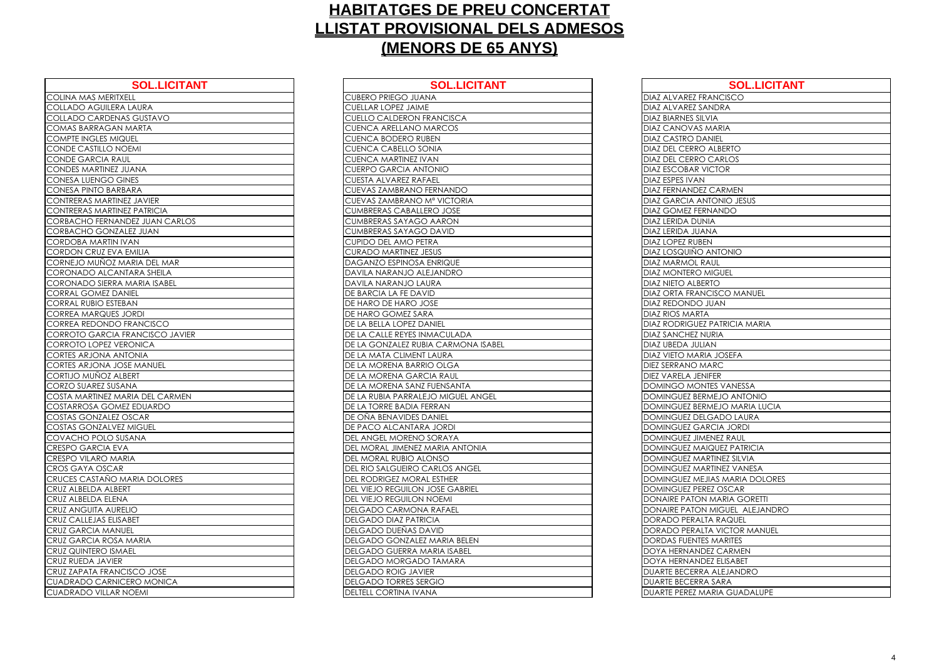| <b>SOL.LICITANT</b>                   | <b>SOL.LICI</b>                  |
|---------------------------------------|----------------------------------|
| COLINA MAS MERITXELL                  | <b>CUBERO PRIEGO JUANA</b>       |
| COLLADO AGUILERA LAURA                | <b>CUELLAR LOPEZ JAIME</b>       |
| COLLADO CARDENAS GUSTAVO              | <b>CUELLO CALDERON FRANCISCA</b> |
| COMAS BARRAGAN MARTA                  | CUENCA ARELLANO MARCOS           |
| <b>COMPTE INGLES MIQUEL</b>           | <b>CUENCA BODERO RUBEN</b>       |
| <b>CONDE CASTILLO NOEMI</b>           | <b>CUENCA CABELLO SONIA</b>      |
| <b>CONDE GARCIA RAUL</b>              | <b>CUENCA MARTINEZ IVAN</b>      |
| <b>CONDES MARTINEZ JUANA</b>          | <b>CUERPO GARCIA ANTONIO</b>     |
| CONESA LUENGO GINES                   | <b>CUESTA ALVAREZ RAFAEL</b>     |
| CONESA PINTO BARBARA                  | CUEVAS ZAMBRANO FERNANDO         |
| <b>CONTRERAS MARTINEZ JAVIER</b>      | CUEVAS ZAMBRANO Mª VICTORIA      |
| <b>CONTRERAS MARTINEZ PATRICIA</b>    | <b>CUMBRERAS CABALLERO JOSE</b>  |
| <b>CORBACHO FERNANDEZ JUAN CARLOS</b> | <b>CUMBRERAS SAYAGO AARON</b>    |
| CORBACHO GONZALEZ JUAN                | <b>CUMBRERAS SAYAGO DAVID</b>    |
| <b>CORDOBA MARTIN IVAN</b>            | CUPIDO DEL AMO PETRA             |
| <b>CORDON CRUZ EVA EMILIA</b>         | <b>CURADO MARTINEZ JESUS</b>     |
| CORNEJO MUÑOZ MARIA DEL MAR           | DAGANZO ESPINOSA ENRIQUE         |
| CORONADO ALCANTARA SHEILA             | DAVILA NARANJO ALEJANDRO         |
| CORONADO SIERRA MARIA ISABEL          | DAVILA NARANJO LAURA             |
| <b>CORRAL GOMEZ DANIEL</b>            | DE BARCIA LA FE DAVID            |
| <b>CORRAL RUBIO ESTEBAN</b>           | DE HARO DE HARO JOSE             |
| <b>CORREA MARQUES JORDI</b>           | DE HARO GOMEZ SARA               |
| CORREA REDONDO FRANCISCO              | DE LA BELLA LOPEZ DANIEL         |
| CORROTO GARCIA FRANCISCO JAVIER       | DE LA CALLE REYES INMACULADA     |
| <b>CORROTO LOPEZ VERONICA</b>         | DE LA GONZALEZ RUBIA CARMONA     |
| <b>CORTES ARJONA ANTONIA</b>          | DE LA MATA CLIMENT LAURA         |
| <b>CORTES ARJONA JOSE MANUEL</b>      | DE LA MORENA BARRIO OLGA         |
| CORTIJO MUÑOZ ALBERT                  | DE LA MORENA GARCIA RAUL         |
| CORZO SUAREZ SUSANA                   | DE LA MORENA SANZ FUENSANTA      |
| COSTA MARTINEZ MARIA DEL CARMEN       | DE LA RUBIA PARRALEJO MIGUEL AI  |
| COSTARROSA GOMEZ EDUARDO              | DE LA TORRE BADIA FERRAN         |
| COSTAS GONZALEZ OSCAR                 | DE OÑA BENAVIDES DANIEL          |
| <b>COSTAS GONZALVEZ MIGUEL</b>        | DE PACO ALCANTARA JORDI          |
| COVACHO POLO SUSANA                   | DEL ANGEL MORENO SORAYA          |
| <b>CRESPO GARCIA EVA</b>              | DEL MORAL JIMENEZ MARIA ANTON    |
| <b>CRESPO VILARO MARIA</b>            | DEL MORAL RUBIO ALONSO           |
| <b>CROS GAYA OSCAR</b>                | DEL RIO SALGUEIRO CARLOS ANGE    |
| CRUCES CASTAÑO MARIA DOLORES          | DEL RODRIGEZ MORAL ESTHER        |
| CRUZ ALBELDA ALBERT                   | DEL VIEJO REGUILON JOSE GABRIEL  |
| CRUZ ALBELDA ELENA                    | DEL VIEJO REGUILON NOEMI         |
| <b>CRUZ ANGUITA AURELIO</b>           | DELGADO CARMONA RAFAEL           |
| <b>CRUZ CALLEJAS ELISABET</b>         | <b>DELGADO DIAZ PATRICIA</b>     |
| <b>CRUZ GARCIA MANUEL</b>             | DELGADO DUEÑAS DAVID             |
| CRUZ GARCIA ROSA MARIA                | DELGADO GONZALEZ MARIA BELEN     |
| <b>CRUZ QUINTERO ISMAEL</b>           | DELGADO GUERRA MARIA ISABEL      |
| <b>CRUZ RUEDA JAVIER</b>              | DELGADO MORGADO TAMARA           |
| CRUZ ZAPATA FRANCISCO JOSE            | <b>DELGADO ROIG JAVIER</b>       |
| <b>CUADRADO CARNICERO MONICA</b>      | <b>DELGADO TORRES SERGIO</b>     |
| <b>CUADRADO VILLAR NOEMI</b>          | DELTELL CORTINA IVANA            |

| <b>SOL.LICITANT</b>        | <b>SOL.LICITANT</b>                    | <b>SOL.LICITANT</b>                  |
|----------------------------|----------------------------------------|--------------------------------------|
| XELL                       | <b>CUBERO PRIEGO JUANA</b>             | <b>DIAZ ALVAREZ FRANCISCO</b>        |
| A LAURA                    | <b>CUELLAR LOPEZ JAIME</b>             | DIAZ ALVAREZ SANDRA                  |
| <b>IAS GUSTAVO</b>         | <b>CUELLO CALDERON FRANCISCA</b>       | <b>DIAZ BIARNES SILVIA</b>           |
| <b>NMARTA</b>              | <b>CUENCA ARELLANO MARCOS</b>          | <b>DIAZ CANOVAS MARIA</b>            |
| QUEL                       | <b>CUENCA BODERO RUBEN</b>             | <b>DIAZ CASTRO DANIEL</b>            |
| <b>IOEMI</b>               | <b>CUENCA CABELLO SONIA</b>            | <b>DIAZ DEL CERRO ALBERTO</b>        |
| <b>AUL</b>                 | <b>CUENCA MARTINEZ IVAN</b>            | <b>DIAZ DEL CERRO CARLOS</b>         |
| <b>JUANA</b>               | CUERPO GARCIA ANTONIO                  | <b>DIAZ ESCOBAR VICTOR</b>           |
| <b>GINES</b>               | <b>CUESTA ALVAREZ RAFAEL</b>           | <b>DIAZ ESPES IVAN</b>               |
| <b>BARA</b>                | CUEVAS ZAMBRANO FERNANDO               | <b>DIAZ FERNANDEZ CARMEN</b>         |
| <b>NEZ JAVIER</b>          | CUEVAS ZAMBRANO Mª VICTORIA            | <b>DIAZ GARCIA ANTONIO JESUS</b>     |
| <b><i>NEZ PATRICIA</i></b> | <b>CUMBRERAS CABALLERO JOSE</b>        | <b>DIAZ GOMEZ FERNANDO</b>           |
| <b>NDEZ JUAN CARLOS</b>    | <b>CUMBRERAS SAYAGO AARON</b>          | <b>DIAZ LERIDA DUNIA</b>             |
| ALEZ JUAN                  | <b>CUMBRERAS SAYAGO DAVID</b>          | <b>DIAZ LERIDA JUANA</b>             |
| <b>IVAN</b>                | CUPIDO DEL AMO PETRA                   | <b>DIAZ LOPEZ RUBEN</b>              |
| A EMILIA                   | <b>CURADO MARTINEZ JESUS</b>           | <b>DIAZ LOSQUIÑO ANTONIO</b>         |
| MARIA DEL MAR              | DAGANZO ESPINOSA ENRIQUE               | <b>DIAZ MARMOL RAUL</b>              |
| NTARA SHEILA               | DAVILA NARANJO ALEJANDRO               | <b>DIAZ MONTERO MIGUEL</b>           |
| A MARIA ISABEL             | DAVILA NARANJO LAURA                   | <b>DIAZ NIETO ALBERTO</b>            |
| ANIEL                      | <b>DE BARCIA LA FE DAVID</b>           | <b>DIAZ ORTA FRANCISCO MANUEL</b>    |
| BAN                        | DE HARO DE HARO JOSE                   | <b>DIAZ REDONDO JUAN</b>             |
| <b>JORDI</b>               | DE HARO GOMEZ SARA                     | <b>DIAZ RIOS MARTA</b>               |
| <b>FRANCISCO</b>           | DE LA BELLA LOPEZ DANIEL               | <b>DIAZ RODRIGUEZ PATRICIA MARIA</b> |
| <b>FRANCISCO JAVIER</b>    | DE LA CALLE REYES INMACULADA           | <b>DIAZ SANCHEZ NURIA</b>            |
| <b>ERONICA</b>             | DE LA GONZALEZ RUBIA CARMONA ISABEL    | <b>DIAZ UBEDA JULIAN</b>             |
| <b>NTONIA</b>              | DE LA MATA CLIMENT LAURA               | <b>DIAZ VIETO MARIA JOSEFA</b>       |
| <b>OSE MANUEL</b>          | DE LA MORENA BARRIO OLGA               | <b>DIEZ SERRANO MARC</b>             |
| <b>LBERT</b>               | DE LA MORENA GARCIA RAUL               | <b>DIEZ VARELA JENIFER</b>           |
| <b>ANA</b>                 | DE LA MORENA SANZ FUENSANTA            | <b>DOMINGO MONTES VANESSA</b>        |
| <b>IARIA DEL CARMEN</b>    | DE LA RUBIA PARRALEJO MIGUEL ANGEL     | DOMINGUEZ BERMEJO ANTONIO            |
| <b>AEZ EDUARDO</b>         | DE LA TORRE BADIA FERRAN               | DOMINGUEZ BERMEJO MARIA LUCIA        |
| <b>OSCAR</b>               | DE OÑA BENAVIDES DANIEL                | DOMINGUEZ DELGADO LAURA              |
| EZ MIGUEL                  | <b>DE PACO ALCANTARA JORDI</b>         | DOMINGUEZ GARCIA JORDI               |
| <b>USANA</b>               | DEL ANGEL MORENO SORAYA                | DOMINGUEZ JIMENEZ RAUL               |
| ٧A                         | DEL MORAL JIMENEZ MARIA ANTONIA        | <b>DOMINGUEZ MAIQUEZ PATRICIA</b>    |
| ARIA                       | DEL MORAL RUBIO ALONSO                 | <b>DOMINGUEZ MARTINEZ SILVIA</b>     |
| R                          | <b>DEL RIO SALGUEIRO CARLOS ANGEL</b>  | <b>DOMINGUEZ MARTINEZ VANESA</b>     |
| <b>MARIA DOLORES</b>       | DEL RODRIGEZ MORAL ESTHER              | DOMINGUEZ MEJIAS MARIA DOLORES       |
| ERT                        | <b>DEL VIEJO REGUILON JOSE GABRIEL</b> | DOMINGUEZ PEREZ OSCAR                |
| A                          | DEL VIEJO REGUILON NOEMI               | DONAIRE PATON MARIA GORETTI          |
| RELIO                      | DELGADO CARMONA RAFAEL                 | DONAIRE PATON MIGUEL ALEJANDRO       |
| SABET                      | <b>DELGADO DIAZ PATRICIA</b>           | <b>DORADO PERALTA RAQUEL</b>         |
| JUEL                       | DELGADO DUEÑAS DAVID                   | DORADO PERALTA VICTOR MANUEL         |
| A MARIA                    | DELGADO GONZALEZ MARIA BELEN           | <b>DORDAS FUENTES MARITES</b>        |
| <b>AAEL</b><br>R           | <b>DELGADO GUERRA MARIA ISABEL</b>     | DOYA HERNANDEZ CARMEN                |
|                            | DELGADO MORGADO TAMARA                 | <b>DOYA HERNANDEZ ELISABET</b>       |
| <b>ICISCO JOSE</b>         | <b>DELGADO ROIG JAVIER</b>             | DUARTE BECERRA ALEJANDRO             |
| CERO MONICA                | <b>DELGADO TORRES SERGIO</b>           | <b>DUARTE BECERRA SARA</b>           |
| NOEMI                      | <b>DELTELL CORTINA IVANA</b>           | DUARTE PEREZ MARIA GUADALUPE         |

| DIAZ ALVAREZ FR                             |
|---------------------------------------------|
| DIAZ ALVAREZ SA                             |
| DIAZ BIARNES SILY                           |
| <b>DIAZ CANOVAS I</b>                       |
| <b>DIAZ CASTRO DA</b>                       |
| DIAZ DEL CERRO                              |
| DIAZ DEL CERRO                              |
| <b>DIAZ ESCOBAR V</b>                       |
| DIAZ ESPES IVAN                             |
|                                             |
| <b>DIAZ FERNANDEZ</b>                       |
| <b>DIAZ GARCIA AN</b>                       |
| DIAZ GOMEZ FER                              |
| DIAZ LERIDA DUN                             |
| DIAZ LERIDA JUAI                            |
| <b>DIAZ LOPEZ RUBE</b>                      |
| DIAZ LOSQUIÑO                               |
| DIAZ MARMOL R.                              |
| <b>DIAZ MONTERO M</b>                       |
| DIAZ NIETO ALBEI                            |
| <b>DIAZ ORTA FRAN</b>                       |
| <b>DIAZ REDONDO.</b>                        |
| <b>DIAZ RIOS MARTA</b>                      |
| <b>DIAZ RODRIGUEZ</b>                       |
| DIAZ SANCHEZ N                              |
| DIAZ UBEDA JULI                             |
| DIAZ VIETO MARI                             |
| <b>DIEZ SERRANO M</b>                       |
| DIEZ VARELA JEN                             |
| DOMINGO MON                                 |
| <b>DOMINGUEZ BER</b>                        |
| <b>DOMINGUEZ BER</b>                        |
|                                             |
| <b>DOMINGUEZ DEL</b>                        |
| <b>DOMINGUEZ GAI</b>                        |
| $\overline{D}$<br>SUEZ JIMI<br><b>DMINC</b> |
| DOMINGUEZ MA                                |
| DOMINGUEZ MA                                |
| <b>DOMINGUEZ MA</b>                         |
| DOMINGUEZ ME.                               |
| <b>DMINGUEZ PER</b><br>Х<br>L               |
| <u>DNAIRE PATON</u><br>DC                   |
| DONAIRE PATON                               |
| DORADO PERALI                               |
| <b>DORADO PERALI</b>                        |
| <b>ORDAS FUENTES</b><br>D                   |
| <b>TA HERNAND</b><br>L<br>Х                 |
| DOYA HERNAND                                |
| <b>DUARTE BECERRA</b>                       |
| <b>DUARTE BECERRA</b>                       |
| DUARTE PEREZ M.                             |
|                                             |

| <b>SOL.LICITANT</b>            |
|--------------------------------|
| <b>NCISCO</b>                  |
| <b>JDRA</b>                    |
| ΙA                             |
| <b>ARIA</b>                    |
| JIEL                           |
| <b>LBERTO</b>                  |
| CARLOS                         |
| <b>CTOR</b>                    |
|                                |
| CARMEN                         |
| ONIO JESUS                     |
| <b>JANDO</b>                   |
| $\triangle$                    |
| $\overline{\mathsf{A}}$        |
| ľ                              |
| NTONIO                         |
| UL                             |
| <b>IGUEL</b>                   |
| ĪО                             |
| <b>ISCO MANUEL</b>             |
| <u>JAN</u>                     |
|                                |
| <b>ATRICIA MARIA</b>           |
| <b>RIA</b>                     |
| N                              |
| JOSEFA                         |
| <b>RC</b>                      |
| ER <sup>-</sup>                |
| ES VANESSA                     |
| <b>OINOTIA OLEN</b>            |
| <b><i>AEJO MARIA LUCIA</i></b> |
| <b>SADO LAURA</b>              |
| CIA JORDI                      |
| NEZ RAUL                       |
| <b>QUEZ PATRICIA</b>           |
| <b>TINEZ SILVIA</b>            |
| <b>TINEZ VANESA</b>            |
| AS MARIA DOLORES               |
| Z OSCAR                        |
| MARIA GORETTI                  |
| MIGUEL ALEJANDRO               |
| A RAQUEL                       |
| A VICTOR MANUEL                |
| <b>MARITES</b>                 |
| Z CARMEN                       |
| Z ELIS <u>ABET</u>             |
| ALEJANDRO                      |
| SARA                           |
| RIA GUADALUPE                  |
|                                |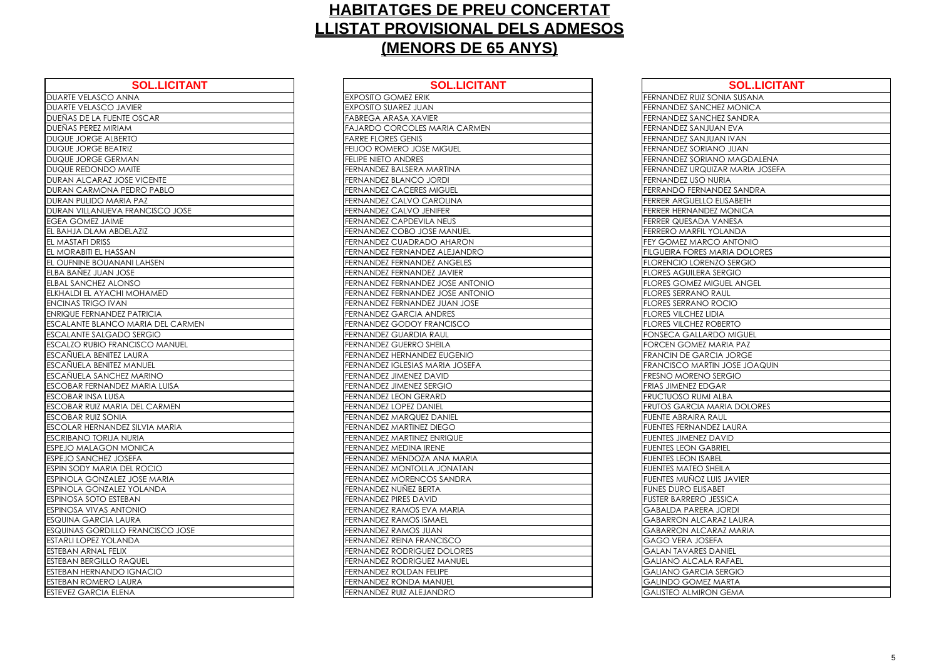| FERNANDEZ RUIZ SONIA SUSANA<br><b>FERNANDEZ SANCHEZ MONICA</b><br>FERNANDEZ SANCHEZ SANDRA<br>FERNANDEZ SANJUAN EVA<br>FERNANDEZ SANJUAN IVAN<br>FERNANDEZ SORIANO JUAN<br>FERNANDEZ SORIANO MAGDALENA<br>FERNANDEZ URQUIZAR MARIA JOSEFA<br>FERNANDEZ USO NURIA<br>FERRANDO FERNANDEZ SANDRA<br>FERRER ARGUELLO ELISABETH<br><b>FERRER HERNANDEZ MONICA</b><br>FERRER QUESADA VANESA<br>FERRERO MARFIL YOLANDA<br>FEY GOMEZ MARCO ANTONIO<br>FILGUEIRA FORES MARIA DOLORES<br><b>FLORENCIO LORENZO SERGIO</b><br><b>FLORES AGUILERA SERGIO</b><br>FLORES GOMEZ MIGUEL ANGEL<br><b>FLORES SERRANO RAUL</b><br><b>FLORES SERRANO ROCIO</b><br><b>FLORES VILCHEZ LIDIA</b><br><b>FLORES VILCHEZ ROBERTO</b><br>FONSECA GALLARDO MIGUEL<br>FORCEN GOMEZ MARIA PAZ<br>FRANCIN DE GARCIA JORGE<br>FRANCISCO MARTIN JOSE JOAQUIN<br><b>FRESNO MORENO SERGIO</b><br>FRIAS JIMENEZ EDGAR<br>FRUCTUOSO RUMI ALBA<br>FRUTOS GARCIA MARIA DOLORES<br><b>FUENTE ABRAIRA RAUL</b><br><b>FUENTES FERNANDEZ LAURA</b><br><b>FUENTES JIMENEZ DAVID</b><br><b>FUENTES LEON GABRIEL</b><br><b>FUENTES LEON ISABEL</b><br><b>FUENTES MATEO SHEILA</b><br>FUENTES MUNOZ LUIS JAVIER<br><b>FUNES DURO ELISABET</b><br><b>FUSTER BARRERO JESSICA</b><br><b>GABALDA PARERA JORDI</b><br><b>GABARRON ALCARAZ LAURA</b><br><b>GABARRON ALCARAZ MARIA</b><br>GAGO VERA JOSEFA<br><b>GALAN TAVARES DANIEL</b><br><b>GALIANO ALCALA RAFAEL</b><br><b>GALIANO GARCIA SERGIO</b><br><b>GALINDO GOMEZ MARTA</b><br><b>GALISTEO ALMIRON GEMA</b> | <b>LICITANT</b> | <b>SOL.LICITANT</b> |
|------------------------------------------------------------------------------------------------------------------------------------------------------------------------------------------------------------------------------------------------------------------------------------------------------------------------------------------------------------------------------------------------------------------------------------------------------------------------------------------------------------------------------------------------------------------------------------------------------------------------------------------------------------------------------------------------------------------------------------------------------------------------------------------------------------------------------------------------------------------------------------------------------------------------------------------------------------------------------------------------------------------------------------------------------------------------------------------------------------------------------------------------------------------------------------------------------------------------------------------------------------------------------------------------------------------------------------------------------------------------------------------------------------------------------------------------------------------------------------------------------------------|-----------------|---------------------|
|                                                                                                                                                                                                                                                                                                                                                                                                                                                                                                                                                                                                                                                                                                                                                                                                                                                                                                                                                                                                                                                                                                                                                                                                                                                                                                                                                                                                                                                                                                                  |                 |                     |
|                                                                                                                                                                                                                                                                                                                                                                                                                                                                                                                                                                                                                                                                                                                                                                                                                                                                                                                                                                                                                                                                                                                                                                                                                                                                                                                                                                                                                                                                                                                  |                 |                     |
|                                                                                                                                                                                                                                                                                                                                                                                                                                                                                                                                                                                                                                                                                                                                                                                                                                                                                                                                                                                                                                                                                                                                                                                                                                                                                                                                                                                                                                                                                                                  |                 |                     |
|                                                                                                                                                                                                                                                                                                                                                                                                                                                                                                                                                                                                                                                                                                                                                                                                                                                                                                                                                                                                                                                                                                                                                                                                                                                                                                                                                                                                                                                                                                                  | <b>CARMEN</b>   |                     |
|                                                                                                                                                                                                                                                                                                                                                                                                                                                                                                                                                                                                                                                                                                                                                                                                                                                                                                                                                                                                                                                                                                                                                                                                                                                                                                                                                                                                                                                                                                                  |                 |                     |
|                                                                                                                                                                                                                                                                                                                                                                                                                                                                                                                                                                                                                                                                                                                                                                                                                                                                                                                                                                                                                                                                                                                                                                                                                                                                                                                                                                                                                                                                                                                  | ΞL              |                     |
|                                                                                                                                                                                                                                                                                                                                                                                                                                                                                                                                                                                                                                                                                                                                                                                                                                                                                                                                                                                                                                                                                                                                                                                                                                                                                                                                                                                                                                                                                                                  |                 |                     |
|                                                                                                                                                                                                                                                                                                                                                                                                                                                                                                                                                                                                                                                                                                                                                                                                                                                                                                                                                                                                                                                                                                                                                                                                                                                                                                                                                                                                                                                                                                                  | A               |                     |
|                                                                                                                                                                                                                                                                                                                                                                                                                                                                                                                                                                                                                                                                                                                                                                                                                                                                                                                                                                                                                                                                                                                                                                                                                                                                                                                                                                                                                                                                                                                  |                 |                     |
|                                                                                                                                                                                                                                                                                                                                                                                                                                                                                                                                                                                                                                                                                                                                                                                                                                                                                                                                                                                                                                                                                                                                                                                                                                                                                                                                                                                                                                                                                                                  |                 |                     |
|                                                                                                                                                                                                                                                                                                                                                                                                                                                                                                                                                                                                                                                                                                                                                                                                                                                                                                                                                                                                                                                                                                                                                                                                                                                                                                                                                                                                                                                                                                                  | IA.             |                     |
|                                                                                                                                                                                                                                                                                                                                                                                                                                                                                                                                                                                                                                                                                                                                                                                                                                                                                                                                                                                                                                                                                                                                                                                                                                                                                                                                                                                                                                                                                                                  |                 |                     |
|                                                                                                                                                                                                                                                                                                                                                                                                                                                                                                                                                                                                                                                                                                                                                                                                                                                                                                                                                                                                                                                                                                                                                                                                                                                                                                                                                                                                                                                                                                                  |                 |                     |
|                                                                                                                                                                                                                                                                                                                                                                                                                                                                                                                                                                                                                                                                                                                                                                                                                                                                                                                                                                                                                                                                                                                                                                                                                                                                                                                                                                                                                                                                                                                  | <b>JUEL</b>     |                     |
|                                                                                                                                                                                                                                                                                                                                                                                                                                                                                                                                                                                                                                                                                                                                                                                                                                                                                                                                                                                                                                                                                                                                                                                                                                                                                                                                                                                                                                                                                                                  | <b>RON</b>      |                     |
|                                                                                                                                                                                                                                                                                                                                                                                                                                                                                                                                                                                                                                                                                                                                                                                                                                                                                                                                                                                                                                                                                                                                                                                                                                                                                                                                                                                                                                                                                                                  | <b>ANDRO</b>    |                     |
|                                                                                                                                                                                                                                                                                                                                                                                                                                                                                                                                                                                                                                                                                                                                                                                                                                                                                                                                                                                                                                                                                                                                                                                                                                                                                                                                                                                                                                                                                                                  | ELES            |                     |
|                                                                                                                                                                                                                                                                                                                                                                                                                                                                                                                                                                                                                                                                                                                                                                                                                                                                                                                                                                                                                                                                                                                                                                                                                                                                                                                                                                                                                                                                                                                  | ER              |                     |
|                                                                                                                                                                                                                                                                                                                                                                                                                                                                                                                                                                                                                                                                                                                                                                                                                                                                                                                                                                                                                                                                                                                                                                                                                                                                                                                                                                                                                                                                                                                  | <b>ANTONIO</b>  |                     |
|                                                                                                                                                                                                                                                                                                                                                                                                                                                                                                                                                                                                                                                                                                                                                                                                                                                                                                                                                                                                                                                                                                                                                                                                                                                                                                                                                                                                                                                                                                                  | <b>ANTONIO</b>  |                     |
|                                                                                                                                                                                                                                                                                                                                                                                                                                                                                                                                                                                                                                                                                                                                                                                                                                                                                                                                                                                                                                                                                                                                                                                                                                                                                                                                                                                                                                                                                                                  | <b>JOSE</b>     |                     |
|                                                                                                                                                                                                                                                                                                                                                                                                                                                                                                                                                                                                                                                                                                                                                                                                                                                                                                                                                                                                                                                                                                                                                                                                                                                                                                                                                                                                                                                                                                                  |                 |                     |
|                                                                                                                                                                                                                                                                                                                                                                                                                                                                                                                                                                                                                                                                                                                                                                                                                                                                                                                                                                                                                                                                                                                                                                                                                                                                                                                                                                                                                                                                                                                  | <b>SCO</b>      |                     |
|                                                                                                                                                                                                                                                                                                                                                                                                                                                                                                                                                                                                                                                                                                                                                                                                                                                                                                                                                                                                                                                                                                                                                                                                                                                                                                                                                                                                                                                                                                                  |                 |                     |
|                                                                                                                                                                                                                                                                                                                                                                                                                                                                                                                                                                                                                                                                                                                                                                                                                                                                                                                                                                                                                                                                                                                                                                                                                                                                                                                                                                                                                                                                                                                  |                 |                     |
|                                                                                                                                                                                                                                                                                                                                                                                                                                                                                                                                                                                                                                                                                                                                                                                                                                                                                                                                                                                                                                                                                                                                                                                                                                                                                                                                                                                                                                                                                                                  | <b>ENIO</b>     |                     |
|                                                                                                                                                                                                                                                                                                                                                                                                                                                                                                                                                                                                                                                                                                                                                                                                                                                                                                                                                                                                                                                                                                                                                                                                                                                                                                                                                                                                                                                                                                                  | <b>JOSEFA</b>   |                     |
|                                                                                                                                                                                                                                                                                                                                                                                                                                                                                                                                                                                                                                                                                                                                                                                                                                                                                                                                                                                                                                                                                                                                                                                                                                                                                                                                                                                                                                                                                                                  |                 |                     |
|                                                                                                                                                                                                                                                                                                                                                                                                                                                                                                                                                                                                                                                                                                                                                                                                                                                                                                                                                                                                                                                                                                                                                                                                                                                                                                                                                                                                                                                                                                                  |                 |                     |
|                                                                                                                                                                                                                                                                                                                                                                                                                                                                                                                                                                                                                                                                                                                                                                                                                                                                                                                                                                                                                                                                                                                                                                                                                                                                                                                                                                                                                                                                                                                  |                 |                     |
|                                                                                                                                                                                                                                                                                                                                                                                                                                                                                                                                                                                                                                                                                                                                                                                                                                                                                                                                                                                                                                                                                                                                                                                                                                                                                                                                                                                                                                                                                                                  |                 |                     |
|                                                                                                                                                                                                                                                                                                                                                                                                                                                                                                                                                                                                                                                                                                                                                                                                                                                                                                                                                                                                                                                                                                                                                                                                                                                                                                                                                                                                                                                                                                                  |                 |                     |
|                                                                                                                                                                                                                                                                                                                                                                                                                                                                                                                                                                                                                                                                                                                                                                                                                                                                                                                                                                                                                                                                                                                                                                                                                                                                                                                                                                                                                                                                                                                  |                 |                     |
|                                                                                                                                                                                                                                                                                                                                                                                                                                                                                                                                                                                                                                                                                                                                                                                                                                                                                                                                                                                                                                                                                                                                                                                                                                                                                                                                                                                                                                                                                                                  | JE              |                     |
|                                                                                                                                                                                                                                                                                                                                                                                                                                                                                                                                                                                                                                                                                                                                                                                                                                                                                                                                                                                                                                                                                                                                                                                                                                                                                                                                                                                                                                                                                                                  |                 |                     |
|                                                                                                                                                                                                                                                                                                                                                                                                                                                                                                                                                                                                                                                                                                                                                                                                                                                                                                                                                                                                                                                                                                                                                                                                                                                                                                                                                                                                                                                                                                                  | <b>MARIA</b>    |                     |
|                                                                                                                                                                                                                                                                                                                                                                                                                                                                                                                                                                                                                                                                                                                                                                                                                                                                                                                                                                                                                                                                                                                                                                                                                                                                                                                                                                                                                                                                                                                  | ATAN            |                     |
|                                                                                                                                                                                                                                                                                                                                                                                                                                                                                                                                                                                                                                                                                                                                                                                                                                                                                                                                                                                                                                                                                                                                                                                                                                                                                                                                                                                                                                                                                                                  | <b>DRA</b>      |                     |
|                                                                                                                                                                                                                                                                                                                                                                                                                                                                                                                                                                                                                                                                                                                                                                                                                                                                                                                                                                                                                                                                                                                                                                                                                                                                                                                                                                                                                                                                                                                  |                 |                     |
|                                                                                                                                                                                                                                                                                                                                                                                                                                                                                                                                                                                                                                                                                                                                                                                                                                                                                                                                                                                                                                                                                                                                                                                                                                                                                                                                                                                                                                                                                                                  |                 |                     |
|                                                                                                                                                                                                                                                                                                                                                                                                                                                                                                                                                                                                                                                                                                                                                                                                                                                                                                                                                                                                                                                                                                                                                                                                                                                                                                                                                                                                                                                                                                                  | Als             |                     |
|                                                                                                                                                                                                                                                                                                                                                                                                                                                                                                                                                                                                                                                                                                                                                                                                                                                                                                                                                                                                                                                                                                                                                                                                                                                                                                                                                                                                                                                                                                                  |                 |                     |
|                                                                                                                                                                                                                                                                                                                                                                                                                                                                                                                                                                                                                                                                                                                                                                                                                                                                                                                                                                                                                                                                                                                                                                                                                                                                                                                                                                                                                                                                                                                  |                 |                     |
|                                                                                                                                                                                                                                                                                                                                                                                                                                                                                                                                                                                                                                                                                                                                                                                                                                                                                                                                                                                                                                                                                                                                                                                                                                                                                                                                                                                                                                                                                                                  | O               |                     |
|                                                                                                                                                                                                                                                                                                                                                                                                                                                                                                                                                                                                                                                                                                                                                                                                                                                                                                                                                                                                                                                                                                                                                                                                                                                                                                                                                                                                                                                                                                                  | ORES            |                     |
|                                                                                                                                                                                                                                                                                                                                                                                                                                                                                                                                                                                                                                                                                                                                                                                                                                                                                                                                                                                                                                                                                                                                                                                                                                                                                                                                                                                                                                                                                                                  | <b>IUEL</b>     |                     |
|                                                                                                                                                                                                                                                                                                                                                                                                                                                                                                                                                                                                                                                                                                                                                                                                                                                                                                                                                                                                                                                                                                                                                                                                                                                                                                                                                                                                                                                                                                                  |                 |                     |
|                                                                                                                                                                                                                                                                                                                                                                                                                                                                                                                                                                                                                                                                                                                                                                                                                                                                                                                                                                                                                                                                                                                                                                                                                                                                                                                                                                                                                                                                                                                  |                 |                     |
|                                                                                                                                                                                                                                                                                                                                                                                                                                                                                                                                                                                                                                                                                                                                                                                                                                                                                                                                                                                                                                                                                                                                                                                                                                                                                                                                                                                                                                                                                                                  |                 |                     |

| <b>DUARTE VELASCO ANNA</b><br><b>EXPOSITO GOMEZ ERIK</b><br><b>DUARTE VELASCO JAVIER</b><br><b>EXPOSITO SUAREZ JUAN</b><br>DUEÑAS DE LA FUENTE OSCAR<br><b>FABREGA ARASA XAVIER</b><br>DUEÑAS PEREZ MIRIAM<br>DUQUE JORGE ALBERTO<br><b>FARRE FLORES GENIS</b><br><b>DUQUE JORGE BEATRIZ</b><br>FEIJOO ROMERO JOSE MIGUEL<br>DUQUE JORGE GERMAN<br><b>FELIPE NIETO ANDRES</b><br>FERNANDEZ BALSERA MARTINA<br>FERNANDEZ BLANCO JORDI<br><b>FERNANDEZ CACERES MIGUEL</b><br>FERNANDEZ CALVO CAROLINA<br>FERNANDEZ CALVO JENIFER<br>FERNANDEZ CAPDEVILA NEUS<br>FERNANDEZ COBO JOSE MANUEL<br>FERNANDEZ CUADRADO AHARON<br>FERNANDEZ FERNANDEZ ANGELES<br>FERNANDEZ FERNANDEZ JAVIER<br><b>FERNANDEZ GARCIA ANDRES</b><br>FERNANDEZ GODOY FRANCISCO<br><b>FERNANDEZ GUARDIA RAUL</b><br>FERNANDEZ GUERRO SHEILA<br>FERNANDEZ HERNANDEZ EUGENIO<br>FERNANDEZ JIMENEZ DAVID<br>FERNANDEZ JIMENEZ SERGIO<br>FERNANDEZ LEON GERARD<br>FERNANDEZ LOPEZ DANIEL<br>FERNANDEZ MARQUEZ DANIEL<br><b>FERNANDEZ MARTINEZ DIEGO</b><br>FERNANDEZ MARTINEZ ENRIQUE<br><b>FFRNANDF7 MFDINA IRFNF</b><br>FERNANDEZ MONTOLLA JONATAN<br><b>FERNANDEZ MORENCOS SANDRA</b><br>FERNANDEZ NUÑEZ BERTA<br><b>FERNANDEZ PIRES DAVID</b><br>FERNANDEZ RAMOS EVA MARIA<br>FERNANDEZ RAMOS ISMAEL<br>FERNANDEZ RAMOS JUAN<br>FERNANDEZ REINA FRANCISCO<br>FERNANDEZ RODRIGUEZ DOLORES<br><b>FERNANDEZ RODRIGUEZ MANUEL</b><br>FERNANDEZ ROLDAN FELIPE<br><b>FERNANDEZ RONDA MANUEL</b><br><b>FERNANDEZ RUIZ ALEJANDRO</b> | <b>SOL.LICITANT</b>                  | <b>SOL.LICIT</b>                    |
|------------------------------------------------------------------------------------------------------------------------------------------------------------------------------------------------------------------------------------------------------------------------------------------------------------------------------------------------------------------------------------------------------------------------------------------------------------------------------------------------------------------------------------------------------------------------------------------------------------------------------------------------------------------------------------------------------------------------------------------------------------------------------------------------------------------------------------------------------------------------------------------------------------------------------------------------------------------------------------------------------------------------------------------------------------------------------------------------------------------------------------------------------------------------------------------------------------------------------------------------------------------------------------------------------------------------------------------------------------------------------------------------------------------------------------------------------------------------------------------------|--------------------------------------|-------------------------------------|
|                                                                                                                                                                                                                                                                                                                                                                                                                                                                                                                                                                                                                                                                                                                                                                                                                                                                                                                                                                                                                                                                                                                                                                                                                                                                                                                                                                                                                                                                                                |                                      |                                     |
|                                                                                                                                                                                                                                                                                                                                                                                                                                                                                                                                                                                                                                                                                                                                                                                                                                                                                                                                                                                                                                                                                                                                                                                                                                                                                                                                                                                                                                                                                                |                                      |                                     |
|                                                                                                                                                                                                                                                                                                                                                                                                                                                                                                                                                                                                                                                                                                                                                                                                                                                                                                                                                                                                                                                                                                                                                                                                                                                                                                                                                                                                                                                                                                |                                      |                                     |
|                                                                                                                                                                                                                                                                                                                                                                                                                                                                                                                                                                                                                                                                                                                                                                                                                                                                                                                                                                                                                                                                                                                                                                                                                                                                                                                                                                                                                                                                                                |                                      | <b>FAJARDO CORCOLES MARIA CARME</b> |
|                                                                                                                                                                                                                                                                                                                                                                                                                                                                                                                                                                                                                                                                                                                                                                                                                                                                                                                                                                                                                                                                                                                                                                                                                                                                                                                                                                                                                                                                                                |                                      |                                     |
|                                                                                                                                                                                                                                                                                                                                                                                                                                                                                                                                                                                                                                                                                                                                                                                                                                                                                                                                                                                                                                                                                                                                                                                                                                                                                                                                                                                                                                                                                                |                                      |                                     |
|                                                                                                                                                                                                                                                                                                                                                                                                                                                                                                                                                                                                                                                                                                                                                                                                                                                                                                                                                                                                                                                                                                                                                                                                                                                                                                                                                                                                                                                                                                |                                      |                                     |
| DURAN ALCARAZ JOSE VICENTE<br>DURAN CARMONA PEDRO PABLO<br>DURAN PULIDO MARIA PAZ                                                                                                                                                                                                                                                                                                                                                                                                                                                                                                                                                                                                                                                                                                                                                                                                                                                                                                                                                                                                                                                                                                                                                                                                                                                                                                                                                                                                              | DUQUE REDONDO MAITE                  |                                     |
|                                                                                                                                                                                                                                                                                                                                                                                                                                                                                                                                                                                                                                                                                                                                                                                                                                                                                                                                                                                                                                                                                                                                                                                                                                                                                                                                                                                                                                                                                                |                                      |                                     |
|                                                                                                                                                                                                                                                                                                                                                                                                                                                                                                                                                                                                                                                                                                                                                                                                                                                                                                                                                                                                                                                                                                                                                                                                                                                                                                                                                                                                                                                                                                |                                      |                                     |
|                                                                                                                                                                                                                                                                                                                                                                                                                                                                                                                                                                                                                                                                                                                                                                                                                                                                                                                                                                                                                                                                                                                                                                                                                                                                                                                                                                                                                                                                                                |                                      |                                     |
| <b>EGEA GOMEZ JAIME</b>                                                                                                                                                                                                                                                                                                                                                                                                                                                                                                                                                                                                                                                                                                                                                                                                                                                                                                                                                                                                                                                                                                                                                                                                                                                                                                                                                                                                                                                                        | DURAN VILLANUEVA FRANCISCO JOSE      |                                     |
|                                                                                                                                                                                                                                                                                                                                                                                                                                                                                                                                                                                                                                                                                                                                                                                                                                                                                                                                                                                                                                                                                                                                                                                                                                                                                                                                                                                                                                                                                                |                                      |                                     |
|                                                                                                                                                                                                                                                                                                                                                                                                                                                                                                                                                                                                                                                                                                                                                                                                                                                                                                                                                                                                                                                                                                                                                                                                                                                                                                                                                                                                                                                                                                | EL BAHJA DLAM ABDELAZIZ              |                                     |
| EL MORABITI EL HASSAN<br>EL OUFNINE BOUANANI LAHSEN<br>ELBA BANEZ JUAN JOSE<br>ELBAL SANCHEZ ALONSO<br>ELKHALDI EL AYACHI MOHAMED<br><b>ENCINAS TRIGO IVAN</b><br><b>ENRIQUE FERNANDEZ PATRICIA</b><br>ESCALANTE BLANCO MARIA DEL CARMEN<br><b>ESCALANTE SALGADO SERGIO</b><br><b>ESCALZO RUBIO FRANCISCO MANUEL</b><br><b>ESCAÑUELA BENITEZ LAURA</b><br><b>ESCANUELA BENITEZ MANUEL</b><br><b>ESCANUELA SANCHEZ MARINO</b>                                                                                                                                                                                                                                                                                                                                                                                                                                                                                                                                                                                                                                                                                                                                                                                                                                                                                                                                                                                                                                                                   | EL MASTAFI DRISS                     |                                     |
|                                                                                                                                                                                                                                                                                                                                                                                                                                                                                                                                                                                                                                                                                                                                                                                                                                                                                                                                                                                                                                                                                                                                                                                                                                                                                                                                                                                                                                                                                                |                                      | FERNANDEZ FERNANDEZ ALEJANDRO       |
|                                                                                                                                                                                                                                                                                                                                                                                                                                                                                                                                                                                                                                                                                                                                                                                                                                                                                                                                                                                                                                                                                                                                                                                                                                                                                                                                                                                                                                                                                                |                                      |                                     |
|                                                                                                                                                                                                                                                                                                                                                                                                                                                                                                                                                                                                                                                                                                                                                                                                                                                                                                                                                                                                                                                                                                                                                                                                                                                                                                                                                                                                                                                                                                |                                      |                                     |
|                                                                                                                                                                                                                                                                                                                                                                                                                                                                                                                                                                                                                                                                                                                                                                                                                                                                                                                                                                                                                                                                                                                                                                                                                                                                                                                                                                                                                                                                                                |                                      | FERNANDEZ FERNANDEZ JOSE ANTON      |
|                                                                                                                                                                                                                                                                                                                                                                                                                                                                                                                                                                                                                                                                                                                                                                                                                                                                                                                                                                                                                                                                                                                                                                                                                                                                                                                                                                                                                                                                                                |                                      | FERNANDEZ FERNANDEZ JOSE ANTON      |
|                                                                                                                                                                                                                                                                                                                                                                                                                                                                                                                                                                                                                                                                                                                                                                                                                                                                                                                                                                                                                                                                                                                                                                                                                                                                                                                                                                                                                                                                                                |                                      | FERNANDEZ FERNANDEZ JUAN JOSE       |
|                                                                                                                                                                                                                                                                                                                                                                                                                                                                                                                                                                                                                                                                                                                                                                                                                                                                                                                                                                                                                                                                                                                                                                                                                                                                                                                                                                                                                                                                                                |                                      |                                     |
|                                                                                                                                                                                                                                                                                                                                                                                                                                                                                                                                                                                                                                                                                                                                                                                                                                                                                                                                                                                                                                                                                                                                                                                                                                                                                                                                                                                                                                                                                                |                                      |                                     |
|                                                                                                                                                                                                                                                                                                                                                                                                                                                                                                                                                                                                                                                                                                                                                                                                                                                                                                                                                                                                                                                                                                                                                                                                                                                                                                                                                                                                                                                                                                |                                      |                                     |
|                                                                                                                                                                                                                                                                                                                                                                                                                                                                                                                                                                                                                                                                                                                                                                                                                                                                                                                                                                                                                                                                                                                                                                                                                                                                                                                                                                                                                                                                                                |                                      |                                     |
|                                                                                                                                                                                                                                                                                                                                                                                                                                                                                                                                                                                                                                                                                                                                                                                                                                                                                                                                                                                                                                                                                                                                                                                                                                                                                                                                                                                                                                                                                                |                                      |                                     |
|                                                                                                                                                                                                                                                                                                                                                                                                                                                                                                                                                                                                                                                                                                                                                                                                                                                                                                                                                                                                                                                                                                                                                                                                                                                                                                                                                                                                                                                                                                |                                      | FERNANDEZ IGLESIAS MARIA JOSEFA     |
|                                                                                                                                                                                                                                                                                                                                                                                                                                                                                                                                                                                                                                                                                                                                                                                                                                                                                                                                                                                                                                                                                                                                                                                                                                                                                                                                                                                                                                                                                                |                                      |                                     |
| <b>ESCOBAR INSA LUISA</b><br>ESCOBAR RUIZ MARIA DEL CARMEN<br><b>ESCOBAR RUIZ SONIA</b><br>ESCOLAR HERNANDEZ SILVIA MARIA<br><b>ESCRIBANO TORIJA NURIA</b><br><b>ESPEJO MALAGON MONICA</b><br><b>ESPEJO SANCHEZ JOSEFA</b><br><b>ESPIN SODY MARIA DEL ROCIO</b><br>ESPINOLA GONZALEZ JOSE MARIA<br>ESPINOLA GONZALEZ YOLANDA<br><b>ESPINOSA SOTO ESTEBAN</b><br>ESPINOSA VIVAS ANTONIO<br><b>ESQUINA GARCIA LAURA</b><br><b>ESQUINAS GORDILLO FRANCISCO JOSE</b><br><b>ESTARLI LOPEZ YOLANDA</b><br>ESTEBAN ARNAL FELIX<br><b>ESTEBAN BERGILLO RAQUEL</b><br><b>ESTEBAN HERNANDO IGNACIO</b><br><b>ESTEBAN ROMERO LAURA</b><br><b>ESTEVEZ GARCIA ELENA</b>                                                                                                                                                                                                                                                                                                                                                                                                                                                                                                                                                                                                                                                                                                                                                                                                                                     | <b>ESCOBAR FERNANDEZ MARIA LUISA</b> |                                     |
|                                                                                                                                                                                                                                                                                                                                                                                                                                                                                                                                                                                                                                                                                                                                                                                                                                                                                                                                                                                                                                                                                                                                                                                                                                                                                                                                                                                                                                                                                                |                                      |                                     |
|                                                                                                                                                                                                                                                                                                                                                                                                                                                                                                                                                                                                                                                                                                                                                                                                                                                                                                                                                                                                                                                                                                                                                                                                                                                                                                                                                                                                                                                                                                |                                      |                                     |
|                                                                                                                                                                                                                                                                                                                                                                                                                                                                                                                                                                                                                                                                                                                                                                                                                                                                                                                                                                                                                                                                                                                                                                                                                                                                                                                                                                                                                                                                                                |                                      |                                     |
|                                                                                                                                                                                                                                                                                                                                                                                                                                                                                                                                                                                                                                                                                                                                                                                                                                                                                                                                                                                                                                                                                                                                                                                                                                                                                                                                                                                                                                                                                                |                                      |                                     |
|                                                                                                                                                                                                                                                                                                                                                                                                                                                                                                                                                                                                                                                                                                                                                                                                                                                                                                                                                                                                                                                                                                                                                                                                                                                                                                                                                                                                                                                                                                |                                      |                                     |
|                                                                                                                                                                                                                                                                                                                                                                                                                                                                                                                                                                                                                                                                                                                                                                                                                                                                                                                                                                                                                                                                                                                                                                                                                                                                                                                                                                                                                                                                                                |                                      |                                     |
|                                                                                                                                                                                                                                                                                                                                                                                                                                                                                                                                                                                                                                                                                                                                                                                                                                                                                                                                                                                                                                                                                                                                                                                                                                                                                                                                                                                                                                                                                                |                                      | FERNANDEZ MENDOZA ANA MARIA         |
|                                                                                                                                                                                                                                                                                                                                                                                                                                                                                                                                                                                                                                                                                                                                                                                                                                                                                                                                                                                                                                                                                                                                                                                                                                                                                                                                                                                                                                                                                                |                                      |                                     |
|                                                                                                                                                                                                                                                                                                                                                                                                                                                                                                                                                                                                                                                                                                                                                                                                                                                                                                                                                                                                                                                                                                                                                                                                                                                                                                                                                                                                                                                                                                |                                      |                                     |
|                                                                                                                                                                                                                                                                                                                                                                                                                                                                                                                                                                                                                                                                                                                                                                                                                                                                                                                                                                                                                                                                                                                                                                                                                                                                                                                                                                                                                                                                                                |                                      |                                     |
|                                                                                                                                                                                                                                                                                                                                                                                                                                                                                                                                                                                                                                                                                                                                                                                                                                                                                                                                                                                                                                                                                                                                                                                                                                                                                                                                                                                                                                                                                                |                                      |                                     |
|                                                                                                                                                                                                                                                                                                                                                                                                                                                                                                                                                                                                                                                                                                                                                                                                                                                                                                                                                                                                                                                                                                                                                                                                                                                                                                                                                                                                                                                                                                |                                      |                                     |
|                                                                                                                                                                                                                                                                                                                                                                                                                                                                                                                                                                                                                                                                                                                                                                                                                                                                                                                                                                                                                                                                                                                                                                                                                                                                                                                                                                                                                                                                                                |                                      |                                     |
|                                                                                                                                                                                                                                                                                                                                                                                                                                                                                                                                                                                                                                                                                                                                                                                                                                                                                                                                                                                                                                                                                                                                                                                                                                                                                                                                                                                                                                                                                                |                                      |                                     |
|                                                                                                                                                                                                                                                                                                                                                                                                                                                                                                                                                                                                                                                                                                                                                                                                                                                                                                                                                                                                                                                                                                                                                                                                                                                                                                                                                                                                                                                                                                |                                      |                                     |
|                                                                                                                                                                                                                                                                                                                                                                                                                                                                                                                                                                                                                                                                                                                                                                                                                                                                                                                                                                                                                                                                                                                                                                                                                                                                                                                                                                                                                                                                                                |                                      |                                     |
|                                                                                                                                                                                                                                                                                                                                                                                                                                                                                                                                                                                                                                                                                                                                                                                                                                                                                                                                                                                                                                                                                                                                                                                                                                                                                                                                                                                                                                                                                                |                                      |                                     |
|                                                                                                                                                                                                                                                                                                                                                                                                                                                                                                                                                                                                                                                                                                                                                                                                                                                                                                                                                                                                                                                                                                                                                                                                                                                                                                                                                                                                                                                                                                |                                      |                                     |
|                                                                                                                                                                                                                                                                                                                                                                                                                                                                                                                                                                                                                                                                                                                                                                                                                                                                                                                                                                                                                                                                                                                                                                                                                                                                                                                                                                                                                                                                                                |                                      |                                     |
|                                                                                                                                                                                                                                                                                                                                                                                                                                                                                                                                                                                                                                                                                                                                                                                                                                                                                                                                                                                                                                                                                                                                                                                                                                                                                                                                                                                                                                                                                                |                                      |                                     |

| <b>SOL.LICITANT</b>     | <b>SOL.LICITANT</b>                  | <b>SOL.LICITANT</b>                  |
|-------------------------|--------------------------------------|--------------------------------------|
| <b>ANNA</b>             | <b>EXPOSITO GOMEZ ERIK</b>           | FERNANDEZ RUIZ SONIA SUSANA          |
| <b>AVIER</b>            | <b>EXPOSITO SUAREZ JUAN</b>          | FERNANDEZ SANCHEZ MONICA             |
| <b>JTE OSCAR</b>        | <b>FABREGA ARASA XAVIER</b>          | FERNANDEZ SANCHEZ SANDRA             |
| AM                      | <b>FAJARDO CORCOLES MARIA CARMEN</b> | FERNANDEZ SANJUAN EVA                |
| ERTO                    | <b>FARRE FLORES GENIS</b>            | FERNANDEZ SANJUAN IVAN               |
| triz                    | FEIJOO ROMERO JOSE MIGUEL            | FERNANDEZ SORIANO JUAN               |
| <b>MAN</b>              | <b>FELIPE NIETO ANDRES</b>           | FERNANDEZ SORIANO MAGDALENA          |
| MAITE                   | FERNANDEZ BALSERA MARTINA            | FERNANDEZ URQUIZAR MARIA JOSEFA      |
| <b>OSE VICENTE</b>      | <b>FERNANDEZ BLANCO JORDI</b>        | FERNANDEZ USO NURIA                  |
| PEDRO PABLO             | <b>FERNANDEZ CACERES MIGUEL</b>      | FERRANDO FERNANDEZ SANDRA            |
| RIA PAZ                 | FERNANDEZ CALVO CAROLINA             | FERRER ARGUELLO ELISABETH            |
| A FRANCISCO JOSE        | FERNANDEZ CALVO JENIFER              | FERRER HERNANDEZ MONICA              |
|                         | FERNANDEZ CAPDEVILA NEUS             | FERRER QUESADA VANESA                |
| <b>DELAZIZ</b>          | FERNANDEZ COBO JOSE MANUEL           | <b>FERRERO MARFIL YOLANDA</b>        |
|                         | FERNANDEZ CUADRADO AHARON            | FEY GOMEZ MARCO ANTONIO              |
| SAN                     | FERNANDEZ FERNANDEZ ALEJANDRO        | <b>FILGUEIRA FORES MARIA DOLORES</b> |
| <b>ANI LAHSEN</b>       | FERNANDEZ FERNANDEZ ANGELES          | <b>FLORENCIO LORENZO SERGIO</b>      |
| <b>OSE</b>              | FERNANDEZ FERNANDEZ JAVIER           | <b>FLORES AGUILERA SERGIO</b>        |
| ONSO                    | FERNANDEZ FERNANDEZ JOSE ANTONIO     | <b>FLORES GOMEZ MIGUEL ANGEL</b>     |
| <b>II MOHAMED</b>       | FERNANDEZ FERNANDEZ JOSE ANTONIO     | <b>FLORES SERRANO RAUL</b>           |
| N.                      | FERNANDEZ FERNANDEZ JUAN JOSE        | <b>FLORES SERRANO ROCIO</b>          |
| <b>EZ PATRICIA</b>      | FERNANDEZ GARCIA ANDRES              | <b>FLORES VILCHEZ LIDIA</b>          |
| O MARIA DEL CARMEN      | FERNANDEZ GODOY FRANCISCO            | <b>FLORES VILCHEZ ROBERTO</b>        |
| <b>DO SERGIO</b>        | FERNANDEZ GUARDIA RAUL               | <b>FONSECA GALLARDO MIGUEL</b>       |
| <b>ANCISCO MANUEL</b>   | FERNANDEZ GUERRO SHEILA              | FORCEN GOMEZ MARIA PAZ               |
| LAURA                   | FERNANDEZ HERNANDEZ EUGENIO          | <b>FRANCIN DE GARCIA JORGE</b>       |
| <b>MANUEL</b>           | FERNANDEZ IGLESIAS MARIA JOSEFA      | FRANCISCO MARTIN JOSE JOAQUIN        |
| <b>IEZ MARINO</b>       | FERNANDEZ JIMENEZ DAVID              | <b>FRESNO MORENO SERGIO</b>          |
| EZ MARIA LUISA          | FERNANDEZ JIMENEZ SERGIO             | <b>FRIAS JIMENEZ EDGAR</b>           |
|                         | <b>FERNANDEZ LEON GERARD</b>         | <b>FRUCTUOSO RUMI ALBA</b>           |
| IA DEL CARMEN           | FERNANDEZ LOPEZ DANIEL               | FRUTOS GARCIA MARIA DOLORES          |
| IA.                     | FERNANDEZ MARQUEZ DANIEL             | <b>FUENTE ABRAIRA RAUL</b>           |
| <b>DEZ SILVIA MARIA</b> | FERNANDEZ MARTINEZ DIEGO             | <b>FUENTES FERNANDEZ LAURA</b>       |
| <b>NURIA</b>            | FERNANDEZ MARTINEZ ENRIQUE           | <b>FUENTES JIMENEZ DAVID</b>         |
| <b>MONICA</b>           | FERNANDEZ MEDINA IRENE               | <b>FUENTES LEON GABRIEL</b>          |
| <b>OSEFA</b>            | FERNANDEZ MENDOZA ANA MARIA          | <b>FUENTES LEON ISABEL</b>           |
| <b>DEL ROCIO</b>        | FERNANDEZ MONTOLLA JONATAN           | <b>FUENTES MATEO SHEILA</b>          |
| EZ JOSE MARIA           | FERNANDEZ MORENCOS SANDRA            | FUENTES MUÑOZ LUIS JAVIER            |
| EZ YOLANDA              | FERNANDEZ NUÑEZ BERTA                | <b>FUNES DURO ELISABET</b>           |
| EBAN                    | FERNANDEZ PIRES DAVID                | <b>FUSTER BARRERO JESSICA</b>        |
| <b>OI</b> NOTI          | FERNANDEZ RAMOS EVA MARIA            | <b>GABALDA PARERA JORDI</b>          |
| AURA                    | FERNANDEZ RAMOS ISMAEL               | <b>GABARRON ALCARAZ LAURA</b>        |
| O FRANCISCO JOSE        | FERNANDEZ RAMOS JUAN                 | <b>GABARRON ALCARAZ MARIA</b>        |
| ANDA                    | FERNANDEZ REINA FRANCISCO            | <b>GAGO VERA JOSEFA</b>              |
| IX I                    | FERNANDEZ RODRIGUEZ DOLORES          | <b>GALAN TAVARES DANIEL</b>          |
| RAQUEL                  | FERNANDEZ RODRIGUEZ MANUEL           | <b>GALIANO ALCALA RAFAEL</b>         |
| O IGNACIO               | FERNANDEZ ROLDAN FELIPE              | <b>GALIANO GARCIA SERGIO</b>         |
| AURA.                   | FERNANDEZ RONDA MANUEL               | <b>GALINDO GOMEZ MARTA</b>           |
| ENA                     | FERNANDEZ RUIZ ALEJANDRO             | <b>GALISTEO ALMIRON GEMA</b>         |
|                         |                                      |                                      |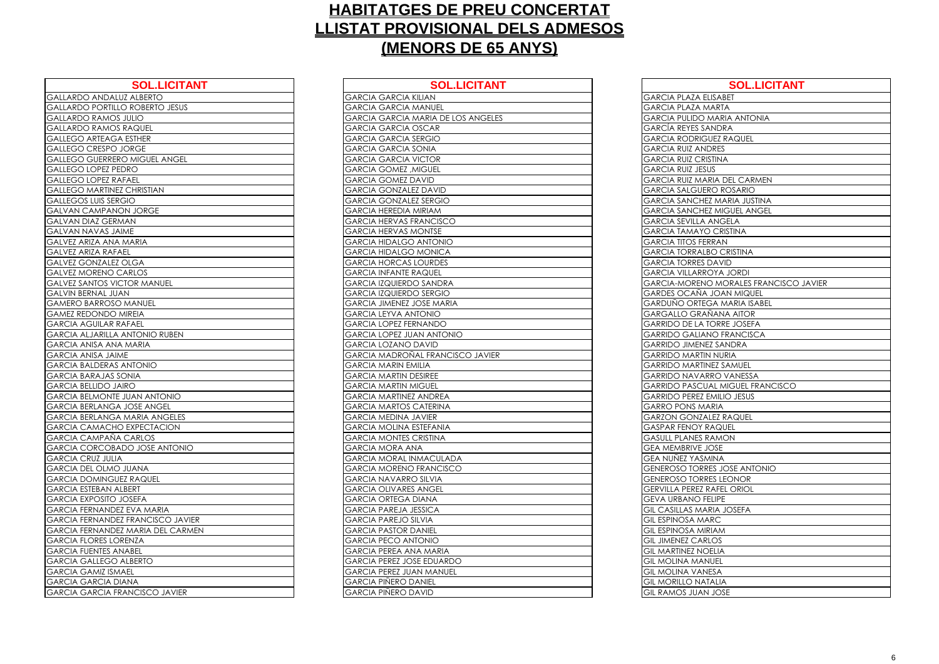| <b>SOL.LICITANT</b>                      | <b>SOL.LICITAN</b>                       |
|------------------------------------------|------------------------------------------|
| <b>GALLARDO ANDALUZ ALBERTO</b>          | <b>GARCIA GARCIA KILIAN</b>              |
| <b>GALLARDO PORTILLO ROBERTO JESUS</b>   | <b>GARCIA GARCIA MANUEL</b>              |
| <b>GALLARDO RAMOS JULIO</b>              | <b>GARCIA GARCIA MARIA DE LOS ANGELE</b> |
| <b>GALLARDO RAMOS RAQUEL</b>             | <b>GARCIA GARCIA OSCAR</b>               |
| <b>GALLEGO ARTEAGA ESTHER</b>            | <b>GARCIA GARCIA SERGIO</b>              |
| <b>GALLEGO CRESPO JORGE</b>              | <b>GARCIA GARCIA SONIA</b>               |
| <b>GALLEGO GUERRERO MIGUEL ANGEL</b>     | <b>GARCIA GARCIA VICTOR</b>              |
| <b>GALLEGO LOPEZ PEDRO</b>               | <b>GARCIA GOMEZ, MIGUEL</b>              |
| <b>GALLEGO LOPEZ RAFAEL</b>              | <b>GARCIA GOMEZ DAVID</b>                |
| <b>GALLEGO MARTINEZ CHRISTIAN</b>        | <b>GARCIA GONZALEZ DAVID</b>             |
| <b>GALLEGOS LUIS SERGIO</b>              | <b>GARCIA GONZALEZ SERGIO</b>            |
| <b>GALVAN CAMPANON JORGE</b>             | <b>GARCIA HEREDIA MIRIAM</b>             |
| <b>GALVAN DIAZ GERMAN</b>                | <b>GARCIA HERVAS FRANCISCO</b>           |
| <b>GALVAN NAVAS JAIME</b>                | <b>GARCIA HERVAS MONTSE</b>              |
| <b>GALVEZ ARIZA ANA MARIA</b>            | <b>GARCIA HIDALGO ANTONIO</b>            |
| <b>GALVEZ ARIZA RAFAEL</b>               | <b>GARCIA HIDALGO MONICA</b>             |
| <b>GALVEZ GONZALEZ OLGA</b>              | <b>GARCIA HORCAS LOURDES</b>             |
| <b>GALVEZ MORENO CARLOS</b>              | <b>GARCIA INFANTE RAQUEL</b>             |
| <b>GALVEZ SANTOS VICTOR MANUEL</b>       | <b>GARCIA IZQUIERDO SANDRA</b>           |
| <b>GALVIN BERNAL JUAN</b>                | <b>GARCIA IZQUIERDO SERGIO</b>           |
| <b>GAMERO BARROSO MANUEL</b>             | <b>GARCIA JIMENEZ JOSE MARIA</b>         |
| <b>GAMEZ REDONDO MIREIA</b>              | <b>GARCIA LEYVA ANTONIO</b>              |
| <b>GARCIA AGUILAR RAFAEL</b>             | <b>GARCIA LOPEZ FERNANDO</b>             |
| <b>GARCIA ALJARILLA ANTONIO RUBEN</b>    | <b>GARCIA LOPEZ JUAN ANTONIO</b>         |
| <b>GARCIA ANISA ANA MARIA</b>            | <b>GARCIA LOZANO DAVID</b>               |
| <b>GARCIA ANISA JAIME</b>                | <b>GARCIA MADROÑAL FRANCISCO JAVIER</b>  |
| <b>GARCIA BALDERAS ANTONIO</b>           | <b>GARCIA MARIN EMILIA</b>               |
| <b>GARCIA BARAJAS SONIA</b>              | <b>GARCIA MARTIN DESIREE</b>             |
| <b>GARCIA BELLIDO JAIRO</b>              | <b>GARCIA MARTIN MIGUEL</b>              |
| <b>GARCIA BELMONTE JUAN ANTONIO</b>      | <b>GARCIA MARTINEZ ANDREA</b>            |
| <b>GARCIA BERLANGA JOSE ANGEL</b>        | <b>GARCIA MARTOS CATERINA</b>            |
| <b>GARCIA BERLANGA MARIA ANGELES</b>     | <b>GARCIA MEDINA JAVIER</b>              |
| <b>GARCIA CAMACHO EXPECTACION</b>        | <b>GARCIA MOLINA ESTEFANIA</b>           |
| <b>GARCIA CAMPAÑA CARLOS</b>             | <b>GARCIA MONTES CRISTINA</b>            |
| <b>GARCIA CORCOBADO JOSE ANTONIO</b>     | <b>GARCIA MORA ANA</b>                   |
| <b>GARCIA CRUZ JULIA</b>                 | <b>GARCIA MORAL INMACULADA</b>           |
| <b>GARCIA DEL OLMO JUANA</b>             | <b>GARCIA MORENO FRANCISCO</b>           |
| <b>GARCIA DOMINGUEZ RAQUEL</b>           | <b>GARCIA NAVARRO SILVIA</b>             |
| <b>GARCIA ESTEBAN ALBERT</b>             | <b>GARCIA OLIVARES ANGEL</b>             |
| <b>GARCIA EXPOSITO JOSEFA</b>            | <b>GARCIA ORTEGA DIANA</b>               |
| <b>GARCIA FERNANDEZ EVA MARIA</b>        | <b>GARCIA PAREJA JESSICA</b>             |
| <b>GARCIA FERNANDEZ FRANCISCO JAVIER</b> | <b>GARCIA PAREJO SILVIA</b>              |
| <b>GARCIA FERNANDEZ MARIA DEL CARMEN</b> | <b>GARCIA PASTOR DANIEL</b>              |
| <b>GARCIA FLORES LORENZA</b>             | <b>GARCIA PECO ANTONIO</b>               |
| <b>GARCIA FUENTES ANABEL</b>             | <b>GARCIA PEREA ANA MARIA</b>            |
| <b>GARCIA GALLEGO ALBERTO</b>            | <b>GARCIA PEREZ JOSE EDUARDO</b>         |
| <b>GARCIA GAMIZ ISMAEL</b>               | <b>GARCIA PEREZ JUAN MANUEL</b>          |
| <b>GARCIA GARCIA DIANA</b>               | <b>GARCIA PIÑERO DANIEL</b>              |
| <b>GARCIA GARCIA FRANCISCO JAVIER</b>    | <b>GARCIA PIÑERO DAVID</b>               |
|                                          |                                          |

| <b>GARCIA GARCIA KILIAN</b><br><b>GARCIA PLAZA ELISABET</b><br><b>GARCIA GARCIA MANUEL</b><br><b>GARCIA PLAZA MARTA</b><br><b>GARCIA GARCIA MARIA DE LOS ANGELES</b><br><b>GARCIA PULIDO MARIA ANTONIA</b><br>S RAQUEL<br><b>GARCÍA REYES SANDRA</b><br><b>GARCIA GARCIA OSCAR</b><br><b>GARCIA GARCIA SERGIO</b><br><b>GARCIA RODRIGUEZ RAQUEL</b><br><b>GARCIA GARCIA SONIA</b><br><b>GARCIA RUIZ ANDRES</b><br><b>GARCIA GARCIA VICTOR</b><br><b>GARCIA RUIZ CRISTINA</b><br><b>GARCIA GOMEZ, MIGUEL</b><br><b>GARCIA RUIZ JESUS</b><br><b>GARCIA GOMEZ DAVID</b><br><b>GARCIA RUIZ MARIA DEL CARMEN</b><br><b>GARCIA GONZALEZ DAVID</b><br><b>GARCIA SALGUERO ROSARIO</b><br><b>GARCIA GONZALEZ SERGIO</b><br><b>GARCIA SANCHEZ MARIA JUSTINA</b><br><b>GARCIA HEREDIA MIRIAM</b><br><b>GARCIA SANCHEZ MIGUEL ANGEL</b><br><b>GARCIA HERVAS FRANCISCO</b><br><b>GARCIA SEVILLA ANGELA</b><br><b>GARCIA HERVAS MONTSE</b><br><b>GARCIA TAMAYO CRISTINA</b><br><b>GARCIA HIDALGO ANTONIO</b><br><b>GARCIA TITOS FERRAN</b><br><b>GARCIA HIDALGO MONICA</b><br><b>GARCIA TORRALBO CRISTINA</b><br><b>GARCIA HORCAS LOURDES</b><br><b>GARCIA TORRES DAVID</b><br><b>GARCIA INFANTE RAQUEL</b><br><b>GARCIA VILLARROYA JORDI</b><br><b>GARCIA IZQUIERDO SANDRA</b><br><b>GARCIA IZQUIERDO SERGIO</b><br><b>GARDES OCAÑA JOAN MIQUEL</b><br><b>GARDUÑO ORTEGA MARIA ISABEL</b><br><b>GARCIA JIMENEZ JOSE MARIA</b><br><b>GARGALLO GRAÑANA AITOR</b><br><b>GARCIA LEYVA ANTONIO</b><br><b>GARCIA LOPEZ FERNANDO</b><br><b>GARRIDO DE LA TORRE JOSEFA</b><br><b>GARCIA LOPEZ JUAN ANTONIO</b><br><b>GARRIDO GALIANO FRANCISCA</b><br><b>GARCIA LOZANO DAVID</b><br><b>GARRIDO JIMENEZ SANDRA</b><br><b>GARCIA MADROÑAL FRANCISCO JAVIER</b><br><b>GARRIDO MARTIN NURIA</b><br><b>GARCIA MARIN EMILIA</b><br><b>GARRIDO MARTINEZ SAMUEL</b><br><b>GARCIA MARTIN DESIREE</b><br><b>GARRIDO NAVARRO VANESSA</b><br><b>GARCIA MARTIN MIGUEL</b><br><b>GARRIDO PASCUAL MIGUEL FRANCISCO</b><br><b>GARCIA MARTINEZ ANDREA</b><br><b>GARRIDO PEREZ EMILIO JESUS</b><br><b>GARRO PONS MARIA</b><br><b>GARCIA MARTOS CATERINA</b><br><b>GARCIA MEDINA JAVIER</b><br><b>GARZON GONZALEZ RAQUEL</b><br><b>GARCIA MOLINA ESTEFANIA</b><br><b>GASPAR FENOY RAQUEL</b><br><b>GARCIA MONTES CRISTINA</b><br><b>GASULL PLANES RAMON</b><br><b>GEA MEMBRIVE JOSE</b><br><b>GARCIA MORA ANA</b><br><b>GARCIA MORAL INMACULADA</b><br><b>GEA NUÑEZ YASMINA</b><br>AVAUL C<br><b>GARCIA MORENO FRANCISCO</b><br><b>GENEROSO TORRES JOSE ANTONIO</b><br><b>GARCIA NAVARRO SILVIA</b><br><b>GENEROSO TORRES LEONOR</b><br><b>GARCIA OLIVARES ANGEL</b><br><b>GERVILLA PEREZ RAFEL ORIOL</b><br><b>GARCIA ORTEGA DIANA</b><br><b>GEVA URBANO FELIPE</b><br><b>GARCIA PAREJA JESSICA</b><br><b>GIL CASILLAS MARIA JOSEFA</b><br><b>GARCIA PAREJO SILVIA</b><br><b>GIL ESPINOSA MARC</b><br><b>GARCIA PASTOR DANIEL</b><br><b>GIL ESPINOSA MIRIAM</b><br><b>GARCIA PECO ANTONIO</b><br><b>GIL JIMENEZ CARLOS</b><br><b>GARCIA PEREA ANA MARIA</b><br><b>GIL MARTINEZ NOELIA</b><br><b>GARCIA PEREZ JOSE EDUARDO</b><br><b>GIL MOLINA MANUEL</b><br><b>GARCIA PEREZ JUAN MANUEL</b><br><b>GIL MOLINA VANESA</b><br><b>GARCIA PIÑERO DANIEL</b><br><b>GIL MORILLO NATALIA</b><br><b>GARCIA PIÑERO DAVID</b><br><b>GIL RAMOS JUAN JOSE</b> | <b>SOL.LICITANT</b>     | <b>SOL.LICITANT</b> | <b>SOL.LICITANT</b>                           |
|------------------------------------------------------------------------------------------------------------------------------------------------------------------------------------------------------------------------------------------------------------------------------------------------------------------------------------------------------------------------------------------------------------------------------------------------------------------------------------------------------------------------------------------------------------------------------------------------------------------------------------------------------------------------------------------------------------------------------------------------------------------------------------------------------------------------------------------------------------------------------------------------------------------------------------------------------------------------------------------------------------------------------------------------------------------------------------------------------------------------------------------------------------------------------------------------------------------------------------------------------------------------------------------------------------------------------------------------------------------------------------------------------------------------------------------------------------------------------------------------------------------------------------------------------------------------------------------------------------------------------------------------------------------------------------------------------------------------------------------------------------------------------------------------------------------------------------------------------------------------------------------------------------------------------------------------------------------------------------------------------------------------------------------------------------------------------------------------------------------------------------------------------------------------------------------------------------------------------------------------------------------------------------------------------------------------------------------------------------------------------------------------------------------------------------------------------------------------------------------------------------------------------------------------------------------------------------------------------------------------------------------------------------------------------------------------------------------------------------------------------------------------------------------------------------------------------------------------------------------------------------------------------------------------------------------------------------------------------------------------------------------------------------------------------------------------------------------------------------------------------------------------------------------------------------------------------------------------------------------------------------------------------------------------------------|-------------------------|---------------------|-----------------------------------------------|
|                                                                                                                                                                                                                                                                                                                                                                                                                                                                                                                                                                                                                                                                                                                                                                                                                                                                                                                                                                                                                                                                                                                                                                                                                                                                                                                                                                                                                                                                                                                                                                                                                                                                                                                                                                                                                                                                                                                                                                                                                                                                                                                                                                                                                                                                                                                                                                                                                                                                                                                                                                                                                                                                                                                                                                                                                                                                                                                                                                                                                                                                                                                                                                                                                                                                                                            | <b>LUZ ALBERTO</b>      |                     |                                               |
|                                                                                                                                                                                                                                                                                                                                                                                                                                                                                                                                                                                                                                                                                                                                                                                                                                                                                                                                                                                                                                                                                                                                                                                                                                                                                                                                                                                                                                                                                                                                                                                                                                                                                                                                                                                                                                                                                                                                                                                                                                                                                                                                                                                                                                                                                                                                                                                                                                                                                                                                                                                                                                                                                                                                                                                                                                                                                                                                                                                                                                                                                                                                                                                                                                                                                                            | LO ROBERTO JESUS        |                     |                                               |
|                                                                                                                                                                                                                                                                                                                                                                                                                                                                                                                                                                                                                                                                                                                                                                                                                                                                                                                                                                                                                                                                                                                                                                                                                                                                                                                                                                                                                                                                                                                                                                                                                                                                                                                                                                                                                                                                                                                                                                                                                                                                                                                                                                                                                                                                                                                                                                                                                                                                                                                                                                                                                                                                                                                                                                                                                                                                                                                                                                                                                                                                                                                                                                                                                                                                                                            | S JULIO                 |                     |                                               |
|                                                                                                                                                                                                                                                                                                                                                                                                                                                                                                                                                                                                                                                                                                                                                                                                                                                                                                                                                                                                                                                                                                                                                                                                                                                                                                                                                                                                                                                                                                                                                                                                                                                                                                                                                                                                                                                                                                                                                                                                                                                                                                                                                                                                                                                                                                                                                                                                                                                                                                                                                                                                                                                                                                                                                                                                                                                                                                                                                                                                                                                                                                                                                                                                                                                                                                            |                         |                     |                                               |
|                                                                                                                                                                                                                                                                                                                                                                                                                                                                                                                                                                                                                                                                                                                                                                                                                                                                                                                                                                                                                                                                                                                                                                                                                                                                                                                                                                                                                                                                                                                                                                                                                                                                                                                                                                                                                                                                                                                                                                                                                                                                                                                                                                                                                                                                                                                                                                                                                                                                                                                                                                                                                                                                                                                                                                                                                                                                                                                                                                                                                                                                                                                                                                                                                                                                                                            | A ESTHER                |                     |                                               |
|                                                                                                                                                                                                                                                                                                                                                                                                                                                                                                                                                                                                                                                                                                                                                                                                                                                                                                                                                                                                                                                                                                                                                                                                                                                                                                                                                                                                                                                                                                                                                                                                                                                                                                                                                                                                                                                                                                                                                                                                                                                                                                                                                                                                                                                                                                                                                                                                                                                                                                                                                                                                                                                                                                                                                                                                                                                                                                                                                                                                                                                                                                                                                                                                                                                                                                            | <b>JORGE</b>            |                     |                                               |
|                                                                                                                                                                                                                                                                                                                                                                                                                                                                                                                                                                                                                                                                                                                                                                                                                                                                                                                                                                                                                                                                                                                                                                                                                                                                                                                                                                                                                                                                                                                                                                                                                                                                                                                                                                                                                                                                                                                                                                                                                                                                                                                                                                                                                                                                                                                                                                                                                                                                                                                                                                                                                                                                                                                                                                                                                                                                                                                                                                                                                                                                                                                                                                                                                                                                                                            | RO MIGUEL ANGEL         |                     |                                               |
|                                                                                                                                                                                                                                                                                                                                                                                                                                                                                                                                                                                                                                                                                                                                                                                                                                                                                                                                                                                                                                                                                                                                                                                                                                                                                                                                                                                                                                                                                                                                                                                                                                                                                                                                                                                                                                                                                                                                                                                                                                                                                                                                                                                                                                                                                                                                                                                                                                                                                                                                                                                                                                                                                                                                                                                                                                                                                                                                                                                                                                                                                                                                                                                                                                                                                                            | EDRO                    |                     |                                               |
|                                                                                                                                                                                                                                                                                                                                                                                                                                                                                                                                                                                                                                                                                                                                                                                                                                                                                                                                                                                                                                                                                                                                                                                                                                                                                                                                                                                                                                                                                                                                                                                                                                                                                                                                                                                                                                                                                                                                                                                                                                                                                                                                                                                                                                                                                                                                                                                                                                                                                                                                                                                                                                                                                                                                                                                                                                                                                                                                                                                                                                                                                                                                                                                                                                                                                                            | <b>AFAEL</b>            |                     |                                               |
|                                                                                                                                                                                                                                                                                                                                                                                                                                                                                                                                                                                                                                                                                                                                                                                                                                                                                                                                                                                                                                                                                                                                                                                                                                                                                                                                                                                                                                                                                                                                                                                                                                                                                                                                                                                                                                                                                                                                                                                                                                                                                                                                                                                                                                                                                                                                                                                                                                                                                                                                                                                                                                                                                                                                                                                                                                                                                                                                                                                                                                                                                                                                                                                                                                                                                                            | EZ CHRISTIAN            |                     |                                               |
|                                                                                                                                                                                                                                                                                                                                                                                                                                                                                                                                                                                                                                                                                                                                                                                                                                                                                                                                                                                                                                                                                                                                                                                                                                                                                                                                                                                                                                                                                                                                                                                                                                                                                                                                                                                                                                                                                                                                                                                                                                                                                                                                                                                                                                                                                                                                                                                                                                                                                                                                                                                                                                                                                                                                                                                                                                                                                                                                                                                                                                                                                                                                                                                                                                                                                                            | रGIO                    |                     |                                               |
|                                                                                                                                                                                                                                                                                                                                                                                                                                                                                                                                                                                                                                                                                                                                                                                                                                                                                                                                                                                                                                                                                                                                                                                                                                                                                                                                                                                                                                                                                                                                                                                                                                                                                                                                                                                                                                                                                                                                                                                                                                                                                                                                                                                                                                                                                                                                                                                                                                                                                                                                                                                                                                                                                                                                                                                                                                                                                                                                                                                                                                                                                                                                                                                                                                                                                                            | ION JORGE               |                     |                                               |
|                                                                                                                                                                                                                                                                                                                                                                                                                                                                                                                                                                                                                                                                                                                                                                                                                                                                                                                                                                                                                                                                                                                                                                                                                                                                                                                                                                                                                                                                                                                                                                                                                                                                                                                                                                                                                                                                                                                                                                                                                                                                                                                                                                                                                                                                                                                                                                                                                                                                                                                                                                                                                                                                                                                                                                                                                                                                                                                                                                                                                                                                                                                                                                                                                                                                                                            | <b>MAN</b>              |                     |                                               |
|                                                                                                                                                                                                                                                                                                                                                                                                                                                                                                                                                                                                                                                                                                                                                                                                                                                                                                                                                                                                                                                                                                                                                                                                                                                                                                                                                                                                                                                                                                                                                                                                                                                                                                                                                                                                                                                                                                                                                                                                                                                                                                                                                                                                                                                                                                                                                                                                                                                                                                                                                                                                                                                                                                                                                                                                                                                                                                                                                                                                                                                                                                                                                                                                                                                                                                            | <b>AIME</b>             |                     |                                               |
|                                                                                                                                                                                                                                                                                                                                                                                                                                                                                                                                                                                                                                                                                                                                                                                                                                                                                                                                                                                                                                                                                                                                                                                                                                                                                                                                                                                                                                                                                                                                                                                                                                                                                                                                                                                                                                                                                                                                                                                                                                                                                                                                                                                                                                                                                                                                                                                                                                                                                                                                                                                                                                                                                                                                                                                                                                                                                                                                                                                                                                                                                                                                                                                                                                                                                                            | A MARIA                 |                     |                                               |
|                                                                                                                                                                                                                                                                                                                                                                                                                                                                                                                                                                                                                                                                                                                                                                                                                                                                                                                                                                                                                                                                                                                                                                                                                                                                                                                                                                                                                                                                                                                                                                                                                                                                                                                                                                                                                                                                                                                                                                                                                                                                                                                                                                                                                                                                                                                                                                                                                                                                                                                                                                                                                                                                                                                                                                                                                                                                                                                                                                                                                                                                                                                                                                                                                                                                                                            | AEL                     |                     |                                               |
|                                                                                                                                                                                                                                                                                                                                                                                                                                                                                                                                                                                                                                                                                                                                                                                                                                                                                                                                                                                                                                                                                                                                                                                                                                                                                                                                                                                                                                                                                                                                                                                                                                                                                                                                                                                                                                                                                                                                                                                                                                                                                                                                                                                                                                                                                                                                                                                                                                                                                                                                                                                                                                                                                                                                                                                                                                                                                                                                                                                                                                                                                                                                                                                                                                                                                                            | Z OLGA                  |                     |                                               |
|                                                                                                                                                                                                                                                                                                                                                                                                                                                                                                                                                                                                                                                                                                                                                                                                                                                                                                                                                                                                                                                                                                                                                                                                                                                                                                                                                                                                                                                                                                                                                                                                                                                                                                                                                                                                                                                                                                                                                                                                                                                                                                                                                                                                                                                                                                                                                                                                                                                                                                                                                                                                                                                                                                                                                                                                                                                                                                                                                                                                                                                                                                                                                                                                                                                                                                            | CARLOS                  |                     |                                               |
|                                                                                                                                                                                                                                                                                                                                                                                                                                                                                                                                                                                                                                                                                                                                                                                                                                                                                                                                                                                                                                                                                                                                                                                                                                                                                                                                                                                                                                                                                                                                                                                                                                                                                                                                                                                                                                                                                                                                                                                                                                                                                                                                                                                                                                                                                                                                                                                                                                                                                                                                                                                                                                                                                                                                                                                                                                                                                                                                                                                                                                                                                                                                                                                                                                                                                                            | <b>ICTOR MANUEL</b>     |                     | <b>GARCIA-MORENO MORALES FRANCISCO JAVIER</b> |
|                                                                                                                                                                                                                                                                                                                                                                                                                                                                                                                                                                                                                                                                                                                                                                                                                                                                                                                                                                                                                                                                                                                                                                                                                                                                                                                                                                                                                                                                                                                                                                                                                                                                                                                                                                                                                                                                                                                                                                                                                                                                                                                                                                                                                                                                                                                                                                                                                                                                                                                                                                                                                                                                                                                                                                                                                                                                                                                                                                                                                                                                                                                                                                                                                                                                                                            | <b>JAN</b>              |                     |                                               |
|                                                                                                                                                                                                                                                                                                                                                                                                                                                                                                                                                                                                                                                                                                                                                                                                                                                                                                                                                                                                                                                                                                                                                                                                                                                                                                                                                                                                                                                                                                                                                                                                                                                                                                                                                                                                                                                                                                                                                                                                                                                                                                                                                                                                                                                                                                                                                                                                                                                                                                                                                                                                                                                                                                                                                                                                                                                                                                                                                                                                                                                                                                                                                                                                                                                                                                            | O MANUEL                |                     |                                               |
|                                                                                                                                                                                                                                                                                                                                                                                                                                                                                                                                                                                                                                                                                                                                                                                                                                                                                                                                                                                                                                                                                                                                                                                                                                                                                                                                                                                                                                                                                                                                                                                                                                                                                                                                                                                                                                                                                                                                                                                                                                                                                                                                                                                                                                                                                                                                                                                                                                                                                                                                                                                                                                                                                                                                                                                                                                                                                                                                                                                                                                                                                                                                                                                                                                                                                                            | <b>MIREIA</b>           |                     |                                               |
|                                                                                                                                                                                                                                                                                                                                                                                                                                                                                                                                                                                                                                                                                                                                                                                                                                                                                                                                                                                                                                                                                                                                                                                                                                                                                                                                                                                                                                                                                                                                                                                                                                                                                                                                                                                                                                                                                                                                                                                                                                                                                                                                                                                                                                                                                                                                                                                                                                                                                                                                                                                                                                                                                                                                                                                                                                                                                                                                                                                                                                                                                                                                                                                                                                                                                                            | RAFAEL                  |                     |                                               |
|                                                                                                                                                                                                                                                                                                                                                                                                                                                                                                                                                                                                                                                                                                                                                                                                                                                                                                                                                                                                                                                                                                                                                                                                                                                                                                                                                                                                                                                                                                                                                                                                                                                                                                                                                                                                                                                                                                                                                                                                                                                                                                                                                                                                                                                                                                                                                                                                                                                                                                                                                                                                                                                                                                                                                                                                                                                                                                                                                                                                                                                                                                                                                                                                                                                                                                            | ANTONIO RUBEN           |                     |                                               |
|                                                                                                                                                                                                                                                                                                                                                                                                                                                                                                                                                                                                                                                                                                                                                                                                                                                                                                                                                                                                                                                                                                                                                                                                                                                                                                                                                                                                                                                                                                                                                                                                                                                                                                                                                                                                                                                                                                                                                                                                                                                                                                                                                                                                                                                                                                                                                                                                                                                                                                                                                                                                                                                                                                                                                                                                                                                                                                                                                                                                                                                                                                                                                                                                                                                                                                            | A MARIA                 |                     |                                               |
|                                                                                                                                                                                                                                                                                                                                                                                                                                                                                                                                                                                                                                                                                                                                                                                                                                                                                                                                                                                                                                                                                                                                                                                                                                                                                                                                                                                                                                                                                                                                                                                                                                                                                                                                                                                                                                                                                                                                                                                                                                                                                                                                                                                                                                                                                                                                                                                                                                                                                                                                                                                                                                                                                                                                                                                                                                                                                                                                                                                                                                                                                                                                                                                                                                                                                                            | ME                      |                     |                                               |
|                                                                                                                                                                                                                                                                                                                                                                                                                                                                                                                                                                                                                                                                                                                                                                                                                                                                                                                                                                                                                                                                                                                                                                                                                                                                                                                                                                                                                                                                                                                                                                                                                                                                                                                                                                                                                                                                                                                                                                                                                                                                                                                                                                                                                                                                                                                                                                                                                                                                                                                                                                                                                                                                                                                                                                                                                                                                                                                                                                                                                                                                                                                                                                                                                                                                                                            | <b>SANTONIO</b>         |                     |                                               |
|                                                                                                                                                                                                                                                                                                                                                                                                                                                                                                                                                                                                                                                                                                                                                                                                                                                                                                                                                                                                                                                                                                                                                                                                                                                                                                                                                                                                                                                                                                                                                                                                                                                                                                                                                                                                                                                                                                                                                                                                                                                                                                                                                                                                                                                                                                                                                                                                                                                                                                                                                                                                                                                                                                                                                                                                                                                                                                                                                                                                                                                                                                                                                                                                                                                                                                            | SONIA                   |                     |                                               |
|                                                                                                                                                                                                                                                                                                                                                                                                                                                                                                                                                                                                                                                                                                                                                                                                                                                                                                                                                                                                                                                                                                                                                                                                                                                                                                                                                                                                                                                                                                                                                                                                                                                                                                                                                                                                                                                                                                                                                                                                                                                                                                                                                                                                                                                                                                                                                                                                                                                                                                                                                                                                                                                                                                                                                                                                                                                                                                                                                                                                                                                                                                                                                                                                                                                                                                            | AIRO                    |                     |                                               |
|                                                                                                                                                                                                                                                                                                                                                                                                                                                                                                                                                                                                                                                                                                                                                                                                                                                                                                                                                                                                                                                                                                                                                                                                                                                                                                                                                                                                                                                                                                                                                                                                                                                                                                                                                                                                                                                                                                                                                                                                                                                                                                                                                                                                                                                                                                                                                                                                                                                                                                                                                                                                                                                                                                                                                                                                                                                                                                                                                                                                                                                                                                                                                                                                                                                                                                            | E JUAN ANTONIO          |                     |                                               |
|                                                                                                                                                                                                                                                                                                                                                                                                                                                                                                                                                                                                                                                                                                                                                                                                                                                                                                                                                                                                                                                                                                                                                                                                                                                                                                                                                                                                                                                                                                                                                                                                                                                                                                                                                                                                                                                                                                                                                                                                                                                                                                                                                                                                                                                                                                                                                                                                                                                                                                                                                                                                                                                                                                                                                                                                                                                                                                                                                                                                                                                                                                                                                                                                                                                                                                            | A JOSE ANGEL            |                     |                                               |
|                                                                                                                                                                                                                                                                                                                                                                                                                                                                                                                                                                                                                                                                                                                                                                                                                                                                                                                                                                                                                                                                                                                                                                                                                                                                                                                                                                                                                                                                                                                                                                                                                                                                                                                                                                                                                                                                                                                                                                                                                                                                                                                                                                                                                                                                                                                                                                                                                                                                                                                                                                                                                                                                                                                                                                                                                                                                                                                                                                                                                                                                                                                                                                                                                                                                                                            | A MARIA ANGELES         |                     |                                               |
|                                                                                                                                                                                                                                                                                                                                                                                                                                                                                                                                                                                                                                                                                                                                                                                                                                                                                                                                                                                                                                                                                                                                                                                                                                                                                                                                                                                                                                                                                                                                                                                                                                                                                                                                                                                                                                                                                                                                                                                                                                                                                                                                                                                                                                                                                                                                                                                                                                                                                                                                                                                                                                                                                                                                                                                                                                                                                                                                                                                                                                                                                                                                                                                                                                                                                                            | O EXPECTACION           |                     |                                               |
|                                                                                                                                                                                                                                                                                                                                                                                                                                                                                                                                                                                                                                                                                                                                                                                                                                                                                                                                                                                                                                                                                                                                                                                                                                                                                                                                                                                                                                                                                                                                                                                                                                                                                                                                                                                                                                                                                                                                                                                                                                                                                                                                                                                                                                                                                                                                                                                                                                                                                                                                                                                                                                                                                                                                                                                                                                                                                                                                                                                                                                                                                                                                                                                                                                                                                                            | A CARLOS                |                     |                                               |
|                                                                                                                                                                                                                                                                                                                                                                                                                                                                                                                                                                                                                                                                                                                                                                                                                                                                                                                                                                                                                                                                                                                                                                                                                                                                                                                                                                                                                                                                                                                                                                                                                                                                                                                                                                                                                                                                                                                                                                                                                                                                                                                                                                                                                                                                                                                                                                                                                                                                                                                                                                                                                                                                                                                                                                                                                                                                                                                                                                                                                                                                                                                                                                                                                                                                                                            | <b>ADO JOSE ANTONIO</b> |                     |                                               |
|                                                                                                                                                                                                                                                                                                                                                                                                                                                                                                                                                                                                                                                                                                                                                                                                                                                                                                                                                                                                                                                                                                                                                                                                                                                                                                                                                                                                                                                                                                                                                                                                                                                                                                                                                                                                                                                                                                                                                                                                                                                                                                                                                                                                                                                                                                                                                                                                                                                                                                                                                                                                                                                                                                                                                                                                                                                                                                                                                                                                                                                                                                                                                                                                                                                                                                            |                         |                     |                                               |
|                                                                                                                                                                                                                                                                                                                                                                                                                                                                                                                                                                                                                                                                                                                                                                                                                                                                                                                                                                                                                                                                                                                                                                                                                                                                                                                                                                                                                                                                                                                                                                                                                                                                                                                                                                                                                                                                                                                                                                                                                                                                                                                                                                                                                                                                                                                                                                                                                                                                                                                                                                                                                                                                                                                                                                                                                                                                                                                                                                                                                                                                                                                                                                                                                                                                                                            |                         |                     |                                               |
|                                                                                                                                                                                                                                                                                                                                                                                                                                                                                                                                                                                                                                                                                                                                                                                                                                                                                                                                                                                                                                                                                                                                                                                                                                                                                                                                                                                                                                                                                                                                                                                                                                                                                                                                                                                                                                                                                                                                                                                                                                                                                                                                                                                                                                                                                                                                                                                                                                                                                                                                                                                                                                                                                                                                                                                                                                                                                                                                                                                                                                                                                                                                                                                                                                                                                                            | <b>JEZ RAQUEL</b>       |                     |                                               |
|                                                                                                                                                                                                                                                                                                                                                                                                                                                                                                                                                                                                                                                                                                                                                                                                                                                                                                                                                                                                                                                                                                                                                                                                                                                                                                                                                                                                                                                                                                                                                                                                                                                                                                                                                                                                                                                                                                                                                                                                                                                                                                                                                                                                                                                                                                                                                                                                                                                                                                                                                                                                                                                                                                                                                                                                                                                                                                                                                                                                                                                                                                                                                                                                                                                                                                            | <b>ALBERT</b>           |                     |                                               |
|                                                                                                                                                                                                                                                                                                                                                                                                                                                                                                                                                                                                                                                                                                                                                                                                                                                                                                                                                                                                                                                                                                                                                                                                                                                                                                                                                                                                                                                                                                                                                                                                                                                                                                                                                                                                                                                                                                                                                                                                                                                                                                                                                                                                                                                                                                                                                                                                                                                                                                                                                                                                                                                                                                                                                                                                                                                                                                                                                                                                                                                                                                                                                                                                                                                                                                            | <b>JOSEFA</b>           |                     |                                               |
|                                                                                                                                                                                                                                                                                                                                                                                                                                                                                                                                                                                                                                                                                                                                                                                                                                                                                                                                                                                                                                                                                                                                                                                                                                                                                                                                                                                                                                                                                                                                                                                                                                                                                                                                                                                                                                                                                                                                                                                                                                                                                                                                                                                                                                                                                                                                                                                                                                                                                                                                                                                                                                                                                                                                                                                                                                                                                                                                                                                                                                                                                                                                                                                                                                                                                                            | EZ EVA MARIA            |                     |                                               |
|                                                                                                                                                                                                                                                                                                                                                                                                                                                                                                                                                                                                                                                                                                                                                                                                                                                                                                                                                                                                                                                                                                                                                                                                                                                                                                                                                                                                                                                                                                                                                                                                                                                                                                                                                                                                                                                                                                                                                                                                                                                                                                                                                                                                                                                                                                                                                                                                                                                                                                                                                                                                                                                                                                                                                                                                                                                                                                                                                                                                                                                                                                                                                                                                                                                                                                            | EZ FRANCISCO JAVIER     |                     |                                               |
|                                                                                                                                                                                                                                                                                                                                                                                                                                                                                                                                                                                                                                                                                                                                                                                                                                                                                                                                                                                                                                                                                                                                                                                                                                                                                                                                                                                                                                                                                                                                                                                                                                                                                                                                                                                                                                                                                                                                                                                                                                                                                                                                                                                                                                                                                                                                                                                                                                                                                                                                                                                                                                                                                                                                                                                                                                                                                                                                                                                                                                                                                                                                                                                                                                                                                                            | EZ MARIA DEL CARMEN     |                     |                                               |
|                                                                                                                                                                                                                                                                                                                                                                                                                                                                                                                                                                                                                                                                                                                                                                                                                                                                                                                                                                                                                                                                                                                                                                                                                                                                                                                                                                                                                                                                                                                                                                                                                                                                                                                                                                                                                                                                                                                                                                                                                                                                                                                                                                                                                                                                                                                                                                                                                                                                                                                                                                                                                                                                                                                                                                                                                                                                                                                                                                                                                                                                                                                                                                                                                                                                                                            | <b>RENZA</b>            |                     |                                               |
|                                                                                                                                                                                                                                                                                                                                                                                                                                                                                                                                                                                                                                                                                                                                                                                                                                                                                                                                                                                                                                                                                                                                                                                                                                                                                                                                                                                                                                                                                                                                                                                                                                                                                                                                                                                                                                                                                                                                                                                                                                                                                                                                                                                                                                                                                                                                                                                                                                                                                                                                                                                                                                                                                                                                                                                                                                                                                                                                                                                                                                                                                                                                                                                                                                                                                                            | <b>NABEL</b>            |                     |                                               |
|                                                                                                                                                                                                                                                                                                                                                                                                                                                                                                                                                                                                                                                                                                                                                                                                                                                                                                                                                                                                                                                                                                                                                                                                                                                                                                                                                                                                                                                                                                                                                                                                                                                                                                                                                                                                                                                                                                                                                                                                                                                                                                                                                                                                                                                                                                                                                                                                                                                                                                                                                                                                                                                                                                                                                                                                                                                                                                                                                                                                                                                                                                                                                                                                                                                                                                            | <b>ALBERTO</b>          |                     |                                               |
|                                                                                                                                                                                                                                                                                                                                                                                                                                                                                                                                                                                                                                                                                                                                                                                                                                                                                                                                                                                                                                                                                                                                                                                                                                                                                                                                                                                                                                                                                                                                                                                                                                                                                                                                                                                                                                                                                                                                                                                                                                                                                                                                                                                                                                                                                                                                                                                                                                                                                                                                                                                                                                                                                                                                                                                                                                                                                                                                                                                                                                                                                                                                                                                                                                                                                                            | <b>AAEL</b>             |                     |                                               |
|                                                                                                                                                                                                                                                                                                                                                                                                                                                                                                                                                                                                                                                                                                                                                                                                                                                                                                                                                                                                                                                                                                                                                                                                                                                                                                                                                                                                                                                                                                                                                                                                                                                                                                                                                                                                                                                                                                                                                                                                                                                                                                                                                                                                                                                                                                                                                                                                                                                                                                                                                                                                                                                                                                                                                                                                                                                                                                                                                                                                                                                                                                                                                                                                                                                                                                            | ANAIC                   |                     |                                               |
|                                                                                                                                                                                                                                                                                                                                                                                                                                                                                                                                                                                                                                                                                                                                                                                                                                                                                                                                                                                                                                                                                                                                                                                                                                                                                                                                                                                                                                                                                                                                                                                                                                                                                                                                                                                                                                                                                                                                                                                                                                                                                                                                                                                                                                                                                                                                                                                                                                                                                                                                                                                                                                                                                                                                                                                                                                                                                                                                                                                                                                                                                                                                                                                                                                                                                                            | <b>RANCISCO JAVIER</b>  |                     |                                               |

| <b>GARCIA PLAZA E</b>                          |
|------------------------------------------------|
| <b>GARCIA PLAZA N</b>                          |
| GARCIA PULIDO                                  |
| GARCÍA REYES S                                 |
| GARC<br><b>CIA RODRIG</b>                      |
| <b>GARCIA RUIZ AN</b>                          |
| <b>GARCIA RUIZ CRI</b>                         |
| <b>GARCIA RUIZ JES</b>                         |
| GARCIA RUIZ MA                                 |
| <b>GARCIA SALGUE</b>                           |
| <b>GARCIA SANCHE</b>                           |
| <b>GARCIA SANCHE</b>                           |
| <b>GARCIA SEVILLA</b>                          |
| <b>GARCIA TAMAYO</b>                           |
| <b>GARCIA TITOS FE</b>                         |
| GARCIA TORRAL                                  |
| <b>GARCIA TORRES</b>                           |
| <b>GARCIA VILLARR</b>                          |
| <b>GARCIA-MOREN</b>                            |
| GARDES OCAÑA                                   |
| <b>GARDUÑO ORTE</b>                            |
| <b>GARGALLO GRA</b>                            |
| GARRIDO DE LA<br><b>GARRIDO GALIA</b>          |
| <b>GARRIDO JIMENI</b>                          |
| <b>GARRIDO MARTII</b>                          |
| <b>GARRIDO MARTII</b>                          |
| <b>GARRIDO NAVAI</b>                           |
| <b>GARRIDO PASCU</b>                           |
| <b>GARRIDO PEREZ</b>                           |
| <b>GARRO PONS M</b>                            |
| GARZON GONZA                                   |
| <b>GASPAR FENOY F</b>                          |
| <b>GASULL PLANES F</b>                         |
| <b>GEA MEMBRIVE J</b>                          |
| <b>GEA NUÑEZ YASN</b>                          |
| <b>GENEROSO TORR</b>                           |
| <b>GENEROSO TORR</b>                           |
| <b>RVILLA PEREZ I:</b><br>GF                   |
| <b>GEVA URBANO F</b><br><b>GIL CASILLAS MA</b> |
| <b>GIL ESPINOSA MA</b>                         |
| <b>GIL ESPINOSA MI</b>                         |
| <b>GIL JIMENEZ CAR</b>                         |
| <b>GIL MARTINEZ NC</b>                         |
| GIL MOLINA MAN                                 |
| <b>GIL MOLINA VAN</b>                          |
| <b>GIL MORILLO NA</b>                          |
| <b>GIL RAMOS JUAN</b>                          |
|                                                |

| <b>SOL.LICITANT</b>                                      |
|----------------------------------------------------------|
| <b>ISABET</b>                                            |
| ARTA                                                     |
| AARIA ANTONIA                                            |
| NDRA                                                     |
| JEZ RAQUEL                                               |
| <b>RES</b>                                               |
| <b>TINA</b>                                              |
| IS                                                       |
| <b>IA DEL CARMEN</b>                                     |
| O ROSARIO                                                |
|                                                          |
| <u>.</u><br>Mari <u>a Justina</u><br><b>MIGUEL ANGEL</b> |
|                                                          |
| <b>\NGELA</b>                                            |
| <b>CRISTINA</b>                                          |
| <b>RAN</b>                                               |
| O CRISTINA                                               |
| <b>AVID</b>                                              |
| <b>YA JORDI</b>                                          |
| <b>MORALES FRANCISCO JAVIER</b>                          |
| <b>JOAN MIQUEL</b>                                       |
| <b>SA MARIA ISABEL</b>                                   |
| iana aitor                                               |
| ORRE JOSEFA                                              |
| IO FRANCISCA                                             |
| <b>SANDRA</b>                                            |
| <b>NURIA</b>                                             |
| <b>EZ SAMUEL</b>                                         |
| RO VANESSA                                               |
| <b>AL MIGUEL FRANCISCO</b>                               |
| MILIO JESUS                                              |
| <b>RIA</b>                                               |
| EZ RAQUEL                                                |
| aquel                                                    |
| AMON                                                     |
| $\overline{\text{S}}$                                    |
| <b>INA</b>                                               |
| $\overline{ES}$ JOSE ANTONIO                             |
| ES LEONOR                                                |
| <u>AFEL ORIOL</u>                                        |
| <b>LIPE</b>                                              |
| RIA JOSEFA                                               |
| $\overline{RC}$                                          |
| <b>IAM</b>                                               |
| $\overline{\overline{\text{OS}}}$                        |
| ELIA                                                     |
| UEL                                                      |
| $S^2A$                                                   |
| ALIA                                                     |
| <b>JOSE</b>                                              |
|                                                          |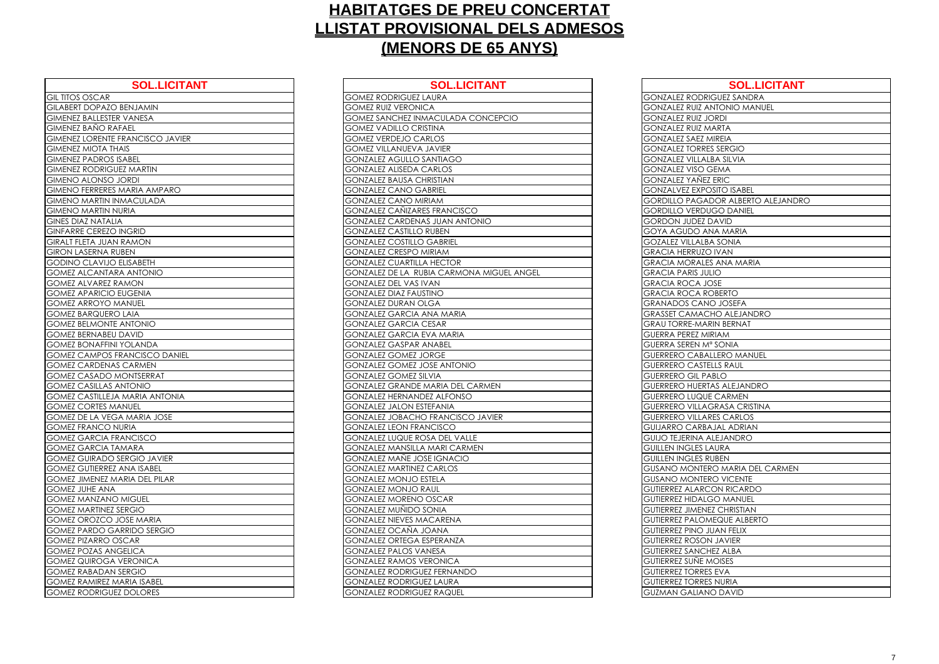| <b>SOL.LICITANT</b>                     | <b>SOL.LICITA</b>                     |
|-----------------------------------------|---------------------------------------|
| <b>GIL TITOS OSCAR</b>                  | <b>GOMEZ RODRIGUEZ LAURA</b>          |
| <b>GILABERT DOPAZO BENJAMIN</b>         | <b>GOMEZ RUIZ VERONICA</b>            |
| <b>GIMENEZ BALLESTER VANESA</b>         | <b>GOMEZ SANCHEZ INMACULADA CONO</b>  |
| <b>GIMENEZ BAÑO RAFAEL</b>              | <b>GOMEZ VADILLO CRISTINA</b>         |
| <b>GIMENEZ LORENTE FRANCISCO JAVIER</b> | <b>GOMEZ VERDEJO CARLOS</b>           |
| <b>GIMENEZ MIOTA THAIS</b>              | <b>GOMEZ VILLANUEVA JAVIER</b>        |
| <b>GIMENEZ PADROS ISABEL</b>            | <b>GONZALEZ AGULLO SANTIAGO</b>       |
| <b>GIMENEZ RODRIGUEZ MARTIN</b>         | <b>GONZALEZ ALISEDA CARLOS</b>        |
| <b>GIMENO ALONSO JORDI</b>              | <b>GONZALEZ BAUSA CHRISTIAN</b>       |
| GIMENO FERRERES MARIA AMPARO            | <b>GONZALEZ CANO GABRIEL</b>          |
| <b>GIMENO MARTIN INMACULADA</b>         | <b>GONZALEZ CANO MIRIAM</b>           |
| <b>GIMENO MARTIN NURIA</b>              | <b>GONZALEZ CAÑIZARES FRANCISCO</b>   |
| <b>GINES DIAZ NATALIA</b>               | <b>GONZALEZ CARDENAS JUAN ANTONIO</b> |
| <b>GINFARRE CEREZO INGRID</b>           | <b>GONZALEZ CASTILLO RUBEN</b>        |
| <b>GIRALT FLETA JUAN RAMON</b>          | <b>GONZALEZ COSTILLO GABRIEL</b>      |
| <b>GIRON LASERNA RUBEN</b>              | <b>GONZALEZ CRESPO MIRIAM</b>         |
| <b>GODINO CLAVIJO ELISABETH</b>         | <b>GONZALEZ CUARTILLA HECTOR</b>      |
| <b>GOMEZ ALCANTARA ANTONIO</b>          | GONZALEZ DE LA RUBIA CARMONA M        |
| <b>GOMEZ ALVAREZ RAMON</b>              | <b>GONZALEZ DEL VAS IVAN</b>          |
| <b>GOMEZ APARICIO EUGENIA</b>           | <b>GONZALEZ DIAZ FAUSTINO</b>         |
| <b>GOMEZ ARROYO MANUEL</b>              | <b>GONZALEZ DURAN OLGA</b>            |
| <b>GOMEZ BARQUERO LAIA</b>              | <b>GONZALEZ GARCIA ANA MARIA</b>      |
| <b>GOMEZ BELMONTE ANTONIO</b>           | <b>GONZALEZ GARCIA CESAR</b>          |
| <b>GOMEZ BERNABEU DAVID</b>             | <b>GONZALEZ GARCIA EVA MARIA</b>      |
| <b>GOMEZ BONAFFINI YOLANDA</b>          | <b>GONZALEZ GASPAR ANABEL</b>         |
| <b>GOMEZ CAMPOS FRANCISCO DANIEL</b>    | <b>GONZALEZ GOMEZ JORGE</b>           |
| <b>GOMEZ CARDENAS CARMEN</b>            | <b>GONZALEZ GOMEZ JOSE ANTONIO</b>    |
| <b>GOMEZ CASADO MONTSERRAT</b>          | <b>GONZALEZ GOMEZ SILVIA</b>          |
| <b>GOMEZ CASILLAS ANTONIO</b>           | <b>GONZALEZ GRANDE MARIA DEL CARM</b> |
| <b>GOMEZ CASTILLEJA MARIA ANTONIA</b>   | <b>GONZALEZ HERNANDEZ ALFONSO</b>     |
| <b>GOMEZ CORTES MANUEL</b>              | <b>GONZALEZ JALON ESTEFANIA</b>       |
| GOMEZ DE LA VEGA MARIA JOSE             | <b>GONZALEZ JOBACHO FRANCISCO JAV</b> |
| <b>GOMEZ FRANCO NURIA</b>               | <b>GONZALEZ LEON FRANCISCO</b>        |
| <b>GOMEZ GARCIA FRANCISCO</b>           | <b>GONZALEZ LUQUE ROSA DEL VALLE</b>  |
| <b>GOMEZ GARCIA TAMARA</b>              | <b>GONZALEZ MANSILLA MARI CARMEN</b>  |
| <b>GOMEZ GUIRADO SERGIO JAVIER</b>      | GONZALEZ MAÑE JOSE IGNACIO            |
| <b>GOMEZ GUTIERREZ ANA ISABEL</b>       | <b>GONZALEZ MARTINEZ CARLOS</b>       |
| <b>GOMEZ JIMENEZ MARIA DEL PILAR</b>    | <b>GONZALEZ MONJO ESTELA</b>          |
| <b>GOMEZ JUHE ANA</b>                   | <b>GONZALEZ MONJO RAUL</b>            |
| <b>GOMEZ MANZANO MIGUEL</b>             | <b>GONZALEZ MORENO OSCAR</b>          |
| <b>GOMEZ MARTINEZ SERGIO</b>            | <b>GONZALEZ MUÑIDO SONIA</b>          |
| <b>GOMEZ OROZCO JOSE MARIA</b>          | <b>GONZALEZ NIEVES MACARENA</b>       |
| <b>GOMEZ PARDO GARRIDO SERGIO</b>       | <b>GONZALEZ OCAÑA JOANA</b>           |
| <b>GOMEZ PIZARRO OSCAR</b>              | <b>GONZALEZ ORTEGA ESPERANZA</b>      |
| <b>GOMEZ POZAS ANGELICA</b>             | <b>GONZALEZ PALOS VANESA</b>          |
| <b>GOMEZ QUIROGA VERONICA</b>           | <b>GONZALEZ RAMOS VERONICA</b>        |
| <b>GOMEZ RABADAN SERGIO</b>             | <b>GONZALEZ RODRIGUEZ FERNANDO</b>    |
| <b>GOMEZ RAMIREZ MARIA ISABEL</b>       | <b>GONZALEZ RODRIGUEZ LAURA</b>       |
| <b>GOMEZ RODRIGUEZ DOLORES</b>          | <b>GONZALEZ RODRIGUEZ RAQUEL</b>      |

| <b>SOL.LICITANT</b>       | <b>SOL.LICITANT</b>                       | <b>SOL.LICITANT</b>                    |
|---------------------------|-------------------------------------------|----------------------------------------|
|                           | <b>GOMEZ RODRIGUEZ LAURA</b>              | <b>GONZALEZ RODRIGUEZ SANDRA</b>       |
| O BENJAMIN                | <b>GOMEZ RUIZ VERONICA</b>                | <b>GONZALEZ RUIZ ANTONIO MANUEL</b>    |
| <b><i>IER VANESA</i></b>  | GOMEZ SANCHEZ INMACULADA CONCEPCIO        | <b>GONZALEZ RUIZ JORDI</b>             |
| <b>RAFAEL</b>             | <b>GOMEZ VADILLO CRISTINA</b>             | <b>GONZALEZ RUIZ MARTA</b>             |
| <b>E FRANCISCO JAVIER</b> | <b>GOMEZ VERDEJO CARLOS</b>               | <b>GONZALEZ SAEZ MIREIA</b>            |
| <b>THAIS</b>              | <b>GOMEZ VILLANUEVA JAVIER</b>            | <b>GONZALEZ TORRES SERGIO</b>          |
| <b>SISABEL</b>            | <b>GONZALEZ AGULLO SANTIAGO</b>           | <b>GONZALEZ VILLALBA SILVIA</b>        |
| <b>GUEZ MARTIN</b>        | <b>GONZALEZ ALISEDA CARLOS</b>            | <b>GONZALEZ VISO GEMA</b>              |
| JORDI                     | <b>GONZALEZ BAUSA CHRISTIAN</b>           | <b>GONZALEZ YAÑEZ ERIC</b>             |
| <b>ES MARIA AMPARO</b>    | <b>GONZALEZ CANO GABRIEL</b>              | <b>GONZALVEZ EXPOSITO ISABEL</b>       |
| <b>INMACULADA</b>         | <b>GONZALEZ CANO MIRIAM</b>               | GORDILLO PAGADOR ALBERTO ALEJANDRO     |
| <b>NURIA</b>              | GONZALEZ CAÑIZARES FRANCISCO              | <b>GORDILLO VERDUGO DANIEL</b>         |
| <b>LIA</b>                | <b>GONZALEZ CARDENAS JUAN ANTONIO</b>     | <b>GORDON JUDEZ DAVID</b>              |
| O INGRID                  | <b>GONZALEZ CASTILLO RUBEN</b>            | <b>GOYA AGUDO ANA MARIA</b>            |
| <b>IN RAMON</b>           | <b>GONZALEZ COSTILLO GABRIEL</b>          | <b>GOZALEZ VILLALBA SONIA</b>          |
| <b>RUBEN</b>              | <b>GONZALEZ CRESPO MIRIAM</b>             | <b>GRACIA HERRUZO IVAN</b>             |
| O ELISABETH               | <b>GONZALEZ CUARTILLA HECTOR</b>          | <b>GRACIA MORALES ANA MARIA</b>        |
| <b>ARA ANTONIO</b>        | GONZALEZ DE LA RUBIA CARMONA MIGUEL ANGEL | <b>GRACIA PARIS JULIO</b>              |
| RAMON                     | <b>GONZALEZ DEL VAS IVAN</b>              | <b>GRACIA ROCA JOSE</b>                |
| O EUGENIA                 | <b>GONZALEZ DIAZ FAUSTINO</b>             | <b>GRACIA ROCA ROBERTO</b>             |
| <b>MANUEL</b>             | <b>GONZALEZ DURAN OLGA</b>                | <b>GRANADOS CANO JOSEFA</b>            |
| RO LAIA                   | <b>GONZALEZ GARCIA ANA MARIA</b>          | <b>GRASSET CAMACHO ALEJANDRO</b>       |
| <b>TE ANTONIO</b>         | <b>GONZALEZ GARCIA CESAR</b>              | <b>GRAU TORRE-MARIN BERNAT</b>         |
| <b>U DAVID</b>            | <b>GONZALEZ GARCIA EVA MARIA</b>          | <b>GUERRA PEREZ MIRIAM</b>             |
| NI YOLANDA                | <b>GONZALEZ GASPAR ANABEL</b>             | <b>GUERRA SEREN Mª SONIA</b>           |
| S FRANCISCO DANIEL        | <b>GONZALEZ GOMEZ JORGE</b>               | <b>GUERRERO CABALLERO MANUEL</b>       |
| <b>AS CARMEN</b>          | <b>GONZALEZ GOMEZ JOSE ANTONIO</b>        | <b>GUERRERO CASTELLS RAUL</b>          |
| MONTSERRAT                | <b>GONZALEZ GOMEZ SILVIA</b>              | <b>GUERRERO GIL PABLO</b>              |
| S ANTONIO                 | GONZALEZ GRANDE MARIA DEL CARMEN          | <b>GUERRERO HUERTAS ALEJANDRO</b>      |
| <b>JA MARIA ANTONIA</b>   | <b>GONZALEZ HERNANDEZ ALFONSO</b>         | <b>GUERRERO LUQUE CARMEN</b>           |
| MANUEL                    | <b>GONZALEZ JALON ESTEFANIA</b>           | <b>GUERRERO VILLAGRASA CRISTINA</b>    |
| <b>GA MARIA JOSE</b>      | <b>GONZALEZ JOBACHO FRANCISCO JAVIER</b>  | <b>GUERRERO VILLARES CARLOS</b>        |
| NURIA                     | <b>GONZALEZ LEON FRANCISCO</b>            | <b>GUIJARRO CARBAJAL ADRIAN</b>        |
| <b>FRANCISCO</b>          | <b>GONZALEZ LUQUE ROSA DEL VALLE</b>      | <b>GUIJO TEJERINA ALEJANDRO</b>        |
| <b>TAMARA</b>             | <b>GONZALEZ MANSILLA MARI CARMEN</b>      | <b>GUILLEN INGLES LAURA</b>            |
| O SERGIO JAVIER           | <b>GONZALEZ MAÑE JOSE IGNACIO</b>         | <b>GUILLEN INGLES RUBEN</b>            |
| EZ ANA ISABEL             | <b>GONZALEZ MARTINEZ CARLOS</b>           | <b>GUSANO MONTERO MARIA DEL CARMEN</b> |
| MARIA DEL PILAR           | <b>GONZALEZ MONJO ESTELA</b>              | <b>GUSANO MONTERO VICENTE</b>          |
| A                         | <b>GONZALEZ MONJO RAUL</b>                | <b>GUTIERREZ ALARCON RICARDO</b>       |
| <b>IO MIGUEL</b>          | <b>GONZALEZ MORENO OSCAR</b>              | <b>GUTIERREZ HIDALGO MANUEL</b>        |
| Z SERGIO                  | <b>GONZALEZ MUÑIDO SONIA</b>              | <b>GUTIERREZ JIMENEZ CHRISTIAN</b>     |
| JOSE MARIA                | <b>GONZALEZ NIEVES MACARENA</b>           | <b>GUTIERREZ PALOMEQUE ALBERTO</b>     |
| GARRIDO SERGIO            | <b>GONZALEZ OCAÑA JOANA</b>               | <b>GUTIERREZ PINO JUAN FELIX</b>       |
| <b>OSCAR</b>              | <b>GONZALEZ ORTEGA ESPERANZA</b>          | <b>GUTIERREZ ROSON JAVIER</b>          |
| <b>NGELICA</b>            | <b>GONZALEZ PALOS VANESA</b>              | <b>GUTIERREZ SANCHEZ ALBA</b>          |
| A VERONICA                | <b>GONZALEZ RAMOS VERONICA</b>            | <b>GUTIERREZ SUÑE MOISES</b>           |
| N SERGIO                  | <b>GONZALEZ RODRIGUEZ FERNANDO</b>        | <b>GUTIERREZ TORRES EVA</b>            |
| <b>MARIA ISABEL</b>       | <b>GONZALEZ RODRIGUEZ LAURA</b>           | <b>GUTIERREZ TORRES NURIA</b>          |
| <b>JEZ DOLORES</b>        | <b>GONZALEZ RODRIGUEZ RAQUEL</b>          | <b>GUZMAN GALIANO DAVID</b>            |
|                           |                                           |                                        |

| <b>GONZALEZ RODF</b>                            |
|-------------------------------------------------|
| <b>GONZALEZ RUIZ /</b>                          |
| <b>GONZALEZ RUIZ.</b>                           |
| <b>GONZALEZ RUIZ N</b>                          |
| <b>GONZALEZ SAEZ</b>                            |
| <b>GONZALEZ TORR</b>                            |
| <b>GONZALEZ VILLA</b>                           |
| <b>GONZALEZ VISO</b>                            |
| <b>GONZALEZ YANE</b>                            |
| <b>GONZALVEZ EXP</b>                            |
| <b>GORDILLO PAGA</b>                            |
| <b>GORDILLO VERD</b>                            |
| <b>GORDON JUDEZ</b>                             |
| GOYA AGUDO A                                    |
| <b>GOZALEZ VILLALI</b>                          |
| <b>GRACIA HERRUZ</b>                            |
| <b>GRACIA MORAL</b>                             |
| <b>GRACIA PARIS JI</b>                          |
| <b>GRACIA ROCA J</b>                            |
| <b>GRACIA ROCA R</b>                            |
| <b>GRANADOS CAN</b>                             |
| <b>GRASSET CAMAO</b>                            |
| <b>GRAU TORRE-MA</b>                            |
| <b>GUERRA PEREZ M</b>                           |
| <b>GUERRA SEREN N</b>                           |
| <b>GUERRERO CAB</b>                             |
| <b>GUERRERO CAST</b>                            |
| <b>GUERRERO GIL P</b>                           |
| <b>GUERRERO HUER</b>                            |
| GUERRERO LUQU                                   |
| <b>GUERRERO VILLA</b>                           |
| <b>GUERRERO VILLA</b>                           |
| <b>GUIJARRO CARB</b>                            |
| <b>GUIJO TEJERINA</b>                           |
| <b>GUILLEN INGLES</b>                           |
| <b>GUILLEN INGLES</b>                           |
| <b>GUSANO MONTE</b>                             |
| <b>GUSANO MONTE</b>                             |
| <b>GUTIERREZ ALAR</b><br><b>GUTIERREZ HIDAL</b> |
| <b>GUTIERREZ JIMEN</b>                          |
| C<br>C                                          |
| SUTIERREZ PALO                                  |
| <b>GUTIERREZ PINO</b><br><b>GUTIERREZ ROSO</b>  |
| <b>GUTIERREZ SANC</b>                           |
| GUTIERREZ SUÑE                                  |
| <b>GUTIERREZ TORRI</b>                          |
| <b>GUTIERREZ TORRI</b>                          |
| <b>GUZMAN GALIAI</b>                            |
|                                                 |

| <b>SOL.LICITANT</b>          |
|------------------------------|
| <b>GUEZ SANDRA</b>           |
| NTONIO MANUEL                |
| <b>CRDI</b>                  |
| ARTA                         |
| <b>IREIA</b>                 |
| S SERGIO                     |
| <b>BA SILVIA</b>             |
| <b>EMA</b>                   |
| <b>ERIC</b>                  |
| <b>SITO ISABEL</b>           |
| <b>DOR ALBERTO ALEJANDRO</b> |
| <b>GO DANIEL</b>             |
| <b>AVID</b>                  |
| JA MARIA                     |
| A SONIA                      |
| <b>IVAN</b>                  |
| S ANA MARIA                  |
| <b>JO</b>                    |
| .<br>DSE                     |
| DBERTO                       |
| o josefa                     |
| HO ALEJANDRO                 |
| IN BERNAT                    |
| RIAM                         |
| SONIA                        |
| <b>LERO MANUEL</b>           |
| LLS RAUL                     |
| <b>BLO</b>                   |
| AS ALEJANDRO                 |
| CARMEN                       |
| GRASA CRISTINA               |
| <b>ES CARLOS</b>             |
| JAL ADRIAN                   |
| LEJANDRO                     |
| AURA                         |
| <b>JBEN</b>                  |
| O MARIA DEL CARMEN           |
| O VICENTE                    |
| ON RICARDO                   |
| <b>GO MANUEL</b>             |
| Z CHRISTIAN                  |
| <b>IEQUE ALBERTO</b>         |
| <b>JAN FELIX</b>             |
| I JAVIER                     |
| EZ ALBA                      |
| <b>IOISES</b>                |
| <b>EVA</b>                   |
| NURIA                        |
| O DAVID                      |
|                              |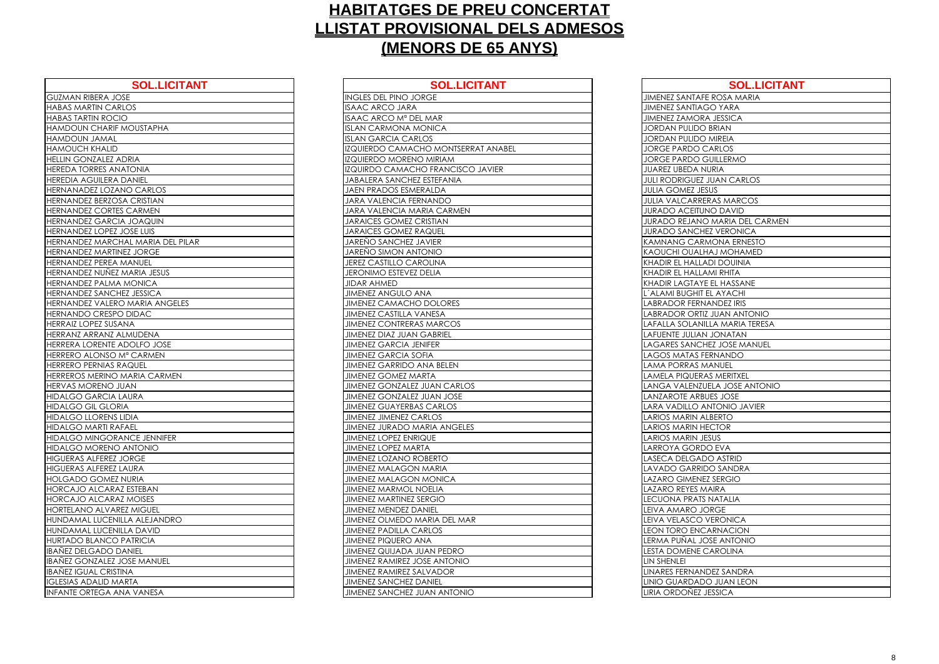| <b>SOL.LICITANT</b>                | <b>SOL.LIC</b>                      |
|------------------------------------|-------------------------------------|
| <b>GUZMAN RIBERA JOSE</b>          | <b>INGLES DEL PINO JORGE</b>        |
| <b>HABAS MARTIN CARLOS</b>         | <b>ISAAC ARCO JARA</b>              |
| <b>HABAS TARTIN ROCIO</b>          | ISAAC ARCO Mª DEL MAR               |
| HAMDOUN CHARIF MOUSTAPHA           | <b>ISLAN CARMONA MONICA</b>         |
| <b>HAMDOUN JAMAL</b>               | <b>ISLAN GARCIA CARLOS</b>          |
| <b>HAMOUCH KHALID</b>              | IZQUIERDO CAMACHO MONTSERR          |
| HELLIN GONZALEZ ADRIA              | IZQUIERDO MORENO MIRIAM             |
| <b>HEREDA TORRES ANATONIA</b>      | IZQUIRDO CAMACHO FRANCISCO          |
| <b>HEREDIA AGUILERA DANIEL</b>     | <b>JABALERA SANCHEZ ESTEFANIA</b>   |
| HERNANADEZ LOZANO CARLOS           | JAEN PRADOS ESMERALDA               |
| HERNANDEZ BERZOSA CRISTIAN         | <b>JARA VALENCIA FERNANDO</b>       |
| HERNANDEZ CORTES CARMEN            | JARA VALENCIA MARIA CARMEN          |
| HERNANDEZ GARCIA JOAQUIN           | <b>JARAICES GOMEZ CRISTIAN</b>      |
| HERNANDEZ LOPEZ JOSE LUIS          | <b>JARAICES GOMEZ RAQUEL</b>        |
| HERNANDEZ MARCHAL MARIA DEL PILAR  | <b>JAREÑO SANCHEZ JAVIER</b>        |
| <b>HERNANDEZ MARTINEZ JORGE</b>    | <b>JAREÑO SIMON ANTONIO</b>         |
| HERNANDEZ PEREA MANUEL             | <b>JEREZ CASTILLO CAROLINA</b>      |
| HERNANDEZ NUÑEZ MARIA JESUS        | <b>JERONIMO ESTEVEZ DELIA</b>       |
| HERNANDEZ PALMA MONICA             | <b>JIDAR AHMED</b>                  |
| HERNANDEZ SANCHEZ JESSICA          | <b>JIMENEZ ANGULO ANA</b>           |
| HERNANDEZ VALERO MARIA ANGELES     | <b>JIMENEZ CAMACHO DOLORES</b>      |
| HERNANDO CRESPO DIDAC              | <b>JIMENEZ CASTILLA VANESA</b>      |
| <b>HERRAIZ LOPEZ SUSANA</b>        | <b>JIMENEZ CONTRERAS MARCOS</b>     |
| HERRANZ ARRANZ ALMUDENA            | <b>JIMENEZ DIAZ JUAN GABRIEL</b>    |
| HERRERA LORENTE ADOLFO JOSE        | <b>JIMENEZ GARCIA JENIFER</b>       |
| HERRERO ALONSO Mª CARMEN           | <b>JIMENEZ GARCIA SOFIA</b>         |
| HERRERO PERNIAS RAQUEL             | <b>JIMENEZ GARRIDO ANA BELEN</b>    |
| HERREROS MERINO MARIA CARMEN       | <b>JIMENEZ GOMEZ MARTA</b>          |
| HERVAS MORENO JUAN                 | <b>JIMENEZ GONZALEZ JUAN CARLOS</b> |
| <b>HIDALGO GARCIA LAURA</b>        | JIMENEZ GONZALEZ JUAN JOSE          |
| <b>HIDALGO GIL GLORIA</b>          | <b>JIMENEZ GUAYERBAS CARLOS</b>     |
| <b>HIDALGO LLORENS LIDIA</b>       | <b>JIMENEZ JIMENEZ CARLOS</b>       |
| <b>HIDALGO MARTI RAFAEL</b>        | <b>JIMENEZ JURADO MARIA ANGELES</b> |
| HIDALGO MINGORANCE JENNIFER        | <b>JIMENEZ LOPEZ ENRIQUE</b>        |
| <b>HIDALGO MORENO ANTONIO</b>      | <b>JIMENEZ LOPEZ MARTA</b>          |
| <b>HIGUERAS ALFEREZ JORGE</b>      | <b>JIMENEZ LOZANO ROBERTO</b>       |
| <b>HIGUERAS ALFEREZ LAURA</b>      | <b>JIMENEZ MALAGON MARIA</b>        |
| <b>HOLGADO GOMEZ NURIA</b>         | <b>JIMENEZ MALAGON MONICA</b>       |
| <b>HORCAJO ALCARAZ ESTEBAN</b>     | <b>JIMENEZ MARMOL NOELIA</b>        |
| HORCAJO ALCARAZ MOISES             | <b>JIMENEZ MARTINEZ SERGIO</b>      |
| <b>HORTELANO ALVAREZ MIGUEL</b>    | <b>JIMENEZ MENDEZ DANIEL</b>        |
| HUNDAMAL LUCENILLA ALEJANDRO       | JIMENEZ OLMEDO MARIA DEL MAI        |
| HUNDAMAL LUCENILLA DAVID           | <b>JIMENEZ PADILLA CARLOS</b>       |
| <b>HURTADO BLANCO PATRICIA</b>     | <b>JIMENEZ PIQUERO ANA</b>          |
| <b>IBAÑEZ DELGADO DANIEL</b>       | JIMENEZ QUIJADA JUAN PEDRO          |
| <b>IBANEZ GONZALEZ JOSE MANUEL</b> | <b>JIMENEZ RAMIREZ JOSE ANTONIO</b> |
| <b>IBAÑEZ IGUAL CRISTINA</b>       | <b>JIMENEZ RAMIREZ SALVADOR</b>     |
| <b>IGLESIAS ADALID MARTA</b>       | <b>JIMENEZ SANCHEZ DANIEL</b>       |
| <b>INFANTE ORTEGA ANA VANESA</b>   | <b>JIMENEZ SANCHEZ JUAN ANTONIC</b> |

| <b>SOL.LICITANT</b>     | <b>SOL.LICITANT</b>                 | <b>SOL.LICITANT</b>                   |
|-------------------------|-------------------------------------|---------------------------------------|
| <b>JOSE</b>             | <b>INGLES DEL PINO JORGE</b>        | JIMENEZ SANTAFE ROSA MARIA            |
| ARLOS                   | <b>ISAAC ARCO JARA</b>              | <b>JIMENEZ SANTIAGO YARA</b>          |
| <b>CIO</b>              | ISAAC ARCO Mª DEL MAR               | <b>JIMENEZ ZAMORA JESSICA</b>         |
| <b>IF MOUSTAPHA</b>     | <b>ISLAN CARMONA MONICA</b>         | <b>JORDAN PULIDO BRIAN</b>            |
|                         | <b>ISLAN GARCIA CARLOS</b>          | <b>JORDAN PULIDO MIREIA</b>           |
| $\overline{\mathsf{D}}$ | IZQUIERDO CAMACHO MONTSERRAT ANABEL | <b>JORGE PARDO CARLOS</b>             |
| <b>ADRIA</b>            | IZQUIERDO MORENO MIRIAM             | <b>JORGE PARDO GUILLERMO</b>          |
| <b>NATONIA</b>          | IZQUIRDO CAMACHO FRANCISCO JAVIER   | <b>JUAREZ UBEDA NURIA</b>             |
| A DANIEL                | <b>JABALERA SANCHEZ ESTEFANIA</b>   | <b>JULI RODRIGUEZ JUAN CARLOS</b>     |
| ZANO CARLOS             | <b>JAEN PRADOS ESMERALDA</b>        | <b>JULIA GOMEZ JESUS</b>              |
| OSA CRISTIAN            | JARA VALENCIA FERNANDO              | <b>JULIA VALCARRERAS MARCOS</b>       |
| <b>TES CARMEN</b>       | JARA VALENCIA MARIA CARMEN          | <b>JURADO ACEITUNO DAVID</b>          |
| CIA JOAQUIN             | <b>JARAICES GOMEZ CRISTIAN</b>      | <b>JURADO REJANO MARIA DEL CARMEN</b> |
| Z JOSE LUIS             | <b>JARAICES GOMEZ RAQUEL</b>        | <b>JURADO SANCHEZ VERONICA</b>        |
| CHAL MARIA DEL PILAR    | JAREÑO SANCHEZ JAVIER               | <b>KAMNANG CARMONA ERNESTO</b>        |
| <b>TINEZ JORGE</b>      | <b>JAREÑO SIMON ANTONIO</b>         | KAOUCHI OUALHAJ MOHAMED               |
| A MANUEL                | <b>JEREZ CASTILLO CAROLINA</b>      | KHADIR EL HALLADI DOUINIA             |
| EZ MARIA JESUS          | <b>JERONIMO ESTEVEZ DELIA</b>       | KHADIR EL HALLAMI RHITA               |
| <b>AA MONICA</b>        | <b>JIDAR AHMED</b>                  | KHADIR LAGTAYE EL HASSANE             |
| CHEZ JESSICA            | <b>JIMENEZ ANGULO ANA</b>           | L'ALAMI BUGHIT EL AYACHI              |
| <b>RO MARIA ANGELES</b> | <b>JIMENEZ CAMACHO DOLORES</b>      | <b>LABRADOR FERNANDEZ IRIS</b>        |
| PO DIDAC                | <b>JIMENEZ CASTILLA VANESA</b>      | LABRADOR ORTIZ JUAN ANTONIO           |
| <b>ISANA</b>            | <b>JIMENEZ CONTRERAS MARCOS</b>     | LAFALLA SOLANILLA MARIA TERESA        |
| <b>ALMUDENA</b>         | <b>JIMENEZ DIAZ JUAN GABRIEL</b>    | LAFUENTE JULIAN JONATAN               |
| E ADOLFO JOSE           | <b>JIMENEZ GARCIA JENIFER</b>       | LAGARES SANCHEZ JOSE MANUEL           |
| O M <sup>a</sup> CARMEN | <b>JIMENEZ GARCIA SOFIA</b>         | LAGOS MATAS FERNANDO                  |
| SRAQUEL                 | <b>JIMENEZ GARRIDO ANA BELEN</b>    | <b>LAMA PORRAS MANUEL</b>             |
| O MARIA CARMEN          | <b>JIMENEZ GOMEZ MARTA</b>          | LAMELA PIQUERAS MERITXEL              |
| <b>HAUL</b>             | <b>JIMENEZ GONZALEZ JUAN CARLOS</b> | LANGA VALENZUELA JOSE ANTONIO         |
| A LAURA                 | JIMENEZ GONZALEZ JUAN JOSE          | LANZAROTE ARBUES JOSE                 |
| <b>ORIA</b>             | <b>JIMENEZ GUAYERBAS CARLOS</b>     | LARA VADILLO ANTONIO JAVIER           |
| IS LIDIA                | <b>JIMENEZ JIMENEZ CARLOS</b>       | LARIOS MARIN ALBERTO                  |
| <b>AFAEL</b>            | JIMENEZ JURADO MARIA ANGELES        | <b>LARIOS MARIN HECTOR</b>            |
| <b>RANCE JENNIFER</b>   | <b>JIMENEZ LOPEZ ENRIQUE</b>        | <b>LARIOS MARIN JESUS</b>             |
| <b>OINOTIA OI</b>       | <b>JIMENEZ LOPEZ MARTA</b>          | LARROYA GORDO EVA                     |
| Z JORGE                 | <b>JIMENEZ LOZANO ROBERTO</b>       | LASECA DELGADO ASTRID                 |
| Z LAURA                 | <b>JIMENEZ MALAGON MARIA</b>        | LAVADO GARRIDO SANDRA                 |
| EZ NURIA                | <b>JIMENEZ MALAGON MONICA</b>       | <b>LAZARO GIMENEZ SERGIO</b>          |
| RAZ ESTEBAN             | <b>JIMENEZ MARMOL NOELIA</b>        | <b>LAZARO REYES MAIRA</b>             |
| RAZ MOISES              | <b>JIMENEZ MARTINEZ SERGIO</b>      | <b>LECUONA PRATS NATALIA</b>          |
| AREZ MIGUEL             | <b>JIMENEZ MENDEZ DANIEL</b>        | LEIVA AMARO JORGE                     |
| NILLA ALEJANDRO         | JIMENEZ OLMEDO MARIA DEL MAR        | LEIVA VELASCO VERONICA                |
| NILLA DAVID             | <b>JIMENEZ PADILLA CARLOS</b>       | <b>LEON TORO ENCARNACION</b>          |
| O PATRICIA              | <b>JIMENEZ PIQUERO ANA</b>          | LERMA PUÑAL JOSE ANTONIO              |
| <b>DANIEL</b>           | JIMENEZ QUIJADA JUAN PEDRO          | LESTA DOMENE CAROLINA                 |
| <b>Z JOSE MANUEL</b>    | <b>JIMENEZ RAMIREZ JOSE ANTONIO</b> | LIN SHENLEI                           |
| <b>STINA</b>            | <b>JIMENEZ RAMIREZ SALVADOR</b>     | LINARES FERNANDEZ SANDRA              |
| MARTA                   | <b>JIMENEZ SANCHEZ DANIEL</b>       | LINIO GUARDADO JUAN LEON              |
| ANA VANESA              | JIMENEZ SANCHEZ JUAN ANTONIO        | LIRIA ORDOÑEZ JESSICA                 |

| <b>JIMENEZ SANTAFI</b>         |
|--------------------------------|
| <b>JIMENEZ SANTIAC</b>         |
| JIMENEZ ZAMOR                  |
| JORDAN PU <u>LIDO</u>          |
| <b>JORDAN PULIDO</b>           |
| <b>JORGE PARDO C</b>           |
| JORGE PARDO C                  |
| JUAREZ UBEDA N                 |
| <b>JULI RODRIGUEZ</b>          |
| <b>JULIA GOMEZ JES</b>         |
| <b>JULIA VALCARRE</b>          |
| <b>JURADO ACEITUI</b>          |
| <b>JURADO REJANO</b>           |
| <b>JURADO SANCHI</b>           |
| <b>KAMNANG CARI</b>            |
| <b>KAOUCHI OUALH</b>           |
| <b>KHADIR EL HALLA</b>         |
| KHADIR EL HALLA                |
| <b>KHADIR LAGTAYE</b>          |
| L'ALAMI BUGHIT                 |
| LABRADOR FERN                  |
| <b>LABRADOR ORTIZ</b>          |
| LAFALLA SOLANI                 |
| LAFUENTE JULIAN                |
| LAGARES SANCH                  |
| <b>LAGOS MATAS FI</b>          |
| LAMA PORRAS M                  |
| LAMELA PIQUERA                 |
| <b>LANGA VALENZU</b>           |
| <b>LANZAROTE ARBI</b>          |
| LARA VADILLO A                 |
| LARIOS MARIN A                 |
| LARIOS MARIN HI                |
| LARIOS MARIN JE                |
| LARROYA GORD                   |
| <b>LASECA DELGAD</b>           |
| <b>LAVADO GARRID</b>           |
| <b>LAZARO GIMENE</b>           |
| AZARO REYES M<br>I             |
| <b>CUONA PRATS</b><br>LE       |
| LEIVA AMARO JO                 |
| IVA VELASCO <sup>'</sup><br>LE |
| <b>TORO ENC</b><br>LE<br>:ON   |
| LERMA PUÑAL JC                 |
| LESTA DOMENE (                 |
| LIN SHENLEI                    |
| <b>LINARES FERNAN</b>          |
| LINIO GUARDAD                  |
| liria ordoñez .                |
|                                |

| <b>SOL.LICITANT</b>  |
|----------------------|
| ROSA MARIA           |
| O YARA               |
| <b>JESSICA</b>       |
| 3RIAN                |
| MIREIA               |
| ARLOS                |
| <b>JILLERMO</b>      |
| <b>RIA</b>           |
| <b>UAN CARLOS</b>    |
| JS                   |
| <b>AS MARCOS</b>     |
| O DAVID              |
| MARIA DEL CARMEN     |
| Z VERONICA           |
| <b>ONA ERNESTO</b>   |
| <b>AJ MOHAMED</b>    |
| <b>AINIUOCIC</b>     |
| AI RHITA             |
| EL HASSANE           |
| L AYACHI             |
| NDEZ IRIS            |
| <b>JUAN ANTONIO</b>  |
| A MARIA TERESA       |
| <b>JONATAN</b>       |
| Z JOSE MANUEL        |
| <b>OUNANS</b>        |
| ANUEL                |
| S MERITXEL           |
| LA JOSE ANTONIO      |
| ES JOSE              |
| <b>ITONIO JAVIER</b> |
| 3ERTO                |
| CTOR                 |
| iUS                  |
| $\overline{D}$ EVA   |
| ) ASTRID             |
| O SANDRA             |
| <b>SERGIO</b>        |
| <b>NRA</b>           |
| <b>JATALIA</b>       |
| RGE                  |
| ERONICA              |
| RNACION              |
| <b>SE ANTONIO</b>    |
| AROLINA              |
|                      |
| EZ SANDRA            |
| JUAN LEON            |
| <b>SSICA</b>         |
|                      |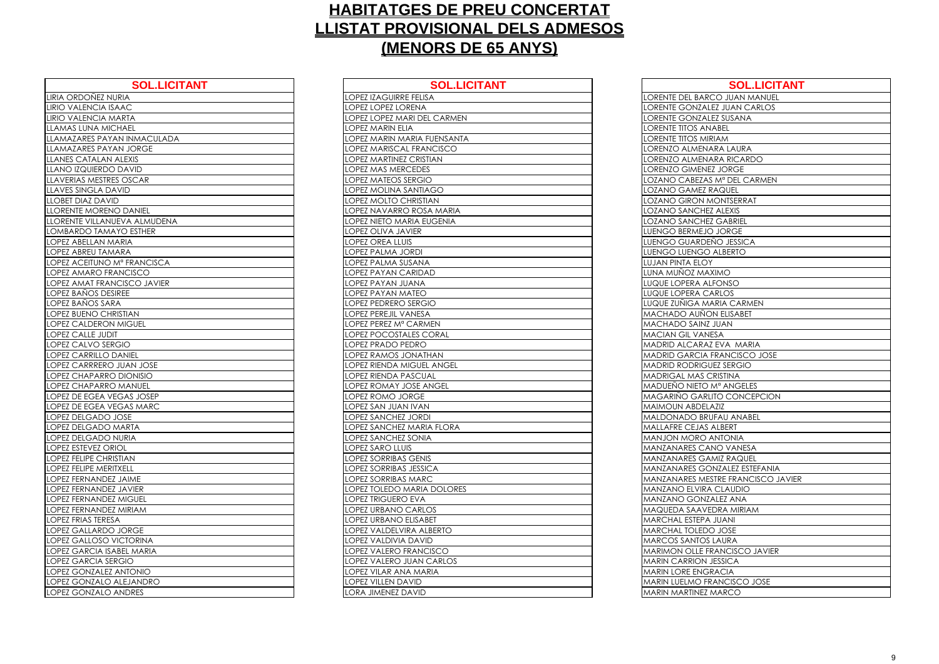| <b>SOL.LICITANT</b>              | <b>SOL.L</b>                     |
|----------------------------------|----------------------------------|
| LIRIA ORDOÑEZ NURIA              | <b>LOPEZ IZAGUIRRE FELISA</b>    |
| LIRIO VALENCIA ISAAC             | <b>LOPEZ LOPEZ LORENA</b>        |
| LIRIO VALENCIA MARTA             | LOPEZ LOPEZ MARI DEL CARME       |
| <b>LLAMAS LUNA MICHAEL</b>       | <b>LOPEZ MARIN ELIA</b>          |
| LLAMAZARES PAYAN INMACULADA      | LOPEZ MARIN MARIA FUENSAN        |
| LLAMAZARES PAYAN JORGE           | LOPEZ MARISCAL FRANCISCO         |
| <b>LLANES CATALAN ALEXIS</b>     | <b>LOPEZ MARTINEZ CRISTIAN</b>   |
| LLANO IZQUIERDO DAVID            | LOPEZ MAS MERCEDES               |
| LLAVERIAS MESTRES OSCAR          | <b>LOPEZ MATEOS SERGIO</b>       |
| <b>LLAVES SINGLA DAVID</b>       | LOPEZ MOLINA SANTIAGO            |
| <b>LLOBET DIAZ DAVID</b>         | LOPEZ MOLTO CHRISTIAN            |
| <b>LLORENTE MORENO DANIEL</b>    | LOPEZ NAVARRO ROSA MARIA         |
| LLORENTE VILLANUEVA ALMUDENA     | LOPEZ NIETO MARIA EUGENIA        |
| LOMBARDO TAMAYO ESTHER           | <b>LOPEZ OLIVA JAVIER</b>        |
| LOPEZ ABELLAN MARIA              | <b>LOPEZ OREA LLUIS</b>          |
| <b>LOPEZ ABREU TAMARA</b>        | LOPEZ PALMA JORDI                |
| LOPEZ ACEITUNO Mº FRANCISCA      | LOPEZ PALMA SUSANA               |
| LOPEZ AMARO FRANCISCO            | <b>LOPEZ PAYAN CARIDAD</b>       |
| LOPEZ AMAT FRANCISCO JAVIER      | LOPEZ PAYAN JUANA                |
| LOPEZ BAÑOS DESIREE              | <b>LOPEZ PAYAN MATEO</b>         |
| LOPEZ BAÑOS SARA                 | <b>LOPEZ PEDRERO SERGIO</b>      |
| LOPEZ BUENO CHRISTIAN            | <b>LOPEZ PEREJIL VANESA</b>      |
| <b>LOPEZ CALDERON MIGUEL</b>     | LOPEZ PEREZ Mª CARMEN            |
| <b>LOPEZ CALLE JUDIT</b>         | <b>LOPEZ POCOSTALES CORAL</b>    |
| <b>LOPEZ CALVO SERGIO</b>        | <b>LOPEZ PRADO PEDRO</b>         |
| LOPEZ CARRILLO DANIEL            | LOPEZ RAMOS JONATHAN             |
| LOPEZ CARRRERO JUAN JOSE         | LOPEZ RIENDA MIGUEL ANGEL        |
| LOPEZ CHAPARRO DIONISIO          | <b>LOPEZ RIENDA PASCUAL</b>      |
| LOPEZ CHAPARRO MANUEL            | LOPEZ ROMAY JOSE ANGEL           |
| LOPEZ DE EGEA VEGAS JOSEP        | LOPEZ ROMO JORGE                 |
| LOPEZ DE EGEA VEGAS MARC         | LOPEZ SAN JUAN IVAN              |
| <b>LOPEZ DELGADO JOSE</b>        | <b>LOPEZ SANCHEZ JORDI</b>       |
| LOPEZ DELGADO MARTA              | <b>LOPEZ SANCHEZ MARIA FLORA</b> |
| <b>LOPEZ DELGADO NURIA</b>       | <b>LOPEZ SANCHEZ SONIA</b>       |
| LOPEZ ESTEVEZ ORIOL              | <b>LOPEZ SARO LLUIS</b>          |
| <b>LOPEZ FELIPE CHRISTIAN</b>    | <b>LOPEZ SORRIBAS GENIS</b>      |
| LOPEZ FELIPE MERITXELL           | <b>LOPEZ SORRIBAS JESSICA</b>    |
| LOPEZ FERNANDEZ JAIME            | <b>LOPEZ SORRIBAS MARC</b>       |
| <b>LOPEZ FERNANDEZ JAVIER</b>    | LOPEZ TOLEDO MARIA DOLORI        |
| <b>LOPEZ FERNANDEZ MIGUEL</b>    | <b>LOPEZ TRIGUERO EVA</b>        |
| LOPEZ FERNANDEZ MIRIAM           | LOPEZ URBANO CARLOS              |
| LOPEZ FRIAS TERESA               | LOPEZ URBANO ELISABET            |
| LOPEZ GALLARDO JORGE             | LOPEZ VALDELVIRA ALBERTO         |
| <b>LOPEZ GALLOSO VICTORINA</b>   | LOPEZ VALDIVIA DAVID             |
| <b>LOPEZ GARCIA ISABEL MARIA</b> | LOPEZ VALERO FRANCISCO           |
| <b>LOPEZ GARCIA SERGIO</b>       | LOPEZ VALERO JUAN CARLOS         |
| <b>LOPEZ GONZALEZ ANTONIO</b>    | LOPEZ VILAR ANA MARIA            |
| LOPEZ GONZALO ALEJANDRO          | <b>LOPEZ VILLEN DAVID</b>        |
| LOPEZ GONZALO ANDRES             | LORA JIMENEZ DAVID               |

| <b>SOL.LICITANT</b>            | <b>SOL.LICITANT</b>                            | <b>SOL.LICITANT</b>                                         |
|--------------------------------|------------------------------------------------|-------------------------------------------------------------|
| URIA                           | LOPEZ IZAGUIRRE FELISA                         | LORENTE DEL BARCO JUAN MANUEL                               |
| <b>AAC</b>                     | LOPEZ LOPEZ LORENA                             | <b>LORENTE GONZALEZ JUAN CARLOS</b>                         |
| <b>ARTA</b>                    | LOPEZ LOPEZ MARI DEL CARMEN                    | LORENTE GONZALEZ SUSANA                                     |
| <b>CHAEL</b>                   | LOPEZ MARIN ELIA                               | LORENTE TITOS ANABEL                                        |
| AN INMACULADA                  | LOPEZ MARIN MARIA FUENSANTA                    | LORENTE TITOS MIRIAM                                        |
| AN JORGE                       | OPEZ MARISCAL FRANCISCO                        | ORENZO ALMENARA LAURA                                       |
| <b>ALEXIS</b>                  | <b>LOPEZ MARTINEZ CRISTIAN</b>                 | ORENZO ALMENARA RICARDO                                     |
| DAVID                          | LOPEZ MAS MERCEDES                             | <b>LORENZO GIMENEZ JORGE</b>                                |
| ES OSCAR                       | LOPEZ MATEOS SERGIO                            | LOZANO CABEZAS Mª DEL CARMEN                                |
| AVID                           | LOPEZ MOLINA SANTIAGO                          | LOZANO GAMEZ RAQUEL                                         |
| D                              | LOPEZ MOLTO CHRISTIAN                          | LOZANO GIRON MONTSERRAT                                     |
| O DANIEL                       | OPEZ NAVARRO ROSA MARIA                        | <b>OZANO SANCHEZ ALEXIS</b>                                 |
| <b>JEVA ALMUDENA</b>           | LOPEZ NIETO MARIA EUGENIA                      | <b>LOZANO SANCHEZ GABRIEL</b>                               |
| <b>AYO ESTHER</b>              | LOPEZ OLIVA JAVIER                             | LUENGO BERMEJO JORGE                                        |
| <b>IARIA</b>                   | <b>LOPEZ OREA LLUIS</b>                        | LUENGO GUARDEÑO JESSICA                                     |
| <b>IARA</b>                    | LOPEZ PALMA JORDI                              | LUENGO LUENGO ALBERTO                                       |
| M <sup>a</sup> FRANCISCA       | OPEZ PALMA SUSANA                              | LUJAN PINTA ELOY                                            |
| ANCISCO                        | LOPEZ PAYAN CARIDAD                            | LUNA MUÑOZ MAXIMO                                           |
| <b>JCISCO JAVIER</b>           | LOPEZ PAYAN JUANA                              | LUQUE LOPERA ALFONSO                                        |
| <b>IREE</b>                    | LOPEZ PAYAN MATEO                              | <b>LUQUE LOPERA CARLOS</b>                                  |
| RЯ                             | LOPEZ PEDRERO SERGIO                           | LUQUE ZUÑIGA MARIA CARMEN                                   |
| RISTIAN                        | LOPEZ PEREJIL VANESA                           | <b>MACHADO AUÑON ELISABET</b>                               |
| <b>I MIGUEL</b>                | OPEZ PEREZ Mª CARMEN                           | MACHADO SAINZ JUAN                                          |
|                                | LOPEZ POCOSTALES CORAL                         | <b>MACIAN GIL VANESA</b>                                    |
| GIO:                           | LOPEZ PRADO PEDRO                              | MADRID ALCARAZ EVA MARIA                                    |
| <b>DANIEL</b>                  | LOPEZ RAMOS JONATHAN                           | MADRID GARCIA FRANCISCO JOSE                                |
| <b>JUAN JOSE</b>               | LOPEZ RIENDA MIGUEL ANGEL                      | <b>MADRID RODRIGUEZ SERGIO</b>                              |
| DIONISIO                       | OPEZ RIENDA PASCUAL                            | MADRIGAL MAS CRISTINA                                       |
| MANUEL                         | LOPEZ ROMAY JOSE ANGEL                         | MADUEÑO NIETO Mª ANGELES                                    |
| <b>EGAS JOSEP</b>              | LOPEZ ROMO JORGE                               | <b>MAGARIÑO GARLITO CONCEPCION</b>                          |
| EGAS MARC                      | LOPEZ SAN JUAN IVAN                            | <b>MAIMOUN ABDELAZIZ</b>                                    |
| JOSE                           | LOPEZ SANCHEZ JORDI                            | MALDONADO BRUFAU ANABEL                                     |
| MARTA                          | LOPEZ SANCHEZ MARIA FLORA                      | <b>MALLAFRE CEJAS ALBERT</b>                                |
| NURIA                          | <b>LOPEZ SANCHEZ SONIA</b>                     | <b>MANJON MORO ANTONIA</b>                                  |
| <b>JOL</b>                     | <b>LOPEZ SARO LLUIS</b>                        | IMANZANARES CANO VANESA                                     |
| <b>ISTIAN</b>                  | <b>LOPEZ SORRIBAS GENIS</b>                    | <b>MANZANARES GAMIZ RAQUEL</b>                              |
| <b>TXELL</b>                   | LOPEZ SORRIBAS JESSICA                         | MANZANARES GONZALEZ ESTEFANIA                               |
| Z JAIME                        | LOPEZ SORRIBAS MARC                            | MANZANARES MESTRE FRANCISCO JAVIER                          |
| <b>Z JAVIER</b>                | OPEZ TOLEDO MARIA DOLORES                      | MANZANO ELVIRA CLAUDIO                                      |
| <b>Z MIGUEL</b>                | LOPEZ TRIGUERO EVA                             | <b>MANZANO GONZALEZ ANA</b>                                 |
| <b>Z MIRIAM</b>                | LOPEZ URBANO CARLOS<br>LOPEZ URBANO ELISABET   | MAQUEDA SAAVEDRA MIRIAM<br>MARCHAL ESTEPA JUANI             |
| iА<br>JORGE                    | LOPEZ VALDELVIRA ALBERTO                       | <b>MARCHAL TOLEDO JOSE</b>                                  |
|                                |                                                |                                                             |
| <b>VICTORINA</b><br>ABEL MARIA | LOPEZ VALDIVIA DAVID<br>LOPEZ VALERO FRANCISCO | <b>MARCOS SANTOS LAURA</b><br>MARIMON OLLE FRANCISCO JAVIER |
| <b>RGIO</b>                    | LOPEZ VALERO JUAN CARLOS                       | <b>MARIN CARRION JESSICA</b>                                |
| <b>ANTONIO</b>                 | LOPEZ VILAR ANA MARIA                          | <b>MARIN LORE ENGRACIA</b>                                  |
| ALEJANDRO                      | <b>LOPEZ VILLEN DAVID</b>                      | <b>MARIN LUELMO FRANCISCO JOSE</b>                          |
|                                | LORA JIMENEZ DAVID                             | <b>MARIN MARTINEZ MARCO</b>                                 |
| ANDRES                         |                                                |                                                             |

| <b>LORENTE DEL BAI</b>              |
|-------------------------------------|
| <b>LORENTE GONZA</b>                |
| LORENTE GONZA                       |
| <b>LORENTE TITOS A</b>              |
| DRENTE TITOS M<br>LC                |
| LORENZO ALMEN                       |
| LORENZO ALMEN                       |
| LORENZO GIMEN                       |
| LOZANO CABEZA                       |
|                                     |
| <b>LOZANO GAMEZ</b><br>LOZANO GIRON |
|                                     |
| LOZANO SANCH                        |
| LOZANO SANCH                        |
| LUENGO BERMEJ                       |
| <b>LUENGO GUARD</b>                 |
| <b>LUENGO LUENGO</b>                |
| LUJAN PINTA ELC                     |
| LUNA MUÑOZ M/                       |
| LUQUE LOPERA A                      |
| LUQUE LOPERA C                      |
| LUQUE ZUÑIGA N                      |
| MACHADO AUÑ                         |
| <b>HADO SAIN</b><br>MAC             |
| MACIAN GIL VAI                      |
| MADRID ALCARA                       |
| <b>MADRID GARCIA</b>                |
| <b>MADRID RODRIG</b>                |
| MADRIGAL MAS                        |
| <u>MADUEÑO NIETC</u>                |
| <b>MAGARINO GAR</b>                 |
| <b>MAIMOUN ABDE</b>                 |
| <b>MALDONADO BF</b>                 |
| <b>MALLAFRE CEJAS</b>               |
| MANJON MORO                         |
| MANZANARES C.                       |
| aanzanares G.                       |
| <b><i>AANZANARES G</i></b>          |
| <b>MANZANARES M</b>                 |
| Λ                                   |
| MANZANO ELVIR                       |
| 1ANZANO GON                         |
| 1AQUEDA SAAV                        |
| MARCHAL ESTEP,                      |
| <b>AARCHAL TOLED</b>                |
| <b>AARCOS SANTO</b>                 |
| MARIMON OLLE                        |
| MARIN CARRION                       |
| <b>MARIN LORE ENC</b>               |
| MARIN LUELMO F                      |
| <b>MARIN MARTINEZ</b>               |
|                                     |

| <b>SOL.LICITANT</b>         |
|-----------------------------|
| CO JUAN MANUEL              |
| <b>EZ JUAN CARLOS</b>       |
| EZ SUSANA                   |
| ABEL                        |
| MAIS                        |
| <b>\RA LAURA</b>            |
| ARA RICARDO                 |
| Z JORGE                     |
| S M <sup>a</sup> DEL CARMEN |
| <b>AQUEL</b>                |
| <b>1ONTSERRAT</b>           |
| Z ALEXIS                    |
| Z GABRIEL                   |
| JORGE                       |
| ÑO JESSICA                  |
| <b>ALBERTO</b>              |
|                             |
| <b>XIMO</b>                 |
| <b>FONSO</b>                |
| ARLOS                       |
| ARIA CARMEN                 |
| <b>N ELISABET</b>           |
| JUAN                        |
| ESA                         |
| <b>EVA MARIA</b>            |
| FRANCISCO JOSE              |
| <b>JEZ SERGIO</b>           |
| <b>RISTINA</b>              |
| M <sup>a</sup> ANGELES      |
| <b>ITO CONCEPCION</b>       |
| AZIZ                        |
| <b>JFAU ANABEL</b>          |
| ALBERT                      |
| ANTONIA                     |
| NO VANESA                   |
| MIZ RAQUEL                  |
| <b>NZALEZ ESTEFANIA</b>     |
| STRE FRANCISCO JAVIER       |
| <b>CLAUDIO</b>              |
| ALEZ ANA                    |
| <b>DRA MIRIAM</b>           |
| <b>JUANI</b>                |
| <b>JOSE</b>                 |
| LAURA                       |
| RANCISCO JAVIER             |
| <b>JESSICA</b>              |
| RACIA                       |
| ANCISCO JOSE                |
| MARCO                       |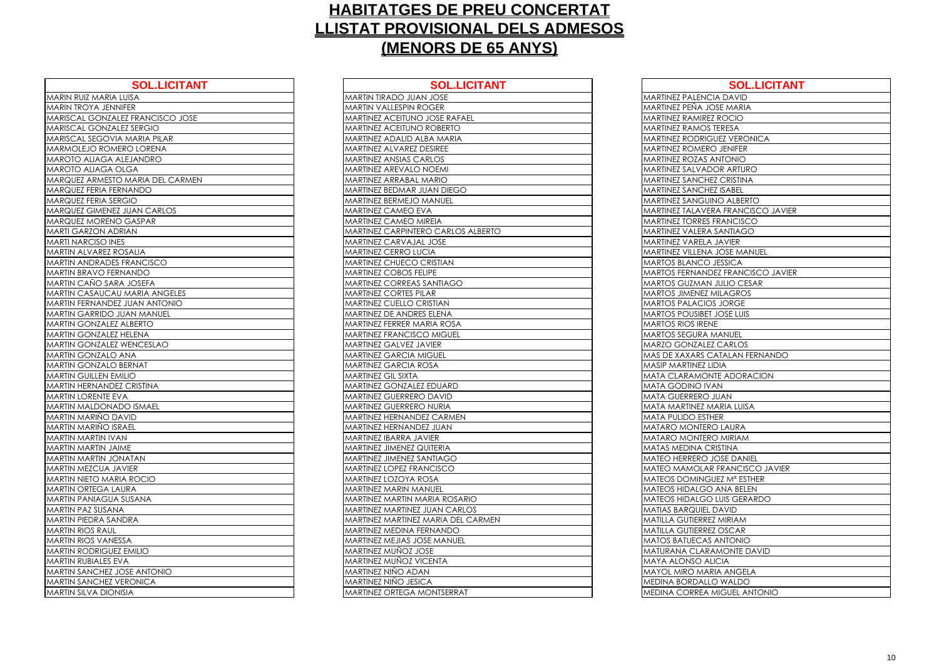| <b>SOL.LICITANT</b>                  | <b>SOL.LICITAN</b>                   |
|--------------------------------------|--------------------------------------|
| MARIN RUIZ MARIA LUISA               | MARTIN TIRADO JUAN JOSE              |
| <b>MARIN TROYA JENNIFER</b>          | <b>MARTIN VALLESPIN ROGER</b>        |
| MARISCAL GONZALEZ FRANCISCO JOSE     | <b>MARTINEZ ACEITUNO JOSE RAFAEL</b> |
| <b>MARISCAL GONZALEZ SERGIO</b>      | <b>MARTINEZ ACEITUNO ROBERTO</b>     |
| MARISCAL SEGOVIA MARIA PILAR         | MARTINEZ ADALID ALBA MARIA           |
| <b>MARMOLEJO ROMERO LORENA</b>       | MARTINEZ ALVAREZ DESIREE             |
| MAROTO ALIAGA ALEJANDRO              | <b>MARTINEZ ANSIAS CARLOS</b>        |
| <b>MAROTO ALIAGA OLGA</b>            | <b>MARTINEZ AREVALO NOEMI</b>        |
| MARQUEZ ARMESTO MARIA DEL CARMEN     | <b>MARTINEZ ARRABAL MARIO</b>        |
| <b>MARQUEZ FERIA FERNANDO</b>        | <b>MARTINEZ BEDMAR JUAN DIEGO</b>    |
| <b>MARQUEZ FERIA SERGIO</b>          | <b>MARTINEZ BERMEJO MANUEL</b>       |
| <b>MARQUEZ GIMENEZ JUAN CARLOS</b>   | <b>MARTINEZ CAMEO EVA</b>            |
| MARQUEZ MORENO GASPAR                | <b>MARTINEZ CAMEO MIREIA</b>         |
| <b>MARTI GARZON ADRIAN</b>           | MARTINEZ CARPINTERO CARLOS ALBERTO   |
| <b>MARTI NARCISO INES</b>            | <b>MARTINEZ CARVAJAL JOSE</b>        |
| <b>MARTIN ALVAREZ ROSALIA</b>        | <b>MARTINEZ CERRO LUCIA</b>          |
| <b>MARTIN ANDRADES FRANCISCO</b>     | <b>MARTINEZ CHUECO CRISTIAN</b>      |
| <b>MARTIN BRAVO FERNANDO</b>         | <b>MARTINEZ COBOS FELIPE</b>         |
| MARTIN CAÑO SARA JOSEFA              | <b>MARTINEZ CORREAS SANTIAGO</b>     |
| <b>MARTIN CASAUCAU MARIA ANGELES</b> | <b>MARTINEZ CORTES PILAR</b>         |
| <b>MARTIN FERNANDEZ JUAN ANTONIO</b> | <b>MARTINEZ CUELLO CRISTIAN</b>      |
| <b>MARTIN GARRIDO JUAN MANUEL</b>    | <b>MARTINEZ DE ANDRES ELENA</b>      |
| <b>MARTIN GONZALEZ ALBERTO</b>       | <b>MARTINEZ FERRER MARIA ROSA</b>    |
| <b>MARTIN GONZALEZ HELENA</b>        | <b>MARTINEZ FRANCISCO MIGUEL</b>     |
| <b>MARTIN GONZALEZ WENCESLAO</b>     | <b>MARTINEZ GALVEZ JAVIER</b>        |
| <b>MARTIN GONZALO ANA</b>            | <b>MARTINEZ GARCIA MIGUEL</b>        |
| <b>MARTIN GONZALO BERNAT</b>         | <b>MARTINEZ GARCIA ROSA</b>          |
| <b>MARTIN GUILLEN EMILIO</b>         | <b>MARTINEZ GIL SIXTA</b>            |
| <b>MARTIN HERNANDEZ CRISTINA</b>     | <b>MARTINEZ GONZALEZ EDUARD</b>      |
| <b>MARTIN LORENTE EVA</b>            | <b>MARTINEZ GUERRERO DAVID</b>       |
| <b>MARTIN MALDONADO ISMAEL</b>       | <b>MARTINEZ GUERRERO NURIA</b>       |
| MARTIN MARIÑO DAVID                  | <b>MARTINEZ HERNANDEZ CARMEN</b>     |
| <b>MARTIN MARIÑO ISRAEL</b>          | MARTINEZ HERNANDEZ JUAN              |
| <b>MARTIN MARTIN IVAN</b>            | <b>MARTINEZ IBARRA JAVIER</b>        |
| <b>MARTIN MARTIN JAIME</b>           | <b>MARTINEZ JIMENEZ QUITERIA</b>     |
| <b>MARTIN MARTIN JONATAN</b>         | <b>MARTINEZ JIMENEZ SANTIAGO</b>     |
| MARTIN MEZCUA JAVIER                 | <b>MARTINEZ LOPEZ FRANCISCO</b>      |
| <b>MARTIN NIETO MARIA ROCIO</b>      | <b>MARTINEZ LOZOYA ROSA</b>          |
| <b>MARTIN ORTEGA LAURA</b>           | <b>MARTINEZ MARIN MANUEL</b>         |
| <b>MARTIN PANIAGUA SUSANA</b>        | <b>MARTINEZ MARTIN MARIA ROSARIO</b> |
| <b>MARTIN PAZ SUSANA</b>             | <b>MARTINEZ MARTINEZ JUAN CARLOS</b> |
| <b>MARTIN PIEDRA SANDRA</b>          | MARTINEZ MARTINEZ MARIA DEL CARMEN   |
| <b>MARTIN RIOS RAUL</b>              | <b>MARTINEZ MEDINA FERNANDO</b>      |
| <b>MARTIN RIOS VANESSA</b>           | <b>MARTINEZ MEJIAS JOSE MANUEL</b>   |
| <b>MARTIN RODRIGUEZ EMILIO</b>       | <b>MARTINEZ MUNOZ JOSE</b>           |
| <b>MARTIN RUBIALES EVA</b>           | <b>MARTINEZ MUÑOZ VICENTA</b>        |
| <b>MARTIN SANCHEZ JOSE ANTONIO</b>   | MARTINEZ NIÑO ADAN                   |
| <b>MARTIN SANCHEZ VERONICA</b>       | <b>MARTINEZ NIÑO JESICA</b>          |
| <b>MARTIN SILVA DIONISIA</b>         | MARTINEZ ORTEGA MONTSERRAT           |
|                                      |                                      |

| <b>SOL.LICITANT</b>       | <b>SOL.LICITANT</b>                  | <b>SOL.LICITANT</b>                       |
|---------------------------|--------------------------------------|-------------------------------------------|
| LUISA                     | <b>MARTIN TIRADO JUAN JOSE</b>       | <b>MARTINEZ PALENCIA DAVID</b>            |
| <b>JIFER</b>              | <b>MARTIN VALLESPIN ROGER</b>        | MARTINEZ PEÑA JOSE MARIA                  |
| LEZ FRANCISCO JOSE        | MARTINEZ ACEITUNO JOSE RAFAEL        | <b>MARTINEZ RAMIREZ ROCIO</b>             |
| LEZ SERGIO                | MARTINEZ ACEITUNO ROBERTO            | <b>MARTINEZ RAMOS TERESA</b>              |
| A MARIA PILAR             | MARTINEZ ADALID ALBA MARIA           | <b>MARTINEZ RODRIGUEZ VERONICA</b>        |
| ERO LORENA                | MARTINEZ ALVAREZ DESIREE             | <b>MARTINEZ ROMERO JENIFER</b>            |
| <b>ILEJANDRO</b>          | <b>MARTINEZ ANSIAS CARLOS</b>        | <b>MARTINEZ ROZAS ANTONIO</b>             |
| <b>DLGA</b>               | MARTINEZ AREVALO NOEMI               | MARTINEZ SALVADOR ARTURO                  |
| <b>D MARIA DEL CARMEN</b> | MARTINEZ ARRABAL MARIO               | <b>MARTINEZ SANCHEZ CRISTINA</b>          |
| RNANDO                    | MARTINEZ BEDMAR JUAN DIEGO           | <b>MARTINEZ SANCHEZ ISABEL</b>            |
| RGIO                      | MARTINEZ BERMEJO MANUEL              | <b>MARTINEZ SANGUINO ALBERTO</b>          |
| <b>JUAN CARLOS</b>        | MARTINEZ CAMEO EVA                   | <b>MARTINEZ TALAVERA FRANCISCO JAVIER</b> |
| CASPAR                    | <b>MARTINEZ CAMEO MIREIA</b>         | <b>MARTINEZ TORRES FRANCISCO</b>          |
| <b>RIAN</b>               | MARTINEZ CARPINTERO CARLOS ALBERTO   | <b>MARTINEZ VALERA SANTIAGO</b>           |
| ES.                       | MARTINEZ CARVAJAL JOSE               | <b>MARTINEZ VARELA JAVIER</b>             |
| <b>OSALIA</b>             | MARTINEZ CERRO LUCIA                 | <b>MARTINEZ VILLENA JOSE MANUEL</b>       |
| FRANCISCO                 | MARTINEZ CHUECO CRISTIAN             | <b>MARTOS BLANCO JESSICA</b>              |
| NANDO!                    | MARTINEZ COBOS FELIPE                | <b>MARTOS FERNANDEZ FRANCISCO JAVIER</b>  |
| A JOSEFA                  | MARTINEZ CORREAS SANTIAGO            | <b>MARTOS GUZMAN JULIO CESAR</b>          |
| <b>J MARIA ANGELES</b>    | MARTINEZ CORTES PILAR                | <b>MARTOS JIMENEZ MILAGROS</b>            |
| <b>CIUAN ANTONIO</b>      | <b>MARTINEZ CUELLO CRISTIAN</b>      | <b>MARTOS PALACIOS JORGE</b>              |
| <b>JUAN MANUEL</b>        | MARTINEZ DE ANDRES ELENA             | <b>MARTOS POUSIBET JOSE LUIS</b>          |
| <b>ALBERTO</b>            | MARTINEZ FERRER MARIA ROSA           | <b>MARTOS RIOS IRENE</b>                  |
| <b>HELENA</b>             | <b>MARTINEZ FRANCISCO MIGUEL</b>     | <b>MARTOS SEGURA MANUEL</b>               |
| WENCESLAO                 | MARTINEZ GALVEZ JAVIER               | MARZO GONZALEZ CARLOS                     |
| <b>ANA</b>                | <b>MARTINEZ GARCIA MIGUEL</b>        | <b>MAS DE XAXARS CATALAN FERNANDO</b>     |
| <b>BERNAT</b>             | <b>MARTINEZ GARCIA ROSA</b>          | <b>MASIP MARTINEZ LIDIA</b>               |
| <b>AILIO</b>              | MARTINEZ GIL SIXTA                   | <b>MATA CLARAMONTE ADORACION</b>          |
| Z CRISTINA                | MARTINEZ GONZALEZ EDUARD             | <b>MATA GODINO IVAN</b>                   |
| VА                        | MARTINEZ GUERRERO DAVID              | MATA GUERRERO JUAN                        |
| <b>DO ISMAEL</b>          | MARTINEZ GUERRERO NURIA              | <b>MATA MARTINEZ MARIA LUISA</b>          |
| AVID                      | MARTINEZ HERNANDEZ CARMEN            | <b>MATA PULIDO ESTHER</b>                 |
| RAEL                      | MARTINEZ HERNANDEZ JUAN              | MATARO MONTERO LAURA                      |
| ИA                        | MARTINEZ IBARRA JAVIER               | <b>MATARO MONTERO MIRIAM</b>              |
| IME                       | <b>MARTINEZ JIMENEZ QUITERIA</b>     | <b>MATAS MEDINA CRISTINA</b>              |
| <b>NATAN</b>              | <b>MARTINEZ JIMENEZ SANTIAGO</b>     | MATEO HERRERO JOSE DANIEL                 |
| <b>AVIER</b>              | <b>MARTINEZ LOPEZ FRANCISCO</b>      | <b>MATEO MAMOLAR FRANCISCO JAVIER</b>     |
| <b>IA ROCIO</b>           | <b>MARTINEZ LOZOYA ROSA</b>          | <b>MATEOS DOMINGUEZ Mª ESTHER</b>         |
| <b>URA</b>                | <b>MARTINEZ MARIN MANUEL</b>         | <b>MATEOS HIDALGO ANA BELEN</b>           |
| <b>SUSANA</b>             | <b>MARTINEZ MARTIN MARIA ROSARIO</b> | <b>MATEOS HIDALGO LUIS GERARDO</b>        |
| A                         | MARTINEZ MARTINEZ JUAN CARLOS        | <b>MATIAS BARQUIEL DAVID</b>              |
| <b>VDRA</b>               | MARTINEZ MARTINEZ MARIA DEL CARMEN   | <b>MATILLA GUTIERREZ MIRIAM</b>           |
|                           | <b>MARTINEZ MEDINA FERNANDO</b>      | <b>MATILLA GUTIERREZ OSCAR</b>            |
| SSA                       | <b>MARTINEZ MEJIAS JOSE MANUEL</b>   | <b>MATOS BATUECAS ANTONIO</b>             |
| Z EMILIO                  | MARTINEZ MUÑOZ JOSE                  | <b>MATURANA CLARAMONTE DAVID</b>          |
| VА                        | <b>MARTINEZ MUÑOZ VICENTA</b>        | <b>MAYA ALONSO ALICIA</b>                 |
| <b>OSE ANTONIO</b>        | MARTINEZ NIÑO ADAN                   | MAYOL MIRO MARIA ANGELA                   |
| <b>ERONICA</b>            | <b>MARTINEZ NIÑO JESICA</b>          | <b>MEDINA BORDALLO WALDO</b>              |
| JISIA                     | <b>MARTINEZ ORTEGA MONTSERRAT</b>    | <b>MEDINA CORREA MIGUEL ANTONIO</b>       |

| <b>MARTINEZ PALEN</b>                             |
|---------------------------------------------------|
| MARTINEZ PEÑA .                                   |
| MARTINEZ RAMIR                                    |
| <u>MARTINEZ RAMO</u>                              |
| <b>MARTINEZ RODRI</b>                             |
| <b>MARTINEZ ROMEI</b>                             |
| <b>MARTINEZ ROZAS</b>                             |
| MARTINEZ SALVA                                    |
| MARTINEZ SANCH                                    |
| <b>MARTINEZ SANCH</b>                             |
| <b>MARTINEZ SANGI</b>                             |
| MARTINEZ TALAV                                    |
| <b>MARTINEZ TORRE</b>                             |
| MARTINEZ VALER<br>MARTINEZ VAREL                  |
|                                                   |
| <b>MARTINEZ VILLEN</b>                            |
| <b>MARTOS BLANCO</b><br><b>MARTOS FERNAN</b>      |
| MARTOS GUZMA                                      |
| <b>MARTOS JIMENEZ</b>                             |
| <u>MARTOS PALACI</u>                              |
| <b>MARTOS POUSIBE</b>                             |
| <b>MARTOS RIOS IRE</b>                            |
| MARTOS SEGURA                                     |
| MARZO GONZAL<br>MAS DE XAXARS                     |
|                                                   |
| MASIP MARTINEZ                                    |
| MATA CLARAMC                                      |
| MATA GODINO I'                                    |
|                                                   |
| MATA GUERRERC                                     |
| MATA MARTINEZ                                     |
| MATA PULIDO ES'                                   |
| <b>MATARO MONTE</b>                               |
| <b>MATARO MONTE</b>                               |
| MATAS MEDINA (                                    |
| <b>MATEO HERRERC</b>                              |
| MATEO MAMOLA<br>Λ                                 |
| <u> MATEOS DOMINO</u><br><b>EOS HIDALG</b><br>ΛAΤ |
| <b>MATEOS HIDALG</b>                              |
| <b>MATIAS BARQUIE</b>                             |
| MATILLA GUTIERR                                   |
| MATILLA GUTIERR                                   |
| MATOS BATUECA<br>Λ                                |
| MATURANA CLAI                                     |
| MAYA ALONSO A                                     |
| <b>MAYOL MIRO MA</b>                              |
| <u>MEDINA BORDAL</u><br>MEDINA CORREA             |

| <b>SOL.LICITANT</b>         |
|-----------------------------|
| <b>IA DAVID</b>             |
| OSE MARIA                   |
| Z ROCIO                     |
| <b>TERESA</b>               |
| <b>GUEZ VERONICA</b>        |
| O JENIFER                   |
| <b>OI</b> NOTAA             |
| <b>OR ARTURO</b>            |
| EZ CRISTINA                 |
| EZ ISABEL                   |
| <b>NO ALBERTO</b>           |
| RA FRANCISCO JAVIER         |
| <b>FRANCISCO</b>            |
| . SANTIAGO                  |
| <b>JAVIER</b>               |
| JOSE MANUEL                 |
| <b>JESSICA</b>              |
| <b>DEZ FRANCISCO JAVIER</b> |
| <b>JULIO CESAR</b>          |
| MILAGROS                    |
| <b>SJORGE</b>               |
| JOSE LUIS                   |
| ١E                          |
| MANUEL                      |
| Z CARLOS                    |
| <b>CATALAN FERNANDO</b>     |
| <b>IDIA</b>                 |
| <b><i>NTE ADORACION</i></b> |
| AN                          |
| <b>JUAN</b>                 |
| 1ARIA LUISA                 |
| <b>HER</b>                  |
| O LAURA                     |
| O MIRIAM                    |
| <b>RISTINA</b>              |
| <b>JOSE DANIEL</b>          |
| R FRANCISCO JAVIER          |
| UEZ M <sup>ª</sup> ESTHER   |
| ) ANA BELEN                 |
| LUIS GERARDO                |
| <b>DAVID</b>                |
| Z MIRIAM                    |
| Z OSCAR                     |
| <b>ANTONIO</b>              |
| AMONTE DAVID                |
| <b>LICIA</b>                |
| <b>RIA ANGELA</b>           |
| O WALDO                     |
| MIGUEL ANTONIO              |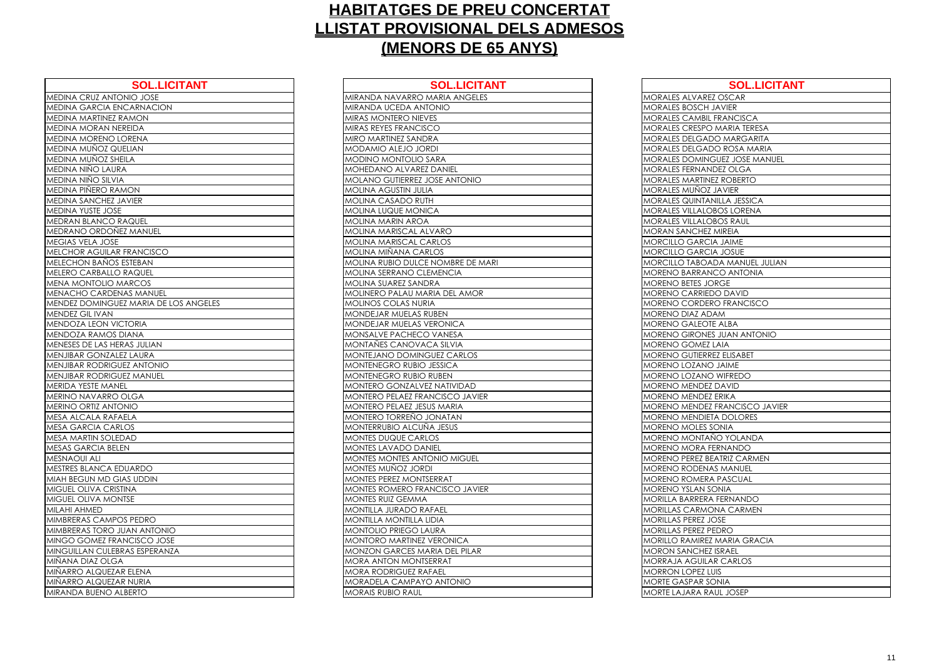| <b>SOL.LICITANT</b>                   | <b>SOL.LICIT</b>                     |
|---------------------------------------|--------------------------------------|
| MEDINA CRUZ ANTONIO JOSE              | MIRANDA NAVARRO MARIA ANGELI         |
| MEDINA GARCIA ENCARNACION             | MIRANDA UCEDA ANTONIO                |
| MEDINA MARTINEZ RAMON                 | <b>MIRAS MONTERO NIEVES</b>          |
| MEDINA MORAN NEREIDA                  | MIRAS REYES FRANCISCO                |
| MEDINA MORENO LORENA                  | MIRO MARTINEZ SANDRA                 |
| MEDINA MUNOZ QUELIAN                  | MODAMIO ALEJO JORDI                  |
| <b>MEDINA MUNOZ SHEILA</b>            | <b>MODINO MONTOLIO SARA</b>          |
| MEDINA NIÑO LAURA                     | MOHEDANO ALVAREZ DANIEL              |
| MEDINA NIÑO SILVIA                    | <b>MOLANO GUTIERREZ JOSE ANTONIO</b> |
| MEDINA PIÑERO RAMON                   | <b>MOLINA AGUSTIN JULIA</b>          |
| <b>MEDINA SANCHEZ JAVIER</b>          | MOLINA CASADO RUTH                   |
| <b>MEDINA YUSTE JOSE</b>              | <b>MOLINA LUQUE MONICA</b>           |
| <b>MEDRAN BLANCO RAQUEL</b>           | <b>MOLINA MARIN AROA</b>             |
| MEDRANO ORDOÑEZ MANUEL                | MOLINA MARISCAL ALVARO               |
| MEGIAS VELA JOSE                      | <b>MOLINA MARISCAL CARLOS</b>        |
| MELCHOR AGUILAR FRANCISCO             | MOLINA MIÑANA CARLOS                 |
| <b>MELECHON BANOS ESTEBAN</b>         | MOLINA RUBIO DULCE NOMBRE DE I       |
| <b>MELERO CARBALLO RAQUEL</b>         | MOLINA SERRANO CLEMENCIA             |
| MENA MONTOLIO MARCOS                  | MOLINA SUAREZ SANDRA                 |
| <b>MENACHO CARDENAS MANUEL</b>        | MOLINERO PALAU MARIA DEL AMOI        |
| MENDEZ DOMINGUEZ MARIA DE LOS ANGELES | <b>MOLINOS COLAS NURIA</b>           |
| <b>MENDEZ GIL IVAN</b>                | MONDEJAR MUELAS RUBEN                |
| <b>MENDOZA LEON VICTORIA</b>          | MONDEJAR MUELAS VERONICA             |
| <b>MENDOZA RAMOS DIANA</b>            | MONSALVE PACHECO VANESA              |
| MENESES DE LAS HERAS JULIAN           | MONTAÑES CANOVACA SILVIA             |
| MENJIBAR GONZALEZ LAURA               | MONTEJANO DOMINGUEZ CARLOS           |
| <b>MENJIBAR RODRIGUEZ ANTONIO</b>     | MONTENEGRO RUBIO JESSICA             |
| <b>MENJIBAR RODRIGUEZ MANUEL</b>      | MONTENEGRO RUBIO RUBEN               |
| <b>MERIDA YESTE MANEL</b>             | MONTERO GONZALVEZ NATIVIDAD          |
| MERINO NAVARRO OLGA                   | MONTERO PELAEZ FRANCISCO JAVII       |
| <b>MERINO ORTIZ ANTONIO</b>           | MONTERO PELAEZ JESUS MARIA           |
| MESA ALCALA RAFAELA                   | MONTERO TORREÑO JONATAN              |
| <b>MESA GARCIA CARLOS</b>             | MONTERRUBIO ALCUÑA JESUS             |
| <b>MESA MARTIN SOLEDAD</b>            | <b>MONTES DUQUE CARLOS</b>           |
| <b>MESAS GARCIA BELEN</b>             | <b>MONTES LAVADO DANIEL</b>          |
| <b>MESNAOUI ALI</b>                   | <b>MONTES MONTES ANTONIO MIGUEL</b>  |
| <b>MESTRES BLANCA EDUARDO</b>         | MONTES MUÑOZ JORDI                   |
| MIAH BEGUN MD GIAS UDDIN              | MONTES PEREZ MONTSERRAT              |
| MIGUEL OLIVA CRISTINA                 | MONTES ROMERO FRANCISCO JAVI         |
| <b>MIGUEL OLIVA MONTSE</b>            | <b>MONTES RUIZ GEMMA</b>             |
| <b>MILAHI AHMED</b>                   | <b>MONTILLA JURADO RAFAEL</b>        |
| MIMBRERAS CAMPOS PEDRO                | <b>MONTILLA MONTILLA LIDIA</b>       |
| MIMBRERAS TORO JUAN ANTONIO           | <b>MONTOLIO PRIEGO LAURA</b>         |
| MINGO GOMEZ FRANCISCO JOSE            | MONTORO MARTINEZ VERONICA            |
| MINGUILLAN CULEBRAS ESPERANZA         | <b>MONZON GARCES MARIA DEL PILAR</b> |
| MIÑANA DIAZ OLGA                      | <b>MORA ANTON MONTSERRAT</b>         |
| MIÑARRO ALQUEZAR ELENA                | <b>MORA RODRIGUEZ RAFAEL</b>         |
| MIÑARRO ALQUEZAR NURIA                | <b>MORADELA CAMPAYO ANTONIO</b>      |
| MIRANDA BUENO ALBERTO                 | <b>MORAIS RUBIO RAUL</b>             |
|                                       |                                      |

| <b>SOL.LICITANT</b>                   | <b>SOL.LICITANT</b>                  | <b>SOL.LICITANT</b>                |
|---------------------------------------|--------------------------------------|------------------------------------|
| MEDINA CRUZ ANTONIO JOSE              | MIRANDA NAVARRO MARIA ANGELES        | MORALES ALVAREZ OSCAR              |
| MEDINA GARCIA ENCARNACION             | MIRANDA UCEDA ANTONIO                | <b>MORALES BOSCH JAVIER</b>        |
| MEDINA MARTINEZ RAMON                 | MIRAS MONTERO NIEVES                 | <b>MORALES CAMBIL FRANCISCA</b>    |
| MEDINA MORAN NEREIDA                  | MIRAS REYES FRANCISCO                | MORALES CRESPO MARIA TERESA        |
| MEDINA MORENO LORENA                  | MIRO MARTINEZ SANDRA                 | MORALES DELGADO MARGARITA          |
| MEDINA MUÑOZ QUELIAN                  | MODAMIO ALEJO JORDI                  | MORALES DELGADO ROSA MARIA         |
| MEDINA MUÑOZ SHEILA                   | <b>MODINO MONTOLIO SARA</b>          | MORALES DOMINGUEZ JOSE MANUEL      |
| MEDINA NIÑO LAURA                     | MOHEDANO ALVAREZ DANIEL              | MORALES FERNANDEZ OLGA             |
| MEDINA NIÑO SILVIA                    | MOLANO GUTIERREZ JOSE ANTONIO        | <b>MORALES MARTINEZ ROBERTO</b>    |
| MEDINA PIÑERO RAMON                   | MOLINA AGUSTIN JULIA                 | MORALES MUÑOZ JAVIER               |
| MEDINA SANCHEZ JAVIER                 | MOLINA CASADO RUTH                   | MORALES QUINTANILLA JESSICA        |
| MEDINA YUSTE JOSE                     | MOLINA LUQUE MONICA                  | MORALES VILLALOBOS LORENA          |
| MEDRAN BLANCO RAQUEL                  | MOLINA MARIN AROA                    | <b>MORALES VILLALOBOS RAUL</b>     |
| MEDRANO ORDOÑEZ MANUEL                | MOLINA MARISCAL ALVARO               | <b>MORAN SANCHEZ MIREIA</b>        |
| MEGIAS VELA JOSE                      | <b>MOLINA MARISCAL CARLOS</b>        | MORCILLO GARCIA JAIME              |
| MELCHOR AGUILAR FRANCISCO             | <b>MOLINA MIÑANA CARLOS</b>          | MORCILLO GARCIA JOSUE              |
| MELECHON BAÑOS ESTEBAN                | MOLINA RUBIO DULCE NOMBRE DE MARI    | MORCILLO TABOADA MANUEL JULIAN     |
| MELERO CARBALLO RAQUEL                | MOLINA SERRANO CLEMENCIA             | <b>MORENO BARRANCO ANTONIA</b>     |
| MENA MONTOLIO MARCOS                  | MOLINA SUAREZ SANDRA                 | MORENO BETES JORGE                 |
| MENACHO CARDENAS MANUEL               | MOLINERO PALAU MARIA DEL AMOR        | MORENO CARRIEDO DAVID              |
| MENDEZ DOMINGUEZ MARIA DE LOS ANGELES | MOLINOS COLAS NURIA                  | MORENO CORDERO FRANCISCO           |
| MENDEZ GIL IVAN                       | MONDEJAR MUELAS RUBEN                | MORENO DIAZ ADAM                   |
| MENDOZA LEON VICTORIA                 | MONDEJAR MUELAS VERONICA             | <b>MORENO GALEOTE ALBA</b>         |
| MENDOZA RAMOS DIANA                   | MONSALVE PACHECO VANESA              | <b>MORENO GIRONES JUAN ANTONIO</b> |
| MENESES DE LAS HERAS JULIAN           | MONTAÑES CANOVACA SILVIA             | <b>MORENO GOMEZ LAIA</b>           |
| MENJIBAR GONZALEZ LAURA               | MONTEJANO DOMINGUEZ CARLOS           | MORENO GUTIERREZ ELISABET          |
| <b>MENJIBAR RODRIGUEZ ANTONIO</b>     | MONTENEGRO RUBIO JESSICA             | MORENO LOZANO JAIME                |
| MENJIBAR RODRIGUEZ MANUEL             | MONTENEGRO RUBIO RUBEN               | MORENO LOZANO WIFREDO              |
| MERIDA YESTE MANEL                    | MONTERO GONZALVEZ NATIVIDAD          | MORENO MENDEZ DAVID                |
| MERINO NAVARRO OLGA                   | MONTERO PELAEZ FRANCISCO JAVIER      | <b>MORENO MENDEZ ERIKA</b>         |
| MERINO ORTIZ ANTONIO                  | MONTERO PELAEZ JESUS MARIA           | MORENO MENDEZ FRANCISCO JAVIER     |
| MESA ALCALA RAFAELA                   | MONTERO TORREÑO JONATAN              | <b>MORENO MENDIETA DOLORES</b>     |
| MESA GARCIA CARLOS                    | MONTERRUBIO ALCUÑA JESUS             | MORENO MOLES SONIA                 |
| MESA MARTIN SOLEDAD                   | <b>MONTES DUQUE CARLOS</b>           | MORENO MONTAÑO YOLANDA             |
| MESAS GARCIA BELEN                    | <b>MONTES LAVADO DANIEL</b>          | MORENO MORA FERNANDO               |
| <b>MESNAOUI ALI</b>                   | <b>MONTES MONTES ANTONIO MIGUEL</b>  | <b>MORENO PEREZ BEATRIZ CARMEN</b> |
| MESTRES BLANCA EDUARDO                | MONTES MUÑOZ JORDI                   | <b>MORENO RODENAS MANUEL</b>       |
| MIAH BEGUN MD GIAS UDDIN              | <b>MONTES PEREZ MONTSERRAT</b>       | <b>MORENO ROMERA PASCUAL</b>       |
| MIGUEL OLIVA CRISTINA                 | MONTES ROMERO FRANCISCO JAVIER       | <b>MORENO YSLAN SONIA</b>          |
| MIGUEL OLIVA MONTSE                   | <b>MONTES RUIZ GEMMA</b>             | MORILLA BARRERA FERNANDO           |
| MILAHI AHMED                          | MONTILLA JURADO RAFAEL               | <b>MORILLAS CARMONA CARMEN</b>     |
| MIMBRERAS CAMPOS PEDRO                | <b>MONTILLA MONTILLA LIDIA</b>       | MORILLAS PEREZ JOSE                |
| MIMBRERAS TORO JUAN ANTONIO           | MONTOLIO PRIEGO LAURA                | MORILLAS PEREZ PEDRO               |
| MINGO GOMEZ FRANCISCO JOSE            | MONTORO MARTINEZ VERONICA            | MORILLO RAMIREZ MARIA GRACIA       |
| MINGUILLAN CULEBRAS ESPERANZA         | <b>MONZON GARCES MARIA DEL PILAR</b> | <b>MORON SANCHEZ ISRAEL</b>        |
| MIÑANA DIAZ OLGA                      | <b>MORA ANTON MONTSERRAT</b>         | MORRAJA AGUILAR CARLOS             |
| MIÑARRO ALQUEZAR ELENA                | <b>MORA RODRIGUEZ RAFAEL</b>         | <b>MORRON LOPEZ LUIS</b>           |
| MIÑARRO ALQUEZAR NURIA                | MORADELA CAMPAYO ANTONIO             | <b>MORTE GASPAR SONIA</b>          |
| MIRANDA BUENO ALBERTO                 | <b>MORAIS RUBIO RAUL</b>             | MORTE LAJARA RAUL JOSEP            |
|                                       |                                      |                                    |

| <b>MORALES ALVAR</b>      |
|---------------------------|
| MORALES BOSCH             |
| MORALES CAMB              |
| <b>MORALES CRESP</b>      |
| MORALES DELGA             |
| MORALES DELGA             |
| <b>MORALES DOMIN</b>      |
| <b>MORALES FERNA</b>      |
| <b>MORALES MARTII</b>     |
| MORALES MUÑO              |
| <b>MORALES QUINT/</b>     |
| MORALES VILLAL            |
| <b>MORALES VILLAL</b>     |
| MORAN SANCHE              |
| MORCILLO GARO             |
| MORCILLO GARO             |
| MORCILLO TABO             |
| MORENO BARRA              |
| <b>MORENO BETES J</b>     |
| <b>MORENO CARRIE</b>      |
| MORENO CORDI              |
| MORENO DIAZ A             |
| MORENO GALEC              |
| <b>MORENO GIRON</b>       |
| MORENO GOME               |
| MORENO GUTIER             |
| <b>MORENO LOZAN</b>       |
| MORENO LOZAN              |
| MORENO MENDE              |
| MORENO MENDE              |
| <b>MORENO MENDE</b>       |
| MORENO MENDI              |
| MORENO MOLES              |
| <b>MORENO MONT</b>        |
| MORENO MORA               |
| REZ I<br><b>MORENO PE</b> |
| MORENO RODEN              |
| <b>MORENO ROMEF</b>       |
| <b>MORENO YSLAN</b>       |
| <b>MORILLA BARRER</b>     |
| MORILLAS CARM             |
| MORILLAS PEREZ            |
| MORILLAS PEREZ            |
| MORILLO RAMIRE            |
| <b>MORON SANCHE</b>       |
| MORRAJA AGUIL             |
| ON LOPEZ<br>MORRC         |
| MORTE GASPAR              |
| MORTE LAJARA F            |
|                           |

| <b>SOL.LICITANT</b>                |
|------------------------------------|
| Z OSCAR                            |
| <b>JAVIER</b>                      |
| <b>FRANCISCA</b>                   |
| ) MARIA TERESA                     |
| <b>DO MARGARITA</b>                |
| <b>DO ROSA MARIA</b>               |
| <b>GUEZ JOSE MANUEL</b>            |
| IDEZ OLGA                          |
| <b>EZ ROBERTO</b>                  |
| <b>JAVIER</b>                      |
| NILLA JESSICA                      |
| <b>BOS LORENA</b>                  |
| <b>BOS RAUL</b>                    |
| MIREIA                             |
| IA JAIME                           |
| IA JOSUE                           |
| DA MANUEL JULIAN                   |
| <b>ICO ANTONIA</b>                 |
| <b>DRGE</b>                        |
|                                    |
| <b>DO DAVID</b>                    |
| RO FRANCISCO                       |
| )AM                                |
| E ALBA                             |
| $\overline{\text{S}}$ JUAN ANTONIO |
| LAIA                               |
| <b>EZ ELISABET</b>                 |
| JAIME                              |
| WIFREDO                            |
| <b>DAVID</b>                       |
| <b>ERIKA</b>                       |
| <b>FRANCISCO JAVIER</b>            |
| TA DOLORES                         |
| SONIA                              |
| ÑO YOLANDA                         |
| <b>ERNANDO</b>                     |
| EATRIZ CARMEN                      |
| AS MANUEL                          |
| A PASCUAL                          |
| <b>ONIA</b>                        |
| A FERNANDO                         |
| <b>DNA CARMEN</b>                  |
| <b>OSE</b>                         |
| <b>EDRO</b>                        |
| <b>MARIA GRACIA</b>                |
| ISRAEL                             |
| <b>AR CARLOS</b>                   |
| UIS                                |
| <b>ONIA</b>                        |
| AUL JOSEP                          |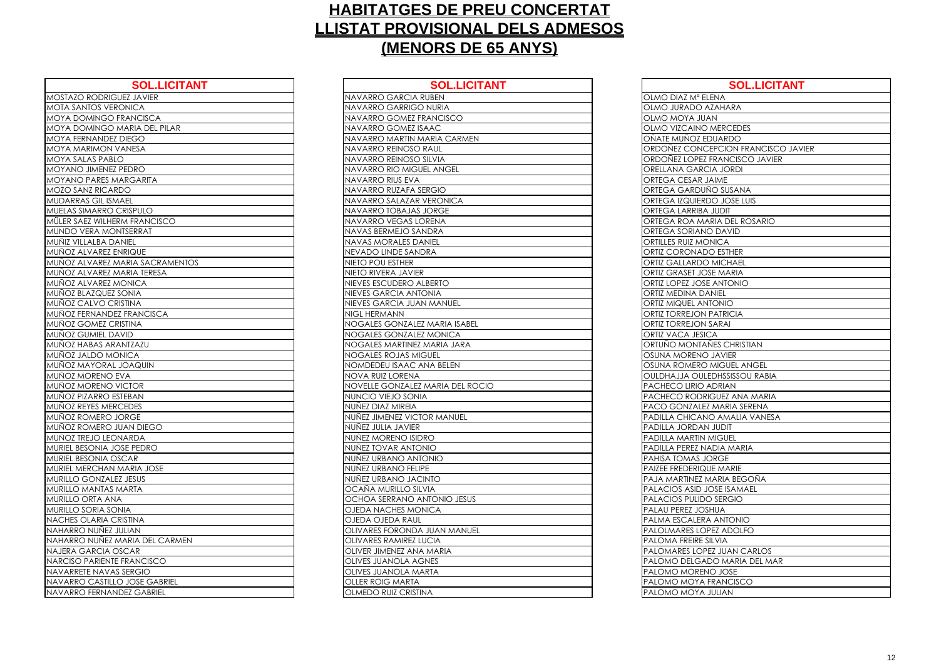| <b>SOL.LICITANT</b>                 | <b>SOL.LICITA</b>                |
|-------------------------------------|----------------------------------|
| <b>MOSTAZO RODRIGUEZ JAVIER</b>     | NAVARRO GARCIA RUBEN             |
| <b>MOTA SANTOS VERONICA</b>         | NAVARRO GARRIGO NURIA            |
| <b>MOYA DOMINGO FRANCISCA</b>       | NAVARRO GOMEZ FRANCISCO          |
| <b>MOYA DOMINGO MARIA DEL PILAR</b> | NAVARRO GOMEZ ISAAC              |
| MOYA FERNANDEZ DIEGO                | NAVARRO MARTIN MARIA CARMEN      |
| <b>MOYA MARIMON VANESA</b>          | NAVARRO REINOSO RAUL             |
| <b>MOYA SALAS PABLO</b>             | NAVARRO REINOSO SILVIA           |
| MOYANO JIMENEZ PEDRO                | NAVARRO RIO MIGUEL ANGEL         |
| <b>MOYANO PARES MARGARITA</b>       | NAVARRO RIUS EVA                 |
| <b>MOZO SANZ RICARDO</b>            | NAVARRO RUZAFA SERGIO            |
| <b>MUDARRAS GIL ISMAEL</b>          | NAVARRO SALAZAR VERONICA         |
| MUELAS SIMARRO CRISPULO             | NAVARRO TOBAJAS JORGE            |
| MÜLER SAEZ WILHERM FRANCISCO        | NAVARRO VEGAS LORENA             |
| MUNDO VERA MONTSERRAT               | NAVAS BERMEJO SANDRA             |
| <b>MUÑIZ VILLALBA DANIEL</b>        | <b>NAVAS MORALES DANIEL</b>      |
| MUÑOZ ALVAREZ ENRIQUE               | NEVADO LINDE SANDRA              |
| MUÑOZ ALVAREZ MARIA SACRAMENTOS     | NIETO POU ESTHER                 |
| MUÑOZ ALVAREZ MARIA TERESA          | NIETO RIVERA JAVIER              |
| MUÑOZ ALVAREZ MONICA                | NIEVES ESCUDERO ALBERTO          |
| <b>MUÑOZ BLAZQUEZ SONIA</b>         | NIEVES GARCIA ANTONIA            |
| MUÑOZ CALVO CRISTINA                | NIEVES GARCIA JUAN MANUEL        |
| MUÑOZ FERNANDEZ FRANCISCA           | NIGL HERMANN                     |
| MUÑOZ GOMEZ CRISTINA                | NOGALES GONZALEZ MARIA ISABEL    |
| MUÑOZ GUMIEL DAVID                  | NOGALES GONZALEZ MONICA          |
| MUÑOZ HABAS ARANTZAZU               | NOGALES MARTINEZ MARIA JARA      |
| MUÑOZ JALDO MONICA                  | <b>NOGALES ROJAS MIGUEL</b>      |
| MUÑOZ MAYORAL JOAQUIN               | NOMDEDEU ISAAC ANA BELEN         |
| MUÑOZ MORENO EVA                    | NOVA RUIZ LORENA                 |
| MUÑOZ MORENO VICTOR                 | NOVELLE GONZALEZ MARIA DEL ROCIO |
| MUÑOZ PIZARRO ESTEBAN               | NUNCIO VIEJO SONIA               |
| MUÑOZ REYES MERCEDES                | NUÑEZ DIAZ MIREIA                |
| MUÑOZ ROMERO JORGE                  | NUÑEZ JIMENEZ VICTOR MANUEL      |
| MUÑOZ ROMERO JUAN DIEGO             | NUÑEZ JULIA JAVIER               |
| MUÑOZ TREJO LEONARDA                | NUÑEZ MORENO ISIDRO              |
| MURIEL BESONIA JOSE PEDRO           | NUÑEZ TOVAR ANTONIO              |
| MURIEL BESONIA OSCAR                | NUNEZ URBANO ANTONIO             |
| MURIEL MERCHAN MARIA JOSE           | NUNEZ URBANO FELIPE              |
| <b>MURILLO GONZALEZ JESUS</b>       | NUÑEZ URBANO JACINTO             |
| MURILLO MANTAS MARTA                | OCAÑA MURILLO SILVIA             |
| <b>MURILLO ORTA ANA</b>             | OCHOA SERRANO ANTONIO JESUS      |
| MURILLO SORIA SONIA                 | OJEDA NACHES MONICA              |
| NACHES OLARIA CRISTINA              | OJEDA OJEDA RAUL                 |
| NAHARRO NUNEZ JULIAN                | OLIVARES FORONDA JUAN MANUEL     |
| NAHARRO NUNEZ MARIA DEL CARMEN      | <b>OLIVARES RAMIREZ LUCIA</b>    |
| NAJERA GARCIA OSCAR                 | OLIVER JIMENEZ ANA MARIA         |
| NARCISO PARIENTE FRANCISCO          | <b>OLIVES JUANOLA AGNES</b>      |
| NAVARRETE NAVAS SERGIO              | OLIVES JUANOLA MARTA             |
| NAVARRO CASTILLO JOSE GABRIEL       | <b>OLLER ROIG MARTA</b>          |
| NAVARRO FERNANDEZ GABRIEL           | <b>OLMEDO RUIZ CRISTINA</b>      |

| <b>SOL.LICITANT</b>             | <b>SOL.LICITANT</b>              | <b>SOL.LICITANT</b>                  |
|---------------------------------|----------------------------------|--------------------------------------|
| <b>UEZ JAVIER</b>               | <b>NAVARRO GARCIA RUBEN</b>      | OLMO DIAZ Mª ELENA                   |
| <b>CONICA</b>                   | NAVARRO GARRIGO NURIA            | OLMO JURADO AZAHARA                  |
| <b>FRANCISCA</b>                | NAVARRO GOMEZ FRANCISCO          | <b>OLMO MOYA JUAN</b>                |
| MARIA DEL PILAR                 | NAVARRO GOMEZ ISAAC              | OLMO VIZCAINO MERCEDES               |
| DIEGO                           | NAVARRO MARTIN MARIA CARMEN      | OÑATE MUÑOZ EDUARDO                  |
| VANESA                          | NAVARRO REINOSO RAUL             | ORDOÑEZ CONCEPCION FRANCISCO JAVIER  |
| O.                              | NAVARRO REINOSO SILVIA           | ORDOÑEZ LOPEZ FRANCISCO JAVIER       |
| PEDRO                           | NAVARRO RIO MIGUEL ANGEL         | ORELLANA GARCIA JORDI                |
| <b>IARGARITA</b>                | NAVARRO RIUS EVA                 | <b>ORTEGA CESAR JAIME</b>            |
| OC!                             | NAVARRO RUZAFA SERGIO            | ORTEGA GARDUÑO SUSANA                |
| <b>AAEL</b>                     | NAVARRO SALAZAR VERONICA         | ORTEGA IZQUIERDO JOSE LUIS           |
| CRISPULO                        | NAVARRO TOBAJAS JORGE            | ORTEGA LARRIBA JUDIT                 |
| RM FRANCISCO                    | NAVARRO VEGAS LORENA             | ORTEGA ROA MARIA DEL ROSARIO         |
| NTSERRAT                        | NAVAS BERMEJO SANDRA             | <b>ORTEGA SORIANO DAVID</b>          |
| ANIEL                           | <b>NAVAS MORALES DANIEL</b>      | ORTILLES RUIZ MONICA                 |
| <b>NRIQUE</b>                   | NEVADO LINDE SANDRA              | ORTIZ CORONADO ESTHER                |
| <b><i>AARIA SACRAMENTOS</i></b> | NIETO POU ESTHER                 | <b>ORTIZ GALLARDO MICHAEL</b>        |
| <b>AARIA TERESA</b>             | NIETO RIVERA JAVIER              | ORTIZ GRASET JOSE MARIA              |
| <b>AONICA</b>                   | NIEVES ESCUDERO ALBERTO          | ORTIZ LOPEZ JOSE ANTONIO             |
| SONIA                           | NIEVES GARCIA ANTONIA            | <b>ORTIZ MEDINA DANIEL</b>           |
| <b>AVITZIS</b>                  | NIEVES GARCIA JUAN MANUEL        | <b>ORTIZ MIQUEL ANTONIO</b>          |
| Z FRANCISCA                     | <b>NIGL HERMANN</b>              | <b>ORTIZ TORREJON PATRICIA</b>       |
| RISTINA                         | NOGALES GONZALEZ MARIA ISABEL    | <b>ORTIZ TORREJON SARAI</b>          |
| AVID                            | NOGALES GONZALEZ MONICA          | <b>ORTIZ VACA JESICA</b>             |
| ANTZAZU                         | NOGALES MARTINEZ MARIA JARA      | ORTUÑO MONTAÑES CHRISTIAN            |
| <b>NICA</b>                     | NOGALES ROJAS MIGUEL             | OSUNA MORENO JAVIER                  |
| <b>JOAQUIN</b>                  | NOMDEDEU ISAAC ANA BELEN         | OSUNA ROMERO MIGUEL ANGEL            |
| EVA                             | <b>NOVA RUIZ LORENA</b>          | <b>OULDHAJJA OULEDHSSISSOU RABIA</b> |
| <b>VICTOR</b>                   | NOVELLE GONZALEZ MARIA DEL ROCIO | PACHECO LIRIO ADRIAN                 |
| STEBAN                          | NUNCIO VIEJO SONIA               | PACHECO RODRIGUEZ ANA MARIA          |
| CEDES                           | NUÑEZ DIAZ MIREIA                | PACO GONZALEZ MARIA SERENA           |
| <b>JORGE</b>                    | NUÑEZ JIMENEZ VICTOR MANUEL      | PADILLA CHICANO AMALIA VANESA        |
| <b>JUAN DIEGO</b>               | NUÑEZ JULIA JAVIER               | PADILLA JORDAN JUDIT                 |
| NARDA                           | NUÑEZ MORENO ISIDRO              | <b>PADILLA MARTIN MIGUEL</b>         |
| OSE PEDRO                       | NUÑEZ TOVAR ANTONIO              | PADILLA PEREZ NADIA MARIA            |
| SCAR                            | NUÑEZ URBANO ANTONIO             | PAHISA TOMAS JORGE                   |
| MARIA JOSE                      | NUÑEZ URBANO FELIPE              | PAIZEE FREDERIQUE MARIE              |
| EZ JESUS                        | NUÑEZ URBANO JACINTO             | PAJA MARTINEZ MARIA BEGOÑA           |
| MARTA                           | OCAÑA MURILLO SILVIA             | <b>PALACIOS ASID JOSE ISAMAEL</b>    |
| A                               | OCHOA SERRANO ANTONIO JESUS      | PALACIOS PULIDO SERGIO               |
| NIA                             | <b>OJEDA NACHES MONICA</b>       | PALAU PEREZ JOSHUA                   |
| <b>RISTINA</b>                  | OJEDA OJEDA RAUL                 | PALMA ESCALERA ANTONIO               |
| JULIAN                          | OLIVARES FORONDA JUAN MANUEL     | PALOLMARES LOPEZ ADOLFO              |
| <b>VARIA DEL CARMEN</b>         | <b>OLIVARES RAMIREZ LUCIA</b>    | PALOMA FREIRE SILVIA                 |
| <b>SCAR</b>                     | OLIVER JIMENEZ ANA MARIA         | PALOMARES LOPEZ JUAN CARLOS          |
| <b>E FRANCISCO</b>              | <b>OLIVES JUANOLA AGNES</b>      | PALOMO DELGADO MARIA DEL MAR         |
| S SERGIO                        | OLIVES JUANOLA MARTA             | PALOMO MORENO JOSE                   |
| O JOSE GABRIEL                  | <b>OLLER ROIG MARTA</b>          | PALOMO MOYA FRANCISCO                |
| <b>IDEZ GABRIEL</b>             | <b>OLMEDO RUIZ CRISTINA</b>      | PALOMO MOYA JULIAN                   |
|                                 |                                  |                                      |

| OLMO DIAZ Mª E                 |
|--------------------------------|
| OLMO JURADO /                  |
| OLMO MOYA JU                   |
| <b>OLMO VIZCAINC</b>           |
| OÑATE MU <u>ÑOZ E</u>          |
| ORDOÑEZ CONC                   |
| ORDOÑEZ LOPEZ                  |
| <b>ORELLANA GARO</b>           |
| DRTEGA CESAR.<br>C             |
| ORTEGA GARDU                   |
| ORTEGA IZQUIER                 |
| <b>ORTEGA LARRIBA</b>          |
| ORTEGA ROA M/                  |
| <b>ORTEGA SORIAN</b>           |
| DRTILLES RUIZ MC<br>C          |
| ORTIZ CORONAD                  |
| <b>ORTIZ GALLARDO</b>          |
| ORTIZ GRASET JC                |
| ORTIZ LOPEZ JOS                |
| ORTIZ MEDINA D<br>(            |
| ORTIZ MIQUEL AN                |
| ORTIZ TORREJON                 |
| ORTIZ TORREJON                 |
| <b>ORTIZ VACA JESI</b>         |
| ORTUÑO MONTA                   |
| <mark>DSUNA MORENC</mark><br>C |
| OSUNA ROMERC                   |
| <b>OULDHAJJA OUL</b>           |
| PACHECO LIRIO                  |
| <b>PACHECO RODR</b>            |
| <b>PACO GONZALE</b>            |
| PADILLA CHICAN                 |
| PADILLA JORDAN                 |
| PADILLA MARTIN                 |
| PADILLA PEREZ N                |
| <b>PAHISA TOMAS J</b>          |
| PAIZEE FREDERIQ                |
| PAJA MARTINEZ I                |
| PALACIOS ASID.                 |
| PALACIOS PULID                 |
| PALAU PEREZ JO:                |
| PALMA ESCALER                  |
| PALOLMARES <sub>LO</sub>       |
| PALOMA FREIRE :                |
| PALOMARES LOF                  |
| PALOMO DELGA                   |
| <b>DMO MOREN</b><br>PALC       |
| PALOMO MOYA                    |
| PALOMO MOYA                    |

| <b>SOL.LICITANT</b>            |
|--------------------------------|
| ENA                            |
| ZAHARA                         |
| N                              |
| <b>MERCEDES</b>                |
| <b>UARDO</b>                   |
| <b>EPCION FRANCISCO JAVIER</b> |
| <b>RANCISCO JAVIER</b>         |
| A JORDI                        |
| <b>NME</b>                     |
| O SUSANA                       |
| O JOSE LUIS                    |
| <b>TICUL</b>                   |
| ria del Rosario                |
| DAVID                          |
| <b>VICA</b>                    |
| <b>D ESTHER</b>                |
| <b>MICHAEL</b>                 |
| E MARIA                        |
| <b>ANTONIO</b>                 |
| NIEL                           |
| <b>ONIO</b>                    |
| <b>ATRICIA</b>                 |
| <b>ARAI</b>                    |
| Ά                              |
| <b>IES CHRISTIAN</b>           |
| <b>JAVIER</b>                  |
| MIGUEL ANGEL                   |
| <b>DHSSISSOU RABIA</b>         |
| DRIAN                          |
| GUEZ ANA MARIA                 |
| MARIA SERENA                   |
| <b>D AMALIA VANESA</b>         |
| <b>JUDIT</b>                   |
| <b>AIGUEL</b>                  |
| DIA MARIA                      |
| <b>RGE</b>                     |
| E MARIE                        |
| ARIA BEGOÑA                    |
| <b>OSE ISAMAEL</b>             |
| SERGIO                         |
| HUA                            |
| <b>ANTONIO</b>                 |
| <b>EZ ADOLFO</b>               |
| LVIA                           |
| Z JUAN CARLOS                  |
| O MARIA DEL MAR                |
| <b>JOSE</b>                    |
| RANCISCO                       |
| <b>ULIAN</b>                   |
|                                |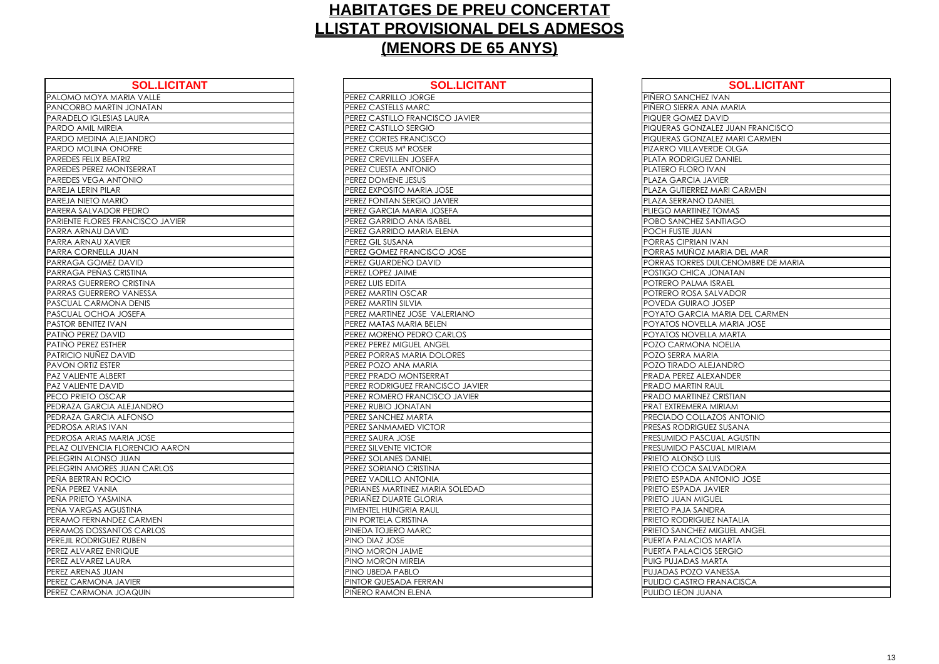| <b>SOL.LICITANT</b>              | <b>SOL.LICIT</b>                 |
|----------------------------------|----------------------------------|
| PALOMO MOYA MARIA VALLE          | PEREZ CARRILLO JORGE             |
| PANCORBO MARTIN JONATAN          | PEREZ CASTELLS MARC              |
| PARADELO IGLESIAS LAURA          | PEREZ CASTILLO FRANCISCO JAVIER  |
| PARDO AMIL MIREIA                | PEREZ CASTILLO SERGIO            |
| PARDO MEDINA ALEJANDRO           | PEREZ CORTES FRANCISCO           |
| PARDO MOLINA ONOFRE              | PEREZ CREUS M <sup>ª</sup> ROSER |
| PAREDES FELIX BEATRIZ            | PEREZ CREVILLEN JOSEFA           |
| PAREDES PEREZ MONTSERRAT         | PEREZ CUESTA ANTONIO             |
| PAREDES VEGA ANTONIO             | PEREZ DOMENE JESUS               |
| PAREJA LERIN PILAR               | PEREZ EXPOSITO MARIA JOSE        |
| PAREJA NIETO MARIO               | PEREZ FONTAN SERGIO JAVIER       |
| PARERA SALVADOR PEDRO            | PEREZ GARCIA MARIA JOSEFA        |
| PARIENTE FLORES FRANCISCO JAVIER | PEREZ GARRIDO ANA ISABEL         |
| PARRA ARNAU DAVID                | PEREZ GARRIDO MARIA ELENA        |
| PARRA ARNAU XAVIER               | PEREZ GIL SUSANA                 |
| PARRA CORNELLA JUAN              | PEREZ GOMEZ FRANCISCO JOSE       |
| PARRAGA GOMEZ DAVID              | PEREZ GUARDEÑO DAVID             |
| PARRAGA PEÑAS CRISTINA           | PEREZ LOPEZ JAIME                |
| PARRAS GUERRERO CRISTINA         | PEREZ LUIS EDITA                 |
| PARRAS GUERRERO VANESSA          | PEREZ MARTIN OSCAR               |
| PASCUAL CARMONA DENIS            | PEREZ MARTIN SILVIA              |
| PASCUAL OCHOA JOSEFA             | PEREZ MARTINEZ JOSE VALERIANO    |
| <b>PASTOR BENITEZ IVAN</b>       | PEREZ MATAS MARIA BELEN          |
| PATIÑO PEREZ DAVID               | PEREZ MORENO PEDRO CARLOS        |
| PATIÑO PEREZ ESTHER              | PEREZ PEREZ MIGUEL ANGEL         |
| PATRICIO NUÑEZ DAVID             | PEREZ PORRAS MARIA DOLORES       |
| <b>PAVON ORTIZ ESTER</b>         | PEREZ POZO ANA MARIA             |
| <b>PAZ VALIENTE ALBERT</b>       | PEREZ PRADO MONTSERRAT           |
| <b>PAZ VALIENTE DAVID</b>        | PEREZ RODRIGUEZ FRANCISCO JAVIE  |
| PECO PRIETO OSCAR                | PEREZ ROMERO FRANCISCO JAVIER    |
| PEDRAZA GARCIA ALEJANDRO         | PEREZ RUBIO JONATAN              |
| PEDRAZA GARCIA ALFONSO           | PEREZ SANCHEZ MARTA              |
| PEDROSA ARIAS IVAN               | PEREZ SANMAMED VICTOR            |
| PEDROSA ARIAS MARIA JOSE         | PEREZ SAURA JOSE                 |
| PELAZ OLIVENCIA FLORENCIO AARON  | PEREZ SILVENTE VICTOR            |
| PELEGRIN ALONSO JUAN             | PEREZ SOLANES DANIEL             |
| PELEGRIN AMORES JUAN CARLOS      | PEREZ SORIANO CRISTINA           |
| PENA BERTRAN ROCIO               | PEREZ VADILLO ANTONIA            |
| PEÑA PEREZ VANIA                 | PERIANES MARTINEZ MARIA SOLEDAD  |
| PEÑA PRIETO YASMINA              | PERIAÑEZ DUARTE GLORIA           |
| PEÑA VARGAS AGUSTINA             | PIMENTEL HUNGRIA RAUL            |
| PERAMO FERNANDEZ CARMEN          | PIN PORTELA CRISTINA             |
| PERAMOS DOSSANTOS CARLOS         | PINEDA TOJERO MARC               |
| PEREJIL RODRIGUEZ RUBEN          | PINO DIAZ JOSE                   |
| PEREZ ALVAREZ ENRIQUE            | PINO MORON JAIME                 |
| PEREZ ALVAREZ LAURA              | PINO MORON MIREIA                |
| PEREZ ARENAS JUAN                | PINO UBEDA PABLO                 |
| PEREZ CARMONA JAVIER             | PINTOR QUESADA FERRAN            |
| PEREZ CARMONA JOAQUIN            | PIÑERO RAMON ELENA               |

| PEREZ CARRILLO JORGE<br>PIÑERO SANCHEZ IVAN<br>PEREZ CASTELLS MARC<br>PIÑERO SIERRA ANA MARIA<br>PEREZ CASTILLO FRANCISCO JAVIER<br><b>PIQUER GOMEZ DAVID</b><br>PEREZ CASTILLO SERGIO<br>PIQUERAS GONZALEZ JUAN FRANCISCO<br>PEREZ CORTES FRANCISCO<br>PIQUERAS GONZALEZ MARI CARMEN<br>PEREZ CREUS Mª ROSER<br>PIZARRO VILLAVERDE OLGA<br>PLATA RODRIGUEZ DANIEL<br>PEREZ CREVILLEN JOSEFA<br>PEREZ CUESTA ANTONIO<br>PLATERO FLORO IVAN<br>PEREZ DOMENE JESUS<br>PLAZA GARCIA JAVIER<br>PEREZ EXPOSITO MARIA JOSE<br>PLAZA GUTIERREZ MARI CARMEN<br>PEREZ FONTAN SERGIO JAVIER<br>PLAZA SERRANO DANIEL<br>PEREZ GARCIA MARIA JOSEFA<br>PLIEGO MARTINEZ TOMAS<br>PEREZ GARRIDO ANA ISABEL<br>POBO SANCHEZ SANTIAGO<br>POCH FUSTE JUAN<br>PEREZ GARRIDO MARIA ELENA<br>PEREZ GIL SUSANA<br>PORRAS CIPRIAN IVAN<br>PEREZ GOMEZ FRANCISCO JOSE<br>PORRAS MUÑOZ MARIA DEL MAR<br>PEREZ GUARDEÑO DAVID<br>PORRAS TORRES DULCENOMBRE DE MARIA<br>PEREZ LOPEZ JAIME<br>POSTIGO CHICA JONATAN<br>PEREZ LUIS EDITA<br>POTRERO PALMA ISRAEL<br>PEREZ MARTIN OSCAR<br>POTRERO ROSA SALVADOR<br>PEREZ MARTIN SILVIA<br>POVEDA GUIRAO JOSEP<br>PEREZ MARTINEZ JOSE VALERIANO<br>POYATO GARCIA MARIA DEL CARMEN<br>PEREZ MATAS MARIA BELEN<br>POYATOS NOVELLA MARIA JOSE<br>PEREZ MORENO PEDRO CARLOS<br>POYATOS NOVELLA MARTA<br>PEREZ PEREZ MIGUEL ANGEL<br>POZO CARMONA NOELIA<br>PEREZ PORRAS MARIA DOLORES<br>POZO SERRA MARIA<br>PEREZ POZO ANA MARIA<br>POZO TIRADO ALEJANDRO<br>ERT<br>PEREZ PRADO MONTSERRAT<br>PRADA PEREZ ALEXANDER<br>PEREZ RODRIGUEZ FRANCISCO JAVIER<br><b>PRADO MARTIN RAUL</b><br>PEREZ ROMERO FRANCISCO JAVIER<br><b>PRADO MARTINEZ CRISTIAN</b><br>PEREZ RUBIO JONATAN<br><b>PRAT EXTREMERA MIRIAM</b><br><b>ALFONSO</b><br>PEREZ SANCHEZ MARTA<br>PRECIADO COLLAZOS ANTONIO<br><b>PRESAS RODRIGUEZ SUSANA</b><br>PEREZ SANMAMED VICTOR<br><b>ARIA JOSE</b><br>PEREZ SAURA JOSE<br><b>PRESUMIDO PASCUAL AGUSTIN</b><br><b>FLORENCIO AARON</b><br>PEREZ SILVENTE VICTOR<br><b>PRESUMIDO PASCUAL MIRIAM</b><br>PEREZ SOLANES DANIEL<br><b>PRIETO ALONSO LUIS</b><br><b>PRIETO COCA SALVADORA</b><br><b>JUAN CARLOS</b><br>PEREZ SORIANO CRISTINA<br><b>CIO</b><br>PEREZ VADILLO ANTONIA<br>PRIETO ESPADA ANTONIO JOSE<br>PERIANES MARTINEZ MARIA SOLEDAD<br>PRIETO ESPADA JAVIER<br><b>AINN</b><br>PERIAÑEZ DUARTE GLORIA<br><b>PRIETO JUAN MIGUEL</b><br><b>USTINA</b><br>PIMENTEL HUNGRIA RAUL<br><b>PRIETO PAJA SANDRA</b><br><b>DEZ CARMEN</b><br>PIN PORTELA CRISTINA<br><b>PRIETO RODRIGUEZ NATALIA</b><br><b>ITOS CARLOS</b><br>PINEDA TOJERO MARC<br><b>PRIETO SANCHEZ MIGUEL ANGEL</b><br>Z RUBEN<br>PINO DIAZ JOSE<br>PUERTA PALACIOS MARTA<br>RIQUE<br>PINO MORON JAIME<br><b>PUERTA PALACIOS SERGIO</b><br>PINO MORON MIREIA<br><b>PUIG PUJADAS MARTA</b><br>PINO UBEDA PABLO<br>PUJADAS POZO VANESSA<br>PINTOR QUESADA FERRAN<br><b>PULIDO CASTRO FRANACISCA</b><br>PIÑERO RAMON ELENA<br>PULIDO LEON JUANA | <b>SOL.LICITANT</b>    | <b>SOL.LICITANT</b> | <b>SOL.LICITANT</b> |
|----------------------------------------------------------------------------------------------------------------------------------------------------------------------------------------------------------------------------------------------------------------------------------------------------------------------------------------------------------------------------------------------------------------------------------------------------------------------------------------------------------------------------------------------------------------------------------------------------------------------------------------------------------------------------------------------------------------------------------------------------------------------------------------------------------------------------------------------------------------------------------------------------------------------------------------------------------------------------------------------------------------------------------------------------------------------------------------------------------------------------------------------------------------------------------------------------------------------------------------------------------------------------------------------------------------------------------------------------------------------------------------------------------------------------------------------------------------------------------------------------------------------------------------------------------------------------------------------------------------------------------------------------------------------------------------------------------------------------------------------------------------------------------------------------------------------------------------------------------------------------------------------------------------------------------------------------------------------------------------------------------------------------------------------------------------------------------------------------------------------------------------------------------------------------------------------------------------------------------------------------------------------------------------------------------------------------------------------------------------------------------------------------------------------------------------------------------------------------------------------------------------------------------------------------------------------------------------------------------------------------------------------------------------------------------------------------------------------------------------------------------------------------------------------------------------------------------------------------------------------------------------------------------------------------------------------|------------------------|---------------------|---------------------|
|                                                                                                                                                                                                                                                                                                                                                                                                                                                                                                                                                                                                                                                                                                                                                                                                                                                                                                                                                                                                                                                                                                                                                                                                                                                                                                                                                                                                                                                                                                                                                                                                                                                                                                                                                                                                                                                                                                                                                                                                                                                                                                                                                                                                                                                                                                                                                                                                                                                                                                                                                                                                                                                                                                                                                                                                                                                                                                                                              | <b>ARIA VALLE</b>      |                     |                     |
|                                                                                                                                                                                                                                                                                                                                                                                                                                                                                                                                                                                                                                                                                                                                                                                                                                                                                                                                                                                                                                                                                                                                                                                                                                                                                                                                                                                                                                                                                                                                                                                                                                                                                                                                                                                                                                                                                                                                                                                                                                                                                                                                                                                                                                                                                                                                                                                                                                                                                                                                                                                                                                                                                                                                                                                                                                                                                                                                              | IN JONATAN             |                     |                     |
|                                                                                                                                                                                                                                                                                                                                                                                                                                                                                                                                                                                                                                                                                                                                                                                                                                                                                                                                                                                                                                                                                                                                                                                                                                                                                                                                                                                                                                                                                                                                                                                                                                                                                                                                                                                                                                                                                                                                                                                                                                                                                                                                                                                                                                                                                                                                                                                                                                                                                                                                                                                                                                                                                                                                                                                                                                                                                                                                              | <b>SLAURA</b>          |                     |                     |
|                                                                                                                                                                                                                                                                                                                                                                                                                                                                                                                                                                                                                                                                                                                                                                                                                                                                                                                                                                                                                                                                                                                                                                                                                                                                                                                                                                                                                                                                                                                                                                                                                                                                                                                                                                                                                                                                                                                                                                                                                                                                                                                                                                                                                                                                                                                                                                                                                                                                                                                                                                                                                                                                                                                                                                                                                                                                                                                                              | ΙA                     |                     |                     |
|                                                                                                                                                                                                                                                                                                                                                                                                                                                                                                                                                                                                                                                                                                                                                                                                                                                                                                                                                                                                                                                                                                                                                                                                                                                                                                                                                                                                                                                                                                                                                                                                                                                                                                                                                                                                                                                                                                                                                                                                                                                                                                                                                                                                                                                                                                                                                                                                                                                                                                                                                                                                                                                                                                                                                                                                                                                                                                                                              | LEJANDRO               |                     |                     |
|                                                                                                                                                                                                                                                                                                                                                                                                                                                                                                                                                                                                                                                                                                                                                                                                                                                                                                                                                                                                                                                                                                                                                                                                                                                                                                                                                                                                                                                                                                                                                                                                                                                                                                                                                                                                                                                                                                                                                                                                                                                                                                                                                                                                                                                                                                                                                                                                                                                                                                                                                                                                                                                                                                                                                                                                                                                                                                                                              | <b>NOFRE</b>           |                     |                     |
|                                                                                                                                                                                                                                                                                                                                                                                                                                                                                                                                                                                                                                                                                                                                                                                                                                                                                                                                                                                                                                                                                                                                                                                                                                                                                                                                                                                                                                                                                                                                                                                                                                                                                                                                                                                                                                                                                                                                                                                                                                                                                                                                                                                                                                                                                                                                                                                                                                                                                                                                                                                                                                                                                                                                                                                                                                                                                                                                              | TRIZ                   |                     |                     |
|                                                                                                                                                                                                                                                                                                                                                                                                                                                                                                                                                                                                                                                                                                                                                                                                                                                                                                                                                                                                                                                                                                                                                                                                                                                                                                                                                                                                                                                                                                                                                                                                                                                                                                                                                                                                                                                                                                                                                                                                                                                                                                                                                                                                                                                                                                                                                                                                                                                                                                                                                                                                                                                                                                                                                                                                                                                                                                                                              | <b>DNTSERRAT</b>       |                     |                     |
|                                                                                                                                                                                                                                                                                                                                                                                                                                                                                                                                                                                                                                                                                                                                                                                                                                                                                                                                                                                                                                                                                                                                                                                                                                                                                                                                                                                                                                                                                                                                                                                                                                                                                                                                                                                                                                                                                                                                                                                                                                                                                                                                                                                                                                                                                                                                                                                                                                                                                                                                                                                                                                                                                                                                                                                                                                                                                                                                              | <b>OI</b> NOTI         |                     |                     |
|                                                                                                                                                                                                                                                                                                                                                                                                                                                                                                                                                                                                                                                                                                                                                                                                                                                                                                                                                                                                                                                                                                                                                                                                                                                                                                                                                                                                                                                                                                                                                                                                                                                                                                                                                                                                                                                                                                                                                                                                                                                                                                                                                                                                                                                                                                                                                                                                                                                                                                                                                                                                                                                                                                                                                                                                                                                                                                                                              |                        |                     |                     |
|                                                                                                                                                                                                                                                                                                                                                                                                                                                                                                                                                                                                                                                                                                                                                                                                                                                                                                                                                                                                                                                                                                                                                                                                                                                                                                                                                                                                                                                                                                                                                                                                                                                                                                                                                                                                                                                                                                                                                                                                                                                                                                                                                                                                                                                                                                                                                                                                                                                                                                                                                                                                                                                                                                                                                                                                                                                                                                                                              | <b>RIO</b>             |                     |                     |
|                                                                                                                                                                                                                                                                                                                                                                                                                                                                                                                                                                                                                                                                                                                                                                                                                                                                                                                                                                                                                                                                                                                                                                                                                                                                                                                                                                                                                                                                                                                                                                                                                                                                                                                                                                                                                                                                                                                                                                                                                                                                                                                                                                                                                                                                                                                                                                                                                                                                                                                                                                                                                                                                                                                                                                                                                                                                                                                                              | R PEDRO                |                     |                     |
|                                                                                                                                                                                                                                                                                                                                                                                                                                                                                                                                                                                                                                                                                                                                                                                                                                                                                                                                                                                                                                                                                                                                                                                                                                                                                                                                                                                                                                                                                                                                                                                                                                                                                                                                                                                                                                                                                                                                                                                                                                                                                                                                                                                                                                                                                                                                                                                                                                                                                                                                                                                                                                                                                                                                                                                                                                                                                                                                              | <b>RANCISCO JAVIER</b> |                     |                     |
|                                                                                                                                                                                                                                                                                                                                                                                                                                                                                                                                                                                                                                                                                                                                                                                                                                                                                                                                                                                                                                                                                                                                                                                                                                                                                                                                                                                                                                                                                                                                                                                                                                                                                                                                                                                                                                                                                                                                                                                                                                                                                                                                                                                                                                                                                                                                                                                                                                                                                                                                                                                                                                                                                                                                                                                                                                                                                                                                              | VID                    |                     |                     |
|                                                                                                                                                                                                                                                                                                                                                                                                                                                                                                                                                                                                                                                                                                                                                                                                                                                                                                                                                                                                                                                                                                                                                                                                                                                                                                                                                                                                                                                                                                                                                                                                                                                                                                                                                                                                                                                                                                                                                                                                                                                                                                                                                                                                                                                                                                                                                                                                                                                                                                                                                                                                                                                                                                                                                                                                                                                                                                                                              | vier                   |                     |                     |
|                                                                                                                                                                                                                                                                                                                                                                                                                                                                                                                                                                                                                                                                                                                                                                                                                                                                                                                                                                                                                                                                                                                                                                                                                                                                                                                                                                                                                                                                                                                                                                                                                                                                                                                                                                                                                                                                                                                                                                                                                                                                                                                                                                                                                                                                                                                                                                                                                                                                                                                                                                                                                                                                                                                                                                                                                                                                                                                                              | JUAN                   |                     |                     |
|                                                                                                                                                                                                                                                                                                                                                                                                                                                                                                                                                                                                                                                                                                                                                                                                                                                                                                                                                                                                                                                                                                                                                                                                                                                                                                                                                                                                                                                                                                                                                                                                                                                                                                                                                                                                                                                                                                                                                                                                                                                                                                                                                                                                                                                                                                                                                                                                                                                                                                                                                                                                                                                                                                                                                                                                                                                                                                                                              | <b>DAVID</b>           |                     |                     |
|                                                                                                                                                                                                                                                                                                                                                                                                                                                                                                                                                                                                                                                                                                                                                                                                                                                                                                                                                                                                                                                                                                                                                                                                                                                                                                                                                                                                                                                                                                                                                                                                                                                                                                                                                                                                                                                                                                                                                                                                                                                                                                                                                                                                                                                                                                                                                                                                                                                                                                                                                                                                                                                                                                                                                                                                                                                                                                                                              | CRISTINA               |                     |                     |
|                                                                                                                                                                                                                                                                                                                                                                                                                                                                                                                                                                                                                                                                                                                                                                                                                                                                                                                                                                                                                                                                                                                                                                                                                                                                                                                                                                                                                                                                                                                                                                                                                                                                                                                                                                                                                                                                                                                                                                                                                                                                                                                                                                                                                                                                                                                                                                                                                                                                                                                                                                                                                                                                                                                                                                                                                                                                                                                                              | <b>D CRISTINA</b>      |                     |                     |
|                                                                                                                                                                                                                                                                                                                                                                                                                                                                                                                                                                                                                                                                                                                                                                                                                                                                                                                                                                                                                                                                                                                                                                                                                                                                                                                                                                                                                                                                                                                                                                                                                                                                                                                                                                                                                                                                                                                                                                                                                                                                                                                                                                                                                                                                                                                                                                                                                                                                                                                                                                                                                                                                                                                                                                                                                                                                                                                                              | <b>OVANESSA</b>        |                     |                     |
|                                                                                                                                                                                                                                                                                                                                                                                                                                                                                                                                                                                                                                                                                                                                                                                                                                                                                                                                                                                                                                                                                                                                                                                                                                                                                                                                                                                                                                                                                                                                                                                                                                                                                                                                                                                                                                                                                                                                                                                                                                                                                                                                                                                                                                                                                                                                                                                                                                                                                                                                                                                                                                                                                                                                                                                                                                                                                                                                              | NA DENIS               |                     |                     |
|                                                                                                                                                                                                                                                                                                                                                                                                                                                                                                                                                                                                                                                                                                                                                                                                                                                                                                                                                                                                                                                                                                                                                                                                                                                                                                                                                                                                                                                                                                                                                                                                                                                                                                                                                                                                                                                                                                                                                                                                                                                                                                                                                                                                                                                                                                                                                                                                                                                                                                                                                                                                                                                                                                                                                                                                                                                                                                                                              | <b>JOSEFA</b>          |                     |                     |
|                                                                                                                                                                                                                                                                                                                                                                                                                                                                                                                                                                                                                                                                                                                                                                                                                                                                                                                                                                                                                                                                                                                                                                                                                                                                                                                                                                                                                                                                                                                                                                                                                                                                                                                                                                                                                                                                                                                                                                                                                                                                                                                                                                                                                                                                                                                                                                                                                                                                                                                                                                                                                                                                                                                                                                                                                                                                                                                                              | AΝ                     |                     |                     |
|                                                                                                                                                                                                                                                                                                                                                                                                                                                                                                                                                                                                                                                                                                                                                                                                                                                                                                                                                                                                                                                                                                                                                                                                                                                                                                                                                                                                                                                                                                                                                                                                                                                                                                                                                                                                                                                                                                                                                                                                                                                                                                                                                                                                                                                                                                                                                                                                                                                                                                                                                                                                                                                                                                                                                                                                                                                                                                                                              | ⁄ID                    |                     |                     |
|                                                                                                                                                                                                                                                                                                                                                                                                                                                                                                                                                                                                                                                                                                                                                                                                                                                                                                                                                                                                                                                                                                                                                                                                                                                                                                                                                                                                                                                                                                                                                                                                                                                                                                                                                                                                                                                                                                                                                                                                                                                                                                                                                                                                                                                                                                                                                                                                                                                                                                                                                                                                                                                                                                                                                                                                                                                                                                                                              | IER                    |                     |                     |
|                                                                                                                                                                                                                                                                                                                                                                                                                                                                                                                                                                                                                                                                                                                                                                                                                                                                                                                                                                                                                                                                                                                                                                                                                                                                                                                                                                                                                                                                                                                                                                                                                                                                                                                                                                                                                                                                                                                                                                                                                                                                                                                                                                                                                                                                                                                                                                                                                                                                                                                                                                                                                                                                                                                                                                                                                                                                                                                                              | AVID                   |                     |                     |
|                                                                                                                                                                                                                                                                                                                                                                                                                                                                                                                                                                                                                                                                                                                                                                                                                                                                                                                                                                                                                                                                                                                                                                                                                                                                                                                                                                                                                                                                                                                                                                                                                                                                                                                                                                                                                                                                                                                                                                                                                                                                                                                                                                                                                                                                                                                                                                                                                                                                                                                                                                                                                                                                                                                                                                                                                                                                                                                                              | R                      |                     |                     |
|                                                                                                                                                                                                                                                                                                                                                                                                                                                                                                                                                                                                                                                                                                                                                                                                                                                                                                                                                                                                                                                                                                                                                                                                                                                                                                                                                                                                                                                                                                                                                                                                                                                                                                                                                                                                                                                                                                                                                                                                                                                                                                                                                                                                                                                                                                                                                                                                                                                                                                                                                                                                                                                                                                                                                                                                                                                                                                                                              |                        |                     |                     |
|                                                                                                                                                                                                                                                                                                                                                                                                                                                                                                                                                                                                                                                                                                                                                                                                                                                                                                                                                                                                                                                                                                                                                                                                                                                                                                                                                                                                                                                                                                                                                                                                                                                                                                                                                                                                                                                                                                                                                                                                                                                                                                                                                                                                                                                                                                                                                                                                                                                                                                                                                                                                                                                                                                                                                                                                                                                                                                                                              | ÏD                     |                     |                     |
|                                                                                                                                                                                                                                                                                                                                                                                                                                                                                                                                                                                                                                                                                                                                                                                                                                                                                                                                                                                                                                                                                                                                                                                                                                                                                                                                                                                                                                                                                                                                                                                                                                                                                                                                                                                                                                                                                                                                                                                                                                                                                                                                                                                                                                                                                                                                                                                                                                                                                                                                                                                                                                                                                                                                                                                                                                                                                                                                              | AR                     |                     |                     |
|                                                                                                                                                                                                                                                                                                                                                                                                                                                                                                                                                                                                                                                                                                                                                                                                                                                                                                                                                                                                                                                                                                                                                                                                                                                                                                                                                                                                                                                                                                                                                                                                                                                                                                                                                                                                                                                                                                                                                                                                                                                                                                                                                                                                                                                                                                                                                                                                                                                                                                                                                                                                                                                                                                                                                                                                                                                                                                                                              | ALEJANDRO              |                     |                     |
|                                                                                                                                                                                                                                                                                                                                                                                                                                                                                                                                                                                                                                                                                                                                                                                                                                                                                                                                                                                                                                                                                                                                                                                                                                                                                                                                                                                                                                                                                                                                                                                                                                                                                                                                                                                                                                                                                                                                                                                                                                                                                                                                                                                                                                                                                                                                                                                                                                                                                                                                                                                                                                                                                                                                                                                                                                                                                                                                              |                        |                     |                     |
|                                                                                                                                                                                                                                                                                                                                                                                                                                                                                                                                                                                                                                                                                                                                                                                                                                                                                                                                                                                                                                                                                                                                                                                                                                                                                                                                                                                                                                                                                                                                                                                                                                                                                                                                                                                                                                                                                                                                                                                                                                                                                                                                                                                                                                                                                                                                                                                                                                                                                                                                                                                                                                                                                                                                                                                                                                                                                                                                              | AN                     |                     |                     |
|                                                                                                                                                                                                                                                                                                                                                                                                                                                                                                                                                                                                                                                                                                                                                                                                                                                                                                                                                                                                                                                                                                                                                                                                                                                                                                                                                                                                                                                                                                                                                                                                                                                                                                                                                                                                                                                                                                                                                                                                                                                                                                                                                                                                                                                                                                                                                                                                                                                                                                                                                                                                                                                                                                                                                                                                                                                                                                                                              |                        |                     |                     |
|                                                                                                                                                                                                                                                                                                                                                                                                                                                                                                                                                                                                                                                                                                                                                                                                                                                                                                                                                                                                                                                                                                                                                                                                                                                                                                                                                                                                                                                                                                                                                                                                                                                                                                                                                                                                                                                                                                                                                                                                                                                                                                                                                                                                                                                                                                                                                                                                                                                                                                                                                                                                                                                                                                                                                                                                                                                                                                                                              |                        |                     |                     |
|                                                                                                                                                                                                                                                                                                                                                                                                                                                                                                                                                                                                                                                                                                                                                                                                                                                                                                                                                                                                                                                                                                                                                                                                                                                                                                                                                                                                                                                                                                                                                                                                                                                                                                                                                                                                                                                                                                                                                                                                                                                                                                                                                                                                                                                                                                                                                                                                                                                                                                                                                                                                                                                                                                                                                                                                                                                                                                                                              | JUAN                   |                     |                     |
|                                                                                                                                                                                                                                                                                                                                                                                                                                                                                                                                                                                                                                                                                                                                                                                                                                                                                                                                                                                                                                                                                                                                                                                                                                                                                                                                                                                                                                                                                                                                                                                                                                                                                                                                                                                                                                                                                                                                                                                                                                                                                                                                                                                                                                                                                                                                                                                                                                                                                                                                                                                                                                                                                                                                                                                                                                                                                                                                              |                        |                     |                     |
|                                                                                                                                                                                                                                                                                                                                                                                                                                                                                                                                                                                                                                                                                                                                                                                                                                                                                                                                                                                                                                                                                                                                                                                                                                                                                                                                                                                                                                                                                                                                                                                                                                                                                                                                                                                                                                                                                                                                                                                                                                                                                                                                                                                                                                                                                                                                                                                                                                                                                                                                                                                                                                                                                                                                                                                                                                                                                                                                              |                        |                     |                     |
|                                                                                                                                                                                                                                                                                                                                                                                                                                                                                                                                                                                                                                                                                                                                                                                                                                                                                                                                                                                                                                                                                                                                                                                                                                                                                                                                                                                                                                                                                                                                                                                                                                                                                                                                                                                                                                                                                                                                                                                                                                                                                                                                                                                                                                                                                                                                                                                                                                                                                                                                                                                                                                                                                                                                                                                                                                                                                                                                              |                        |                     |                     |
|                                                                                                                                                                                                                                                                                                                                                                                                                                                                                                                                                                                                                                                                                                                                                                                                                                                                                                                                                                                                                                                                                                                                                                                                                                                                                                                                                                                                                                                                                                                                                                                                                                                                                                                                                                                                                                                                                                                                                                                                                                                                                                                                                                                                                                                                                                                                                                                                                                                                                                                                                                                                                                                                                                                                                                                                                                                                                                                                              |                        |                     |                     |
|                                                                                                                                                                                                                                                                                                                                                                                                                                                                                                                                                                                                                                                                                                                                                                                                                                                                                                                                                                                                                                                                                                                                                                                                                                                                                                                                                                                                                                                                                                                                                                                                                                                                                                                                                                                                                                                                                                                                                                                                                                                                                                                                                                                                                                                                                                                                                                                                                                                                                                                                                                                                                                                                                                                                                                                                                                                                                                                                              |                        |                     |                     |
|                                                                                                                                                                                                                                                                                                                                                                                                                                                                                                                                                                                                                                                                                                                                                                                                                                                                                                                                                                                                                                                                                                                                                                                                                                                                                                                                                                                                                                                                                                                                                                                                                                                                                                                                                                                                                                                                                                                                                                                                                                                                                                                                                                                                                                                                                                                                                                                                                                                                                                                                                                                                                                                                                                                                                                                                                                                                                                                                              |                        |                     |                     |
|                                                                                                                                                                                                                                                                                                                                                                                                                                                                                                                                                                                                                                                                                                                                                                                                                                                                                                                                                                                                                                                                                                                                                                                                                                                                                                                                                                                                                                                                                                                                                                                                                                                                                                                                                                                                                                                                                                                                                                                                                                                                                                                                                                                                                                                                                                                                                                                                                                                                                                                                                                                                                                                                                                                                                                                                                                                                                                                                              |                        |                     |                     |
|                                                                                                                                                                                                                                                                                                                                                                                                                                                                                                                                                                                                                                                                                                                                                                                                                                                                                                                                                                                                                                                                                                                                                                                                                                                                                                                                                                                                                                                                                                                                                                                                                                                                                                                                                                                                                                                                                                                                                                                                                                                                                                                                                                                                                                                                                                                                                                                                                                                                                                                                                                                                                                                                                                                                                                                                                                                                                                                                              |                        |                     |                     |
|                                                                                                                                                                                                                                                                                                                                                                                                                                                                                                                                                                                                                                                                                                                                                                                                                                                                                                                                                                                                                                                                                                                                                                                                                                                                                                                                                                                                                                                                                                                                                                                                                                                                                                                                                                                                                                                                                                                                                                                                                                                                                                                                                                                                                                                                                                                                                                                                                                                                                                                                                                                                                                                                                                                                                                                                                                                                                                                                              |                        |                     |                     |
|                                                                                                                                                                                                                                                                                                                                                                                                                                                                                                                                                                                                                                                                                                                                                                                                                                                                                                                                                                                                                                                                                                                                                                                                                                                                                                                                                                                                                                                                                                                                                                                                                                                                                                                                                                                                                                                                                                                                                                                                                                                                                                                                                                                                                                                                                                                                                                                                                                                                                                                                                                                                                                                                                                                                                                                                                                                                                                                                              | URA                    |                     |                     |
|                                                                                                                                                                                                                                                                                                                                                                                                                                                                                                                                                                                                                                                                                                                                                                                                                                                                                                                                                                                                                                                                                                                                                                                                                                                                                                                                                                                                                                                                                                                                                                                                                                                                                                                                                                                                                                                                                                                                                                                                                                                                                                                                                                                                                                                                                                                                                                                                                                                                                                                                                                                                                                                                                                                                                                                                                                                                                                                                              | N.                     |                     |                     |
|                                                                                                                                                                                                                                                                                                                                                                                                                                                                                                                                                                                                                                                                                                                                                                                                                                                                                                                                                                                                                                                                                                                                                                                                                                                                                                                                                                                                                                                                                                                                                                                                                                                                                                                                                                                                                                                                                                                                                                                                                                                                                                                                                                                                                                                                                                                                                                                                                                                                                                                                                                                                                                                                                                                                                                                                                                                                                                                                              | JAVIER                 |                     |                     |
|                                                                                                                                                                                                                                                                                                                                                                                                                                                                                                                                                                                                                                                                                                                                                                                                                                                                                                                                                                                                                                                                                                                                                                                                                                                                                                                                                                                                                                                                                                                                                                                                                                                                                                                                                                                                                                                                                                                                                                                                                                                                                                                                                                                                                                                                                                                                                                                                                                                                                                                                                                                                                                                                                                                                                                                                                                                                                                                                              | JOAQUIN                |                     |                     |

| <b>SOL.LICITANT</b>       |
|---------------------------|
| <b>IVAN</b>               |
| IA MARIA                  |
| AVID                      |
| <b>LEZ JUAN FRANCISCO</b> |
| <b>LEZ MARI CARMEN</b>    |
| <b>DE OLGA</b>            |
| <b>DANIEL</b>             |
| /AN                       |
| <b>VIER</b>               |
| MARI CARMEN               |
| <b>ANIEL</b>              |
| <b>TOMAS</b>              |
| ANTIAGO                   |
|                           |
| VAN                       |
| <b>AARIA DEL MAR</b>      |
| ULCENOMBRE DE MARIA       |
| ONATAN                    |
| <b>ISRAEL</b>             |
| <b>ALVADOR</b>            |
| <b>JOSEP</b>              |
| MARIA DEL CARMEN          |
| A MARIA JOSE              |
| A MARTA                   |
| <b>NOELIA</b>             |
| ΙA                        |
| JANDRO                    |
| XANDER                    |
| AUL                       |
| <b>CRISTIAN</b>           |
| <b>MIRIAM</b>             |
| ZOS ANTONIO               |
| EZ SUSANA                 |
| <b>UAL AGUSTIN</b>        |
| <b>UAL MIRIAM</b>         |
| JIS                       |
| VADORA                    |
| <b>JTONIO JOSE</b>        |
| <b>VIER</b>               |
| JEL                       |
| <b>ORA</b>                |
| <b>Z NATALIA</b>          |
| <b>MIGUEL ANGEL</b>       |
| MARTA                     |
| SERGIO                    |
| ARTA                      |
| ANESSA                    |
| RANACISCA                 |
| ΝA                        |
|                           |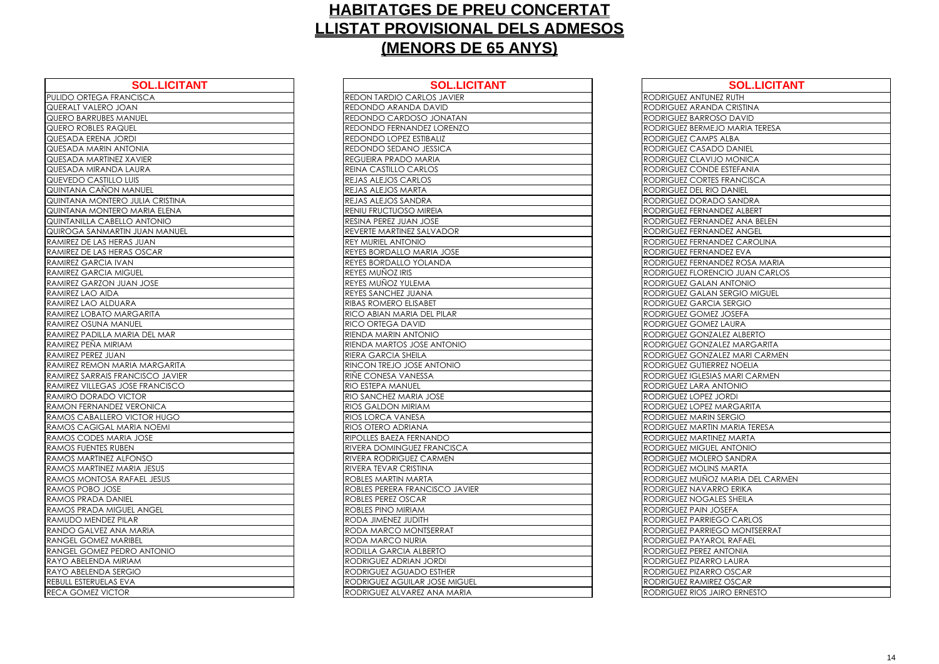| PULIDO ORTEGA FRANCISCA<br><b>REDON TARDIO CARLOS JAVIER</b><br>REDONDO ARANDA DAVID<br>QUERALT VALERO JOAN<br>REDONDO CARDOSO JONATAN<br>QUERO BARRUBES MANUEL<br>QUERO ROBLES RAQUEL<br><b>REDONDO FERNANDEZ LORENZO</b><br>QUESADA ERENA JORDI<br>REDONDO LOPEZ ESTIBALIZ<br>REDONDO SEDANO JESSICA<br>QUESADA MARIN ANTONIA<br>QUESADA MARTINEZ XAVIER<br><b>REGUEIRA PRADO MARIA</b><br>QUESADA MIRANDA LAURA<br>REINA CASTILLO CARLOS<br>QUEVEDO CASTILLO LUIS<br><b>REJAS ALEJOS CARLOS</b><br>QUINTANA CAÑON MANUEL<br>REJAS ALEJOS MARTA<br>QUINTANA MONTERO JULIA CRISTINA<br>REJAS ALEJOS SANDRA<br>QUINTANA MONTERO MARIA ELENA<br>RENIU FRUCTUOSO MIREIA<br><b>QUINTANILLA CABELLO ANTONIO</b><br>RESINA PEREZ JUAN JOSE<br>REVERTE MARTINEZ SALVADOR<br>QUIROGA SANMARTIN JUAN MANUEL<br>RAMIREZ DE LAS HERAS JUAN<br><b>REY MURIEL ANTONIO</b><br>RAMIREZ DE LAS HERAS OSCAR<br>REYES BORDALLO MARIA JOSE<br>REYES BORDALLO YOLANDA<br><b>REYES MUNOZ IRIS</b><br>REYES MUÑOZ YULEMA<br>RAMIREZ LAO AIDA<br>REYES SANCHEZ JUANA<br>RAMIREZ LAO ALDUARA<br><b>RIBAS ROMERO ELISABET</b><br>RAMIREZ LOBATO MARGARITA<br>RICO ABIAN MARIA DEL PILAR<br>RAMIREZ OSUNA MANUEL<br>RICO ORTEGA DAVID<br>RIENDA MARIN ANTONIO<br>RIENDA MARTOS JOSE ANTONIO<br>RAMIREZ PEREZ JUAN<br>RIERA GARCIA SHEILA<br>RAMIREZ REMON MARIA MARGARITA<br>RINCON TREJO JOSE ANTONIO<br>RINE CONESA VANESSA<br><b>RIO ESTEPA MANUEL</b><br>RIO SANCHEZ MARIA JOSE<br>RAMON FERNANDEZ VERONICA<br><b>RIOS GALDON MIRIAM</b><br>RAMOS CABALLERO VICTOR HUGO<br>RIOS LORCA VANESA<br>RAMOS CAGIGAL MARIA NOEMI<br>RIOS OTERO ADRIANA<br>RAMOS CODES MARIA JOSE<br>RIPOLLES BAEZA FERNANDO<br><b>RIVERA DOMINGUEZ FRANCISCA</b><br><b>RIVERA RODRIGUEZ CARMEN</b><br>RAMOS MARTINEZ MARIA JESUS<br><b>RIVERA TEVAR CRISTINA</b><br>RAMOS MONTOSA RAFAEL JESUS<br>ROBLES MARTIN MARTA<br>ROBLES PERERA FRANCISCO JAVIER<br><b>ROBLES PEREZ OSCAR</b><br>ROBLES PINO MIRIAM<br>RODA JIMENEZ JUDITH<br>RANDO GALVEZ ANA MARIA<br>RODA MARCO MONTSERRAT<br><b>RANGEL GOMEZ MARIBEL</b><br>RODA MARCO NURIA<br>RODILLA GARCIA ALBERTO<br>RODRIGUEZ ADRIAN JORDI<br>RODRIGUEZ AGUADO ESTHER<br>RODRIGUEZ AGUILAR JOSE MIGUEL<br>RODRIGUEZ ALVAREZ ANA MARIA | <b>SOL.LICITANT</b>      | <b>SOL.LICI</b> |
|--------------------------------------------------------------------------------------------------------------------------------------------------------------------------------------------------------------------------------------------------------------------------------------------------------------------------------------------------------------------------------------------------------------------------------------------------------------------------------------------------------------------------------------------------------------------------------------------------------------------------------------------------------------------------------------------------------------------------------------------------------------------------------------------------------------------------------------------------------------------------------------------------------------------------------------------------------------------------------------------------------------------------------------------------------------------------------------------------------------------------------------------------------------------------------------------------------------------------------------------------------------------------------------------------------------------------------------------------------------------------------------------------------------------------------------------------------------------------------------------------------------------------------------------------------------------------------------------------------------------------------------------------------------------------------------------------------------------------------------------------------------------------------------------------------------------------------------------------------------------------------------------------------------------------------------------------------------------------------------------------------------------------------------------------------------------------------------------------------------------------------------------------------------------------------------------------------------------------------------------|--------------------------|-----------------|
| RAMIREZ GARCIA IVAN<br><b>RAMIREZ GARCIA MIGUEL</b><br><b>RAMIREZ GARZON JUAN JOSE</b><br>RAMIREZ PADILLA MARIA DEL MAR<br>RAMIREZ PEÑA MIRIAM<br>RAMIREZ SARRAIS FRANCISCO JAVIER<br><b>RAMIREZ VILLEGAS JOSE FRANCISCO</b><br>RAMIRO DORADO VICTOR<br><b>RAMOS FUENTES RUBEN</b><br>RAMOS MARTINEZ ALFONSO<br>RAMOS POBO JOSE<br><b>RAMOS PRADA DANIEL</b><br>RAMOS PRADA MIGUEL ANGEL<br>RAMUDO MENDEZ PILAR<br>RANGEL GOMEZ PEDRO ANTONIO<br>REBULL ESTERUELAS EVA                                                                                                                                                                                                                                                                                                                                                                                                                                                                                                                                                                                                                                                                                                                                                                                                                                                                                                                                                                                                                                                                                                                                                                                                                                                                                                                                                                                                                                                                                                                                                                                                                                                                                                                                                                     |                          |                 |
|                                                                                                                                                                                                                                                                                                                                                                                                                                                                                                                                                                                                                                                                                                                                                                                                                                                                                                                                                                                                                                                                                                                                                                                                                                                                                                                                                                                                                                                                                                                                                                                                                                                                                                                                                                                                                                                                                                                                                                                                                                                                                                                                                                                                                                            |                          |                 |
|                                                                                                                                                                                                                                                                                                                                                                                                                                                                                                                                                                                                                                                                                                                                                                                                                                                                                                                                                                                                                                                                                                                                                                                                                                                                                                                                                                                                                                                                                                                                                                                                                                                                                                                                                                                                                                                                                                                                                                                                                                                                                                                                                                                                                                            |                          |                 |
|                                                                                                                                                                                                                                                                                                                                                                                                                                                                                                                                                                                                                                                                                                                                                                                                                                                                                                                                                                                                                                                                                                                                                                                                                                                                                                                                                                                                                                                                                                                                                                                                                                                                                                                                                                                                                                                                                                                                                                                                                                                                                                                                                                                                                                            |                          |                 |
|                                                                                                                                                                                                                                                                                                                                                                                                                                                                                                                                                                                                                                                                                                                                                                                                                                                                                                                                                                                                                                                                                                                                                                                                                                                                                                                                                                                                                                                                                                                                                                                                                                                                                                                                                                                                                                                                                                                                                                                                                                                                                                                                                                                                                                            |                          |                 |
|                                                                                                                                                                                                                                                                                                                                                                                                                                                                                                                                                                                                                                                                                                                                                                                                                                                                                                                                                                                                                                                                                                                                                                                                                                                                                                                                                                                                                                                                                                                                                                                                                                                                                                                                                                                                                                                                                                                                                                                                                                                                                                                                                                                                                                            |                          |                 |
|                                                                                                                                                                                                                                                                                                                                                                                                                                                                                                                                                                                                                                                                                                                                                                                                                                                                                                                                                                                                                                                                                                                                                                                                                                                                                                                                                                                                                                                                                                                                                                                                                                                                                                                                                                                                                                                                                                                                                                                                                                                                                                                                                                                                                                            |                          |                 |
|                                                                                                                                                                                                                                                                                                                                                                                                                                                                                                                                                                                                                                                                                                                                                                                                                                                                                                                                                                                                                                                                                                                                                                                                                                                                                                                                                                                                                                                                                                                                                                                                                                                                                                                                                                                                                                                                                                                                                                                                                                                                                                                                                                                                                                            |                          |                 |
|                                                                                                                                                                                                                                                                                                                                                                                                                                                                                                                                                                                                                                                                                                                                                                                                                                                                                                                                                                                                                                                                                                                                                                                                                                                                                                                                                                                                                                                                                                                                                                                                                                                                                                                                                                                                                                                                                                                                                                                                                                                                                                                                                                                                                                            |                          |                 |
|                                                                                                                                                                                                                                                                                                                                                                                                                                                                                                                                                                                                                                                                                                                                                                                                                                                                                                                                                                                                                                                                                                                                                                                                                                                                                                                                                                                                                                                                                                                                                                                                                                                                                                                                                                                                                                                                                                                                                                                                                                                                                                                                                                                                                                            |                          |                 |
|                                                                                                                                                                                                                                                                                                                                                                                                                                                                                                                                                                                                                                                                                                                                                                                                                                                                                                                                                                                                                                                                                                                                                                                                                                                                                                                                                                                                                                                                                                                                                                                                                                                                                                                                                                                                                                                                                                                                                                                                                                                                                                                                                                                                                                            |                          |                 |
|                                                                                                                                                                                                                                                                                                                                                                                                                                                                                                                                                                                                                                                                                                                                                                                                                                                                                                                                                                                                                                                                                                                                                                                                                                                                                                                                                                                                                                                                                                                                                                                                                                                                                                                                                                                                                                                                                                                                                                                                                                                                                                                                                                                                                                            |                          |                 |
|                                                                                                                                                                                                                                                                                                                                                                                                                                                                                                                                                                                                                                                                                                                                                                                                                                                                                                                                                                                                                                                                                                                                                                                                                                                                                                                                                                                                                                                                                                                                                                                                                                                                                                                                                                                                                                                                                                                                                                                                                                                                                                                                                                                                                                            |                          |                 |
|                                                                                                                                                                                                                                                                                                                                                                                                                                                                                                                                                                                                                                                                                                                                                                                                                                                                                                                                                                                                                                                                                                                                                                                                                                                                                                                                                                                                                                                                                                                                                                                                                                                                                                                                                                                                                                                                                                                                                                                                                                                                                                                                                                                                                                            |                          |                 |
|                                                                                                                                                                                                                                                                                                                                                                                                                                                                                                                                                                                                                                                                                                                                                                                                                                                                                                                                                                                                                                                                                                                                                                                                                                                                                                                                                                                                                                                                                                                                                                                                                                                                                                                                                                                                                                                                                                                                                                                                                                                                                                                                                                                                                                            |                          |                 |
|                                                                                                                                                                                                                                                                                                                                                                                                                                                                                                                                                                                                                                                                                                                                                                                                                                                                                                                                                                                                                                                                                                                                                                                                                                                                                                                                                                                                                                                                                                                                                                                                                                                                                                                                                                                                                                                                                                                                                                                                                                                                                                                                                                                                                                            |                          |                 |
|                                                                                                                                                                                                                                                                                                                                                                                                                                                                                                                                                                                                                                                                                                                                                                                                                                                                                                                                                                                                                                                                                                                                                                                                                                                                                                                                                                                                                                                                                                                                                                                                                                                                                                                                                                                                                                                                                                                                                                                                                                                                                                                                                                                                                                            |                          |                 |
|                                                                                                                                                                                                                                                                                                                                                                                                                                                                                                                                                                                                                                                                                                                                                                                                                                                                                                                                                                                                                                                                                                                                                                                                                                                                                                                                                                                                                                                                                                                                                                                                                                                                                                                                                                                                                                                                                                                                                                                                                                                                                                                                                                                                                                            |                          |                 |
|                                                                                                                                                                                                                                                                                                                                                                                                                                                                                                                                                                                                                                                                                                                                                                                                                                                                                                                                                                                                                                                                                                                                                                                                                                                                                                                                                                                                                                                                                                                                                                                                                                                                                                                                                                                                                                                                                                                                                                                                                                                                                                                                                                                                                                            |                          |                 |
|                                                                                                                                                                                                                                                                                                                                                                                                                                                                                                                                                                                                                                                                                                                                                                                                                                                                                                                                                                                                                                                                                                                                                                                                                                                                                                                                                                                                                                                                                                                                                                                                                                                                                                                                                                                                                                                                                                                                                                                                                                                                                                                                                                                                                                            |                          |                 |
|                                                                                                                                                                                                                                                                                                                                                                                                                                                                                                                                                                                                                                                                                                                                                                                                                                                                                                                                                                                                                                                                                                                                                                                                                                                                                                                                                                                                                                                                                                                                                                                                                                                                                                                                                                                                                                                                                                                                                                                                                                                                                                                                                                                                                                            |                          |                 |
|                                                                                                                                                                                                                                                                                                                                                                                                                                                                                                                                                                                                                                                                                                                                                                                                                                                                                                                                                                                                                                                                                                                                                                                                                                                                                                                                                                                                                                                                                                                                                                                                                                                                                                                                                                                                                                                                                                                                                                                                                                                                                                                                                                                                                                            |                          |                 |
|                                                                                                                                                                                                                                                                                                                                                                                                                                                                                                                                                                                                                                                                                                                                                                                                                                                                                                                                                                                                                                                                                                                                                                                                                                                                                                                                                                                                                                                                                                                                                                                                                                                                                                                                                                                                                                                                                                                                                                                                                                                                                                                                                                                                                                            |                          |                 |
|                                                                                                                                                                                                                                                                                                                                                                                                                                                                                                                                                                                                                                                                                                                                                                                                                                                                                                                                                                                                                                                                                                                                                                                                                                                                                                                                                                                                                                                                                                                                                                                                                                                                                                                                                                                                                                                                                                                                                                                                                                                                                                                                                                                                                                            |                          |                 |
|                                                                                                                                                                                                                                                                                                                                                                                                                                                                                                                                                                                                                                                                                                                                                                                                                                                                                                                                                                                                                                                                                                                                                                                                                                                                                                                                                                                                                                                                                                                                                                                                                                                                                                                                                                                                                                                                                                                                                                                                                                                                                                                                                                                                                                            |                          |                 |
|                                                                                                                                                                                                                                                                                                                                                                                                                                                                                                                                                                                                                                                                                                                                                                                                                                                                                                                                                                                                                                                                                                                                                                                                                                                                                                                                                                                                                                                                                                                                                                                                                                                                                                                                                                                                                                                                                                                                                                                                                                                                                                                                                                                                                                            |                          |                 |
|                                                                                                                                                                                                                                                                                                                                                                                                                                                                                                                                                                                                                                                                                                                                                                                                                                                                                                                                                                                                                                                                                                                                                                                                                                                                                                                                                                                                                                                                                                                                                                                                                                                                                                                                                                                                                                                                                                                                                                                                                                                                                                                                                                                                                                            |                          |                 |
|                                                                                                                                                                                                                                                                                                                                                                                                                                                                                                                                                                                                                                                                                                                                                                                                                                                                                                                                                                                                                                                                                                                                                                                                                                                                                                                                                                                                                                                                                                                                                                                                                                                                                                                                                                                                                                                                                                                                                                                                                                                                                                                                                                                                                                            |                          |                 |
|                                                                                                                                                                                                                                                                                                                                                                                                                                                                                                                                                                                                                                                                                                                                                                                                                                                                                                                                                                                                                                                                                                                                                                                                                                                                                                                                                                                                                                                                                                                                                                                                                                                                                                                                                                                                                                                                                                                                                                                                                                                                                                                                                                                                                                            |                          |                 |
|                                                                                                                                                                                                                                                                                                                                                                                                                                                                                                                                                                                                                                                                                                                                                                                                                                                                                                                                                                                                                                                                                                                                                                                                                                                                                                                                                                                                                                                                                                                                                                                                                                                                                                                                                                                                                                                                                                                                                                                                                                                                                                                                                                                                                                            |                          |                 |
|                                                                                                                                                                                                                                                                                                                                                                                                                                                                                                                                                                                                                                                                                                                                                                                                                                                                                                                                                                                                                                                                                                                                                                                                                                                                                                                                                                                                                                                                                                                                                                                                                                                                                                                                                                                                                                                                                                                                                                                                                                                                                                                                                                                                                                            |                          |                 |
|                                                                                                                                                                                                                                                                                                                                                                                                                                                                                                                                                                                                                                                                                                                                                                                                                                                                                                                                                                                                                                                                                                                                                                                                                                                                                                                                                                                                                                                                                                                                                                                                                                                                                                                                                                                                                                                                                                                                                                                                                                                                                                                                                                                                                                            |                          |                 |
|                                                                                                                                                                                                                                                                                                                                                                                                                                                                                                                                                                                                                                                                                                                                                                                                                                                                                                                                                                                                                                                                                                                                                                                                                                                                                                                                                                                                                                                                                                                                                                                                                                                                                                                                                                                                                                                                                                                                                                                                                                                                                                                                                                                                                                            |                          |                 |
|                                                                                                                                                                                                                                                                                                                                                                                                                                                                                                                                                                                                                                                                                                                                                                                                                                                                                                                                                                                                                                                                                                                                                                                                                                                                                                                                                                                                                                                                                                                                                                                                                                                                                                                                                                                                                                                                                                                                                                                                                                                                                                                                                                                                                                            |                          |                 |
|                                                                                                                                                                                                                                                                                                                                                                                                                                                                                                                                                                                                                                                                                                                                                                                                                                                                                                                                                                                                                                                                                                                                                                                                                                                                                                                                                                                                                                                                                                                                                                                                                                                                                                                                                                                                                                                                                                                                                                                                                                                                                                                                                                                                                                            |                          |                 |
|                                                                                                                                                                                                                                                                                                                                                                                                                                                                                                                                                                                                                                                                                                                                                                                                                                                                                                                                                                                                                                                                                                                                                                                                                                                                                                                                                                                                                                                                                                                                                                                                                                                                                                                                                                                                                                                                                                                                                                                                                                                                                                                                                                                                                                            |                          |                 |
|                                                                                                                                                                                                                                                                                                                                                                                                                                                                                                                                                                                                                                                                                                                                                                                                                                                                                                                                                                                                                                                                                                                                                                                                                                                                                                                                                                                                                                                                                                                                                                                                                                                                                                                                                                                                                                                                                                                                                                                                                                                                                                                                                                                                                                            |                          |                 |
|                                                                                                                                                                                                                                                                                                                                                                                                                                                                                                                                                                                                                                                                                                                                                                                                                                                                                                                                                                                                                                                                                                                                                                                                                                                                                                                                                                                                                                                                                                                                                                                                                                                                                                                                                                                                                                                                                                                                                                                                                                                                                                                                                                                                                                            |                          |                 |
|                                                                                                                                                                                                                                                                                                                                                                                                                                                                                                                                                                                                                                                                                                                                                                                                                                                                                                                                                                                                                                                                                                                                                                                                                                                                                                                                                                                                                                                                                                                                                                                                                                                                                                                                                                                                                                                                                                                                                                                                                                                                                                                                                                                                                                            |                          |                 |
|                                                                                                                                                                                                                                                                                                                                                                                                                                                                                                                                                                                                                                                                                                                                                                                                                                                                                                                                                                                                                                                                                                                                                                                                                                                                                                                                                                                                                                                                                                                                                                                                                                                                                                                                                                                                                                                                                                                                                                                                                                                                                                                                                                                                                                            |                          |                 |
|                                                                                                                                                                                                                                                                                                                                                                                                                                                                                                                                                                                                                                                                                                                                                                                                                                                                                                                                                                                                                                                                                                                                                                                                                                                                                                                                                                                                                                                                                                                                                                                                                                                                                                                                                                                                                                                                                                                                                                                                                                                                                                                                                                                                                                            |                          |                 |
|                                                                                                                                                                                                                                                                                                                                                                                                                                                                                                                                                                                                                                                                                                                                                                                                                                                                                                                                                                                                                                                                                                                                                                                                                                                                                                                                                                                                                                                                                                                                                                                                                                                                                                                                                                                                                                                                                                                                                                                                                                                                                                                                                                                                                                            |                          |                 |
|                                                                                                                                                                                                                                                                                                                                                                                                                                                                                                                                                                                                                                                                                                                                                                                                                                                                                                                                                                                                                                                                                                                                                                                                                                                                                                                                                                                                                                                                                                                                                                                                                                                                                                                                                                                                                                                                                                                                                                                                                                                                                                                                                                                                                                            |                          |                 |
|                                                                                                                                                                                                                                                                                                                                                                                                                                                                                                                                                                                                                                                                                                                                                                                                                                                                                                                                                                                                                                                                                                                                                                                                                                                                                                                                                                                                                                                                                                                                                                                                                                                                                                                                                                                                                                                                                                                                                                                                                                                                                                                                                                                                                                            |                          |                 |
|                                                                                                                                                                                                                                                                                                                                                                                                                                                                                                                                                                                                                                                                                                                                                                                                                                                                                                                                                                                                                                                                                                                                                                                                                                                                                                                                                                                                                                                                                                                                                                                                                                                                                                                                                                                                                                                                                                                                                                                                                                                                                                                                                                                                                                            |                          |                 |
|                                                                                                                                                                                                                                                                                                                                                                                                                                                                                                                                                                                                                                                                                                                                                                                                                                                                                                                                                                                                                                                                                                                                                                                                                                                                                                                                                                                                                                                                                                                                                                                                                                                                                                                                                                                                                                                                                                                                                                                                                                                                                                                                                                                                                                            | RAYO ABELENDA MIRIAM     |                 |
|                                                                                                                                                                                                                                                                                                                                                                                                                                                                                                                                                                                                                                                                                                                                                                                                                                                                                                                                                                                                                                                                                                                                                                                                                                                                                                                                                                                                                                                                                                                                                                                                                                                                                                                                                                                                                                                                                                                                                                                                                                                                                                                                                                                                                                            | RAYO ABELENDA SERGIO     |                 |
|                                                                                                                                                                                                                                                                                                                                                                                                                                                                                                                                                                                                                                                                                                                                                                                                                                                                                                                                                                                                                                                                                                                                                                                                                                                                                                                                                                                                                                                                                                                                                                                                                                                                                                                                                                                                                                                                                                                                                                                                                                                                                                                                                                                                                                            |                          |                 |
|                                                                                                                                                                                                                                                                                                                                                                                                                                                                                                                                                                                                                                                                                                                                                                                                                                                                                                                                                                                                                                                                                                                                                                                                                                                                                                                                                                                                                                                                                                                                                                                                                                                                                                                                                                                                                                                                                                                                                                                                                                                                                                                                                                                                                                            | <b>RECA GOMEZ VICTOR</b> |                 |

| <b>SOL.LICITANT</b>     | <b>SOL.LICITANT</b>                  | <b>SOL.LICITANT</b>              |
|-------------------------|--------------------------------------|----------------------------------|
| <b>RANCISCA</b>         | <b>REDON TARDIO CARLOS JAVIER</b>    | RODRIGUEZ ANTUNEZ RUTH           |
| <b>JOAN</b>             | <b>REDONDO ARANDA DAVID</b>          | RODRIGUEZ ARANDA CRISTINA        |
| <b>MANUEL</b>           | REDONDO CARDOSO JONATAN              | RODRIGUEZ BARROSO DAVID          |
| AQUEL                   | REDONDO FERNANDEZ LORENZO            | RODRIGUEZ BERMEJO MARIA TERESA   |
| <b>JORDI</b>            | REDONDO LOPEZ ESTIBALIZ              | RODRIGUEZ CAMPS ALBA             |
| <b>ANTONIA</b>          | <b>REDONDO SEDANO JESSICA</b>        | RODRIGUEZ CASADO DANIEL          |
| <b>JEZ XAVIER</b>       | <b>REGUEIRA PRADO MARIA</b>          | RODRIGUEZ CLAVIJO MONICA         |
| <b>DA LAURA</b>         | <b>REINA CASTILLO CARLOS</b>         | RODRIGUEZ CONDE ESTEFANIA        |
| LO LUIS                 | <b>REJAS ALEJOS CARLOS</b>           | RODRIGUEZ CORTES FRANCISCA       |
| <b>N MANUEL</b>         | REJAS ALEJOS MARTA                   | RODRIGUEZ DEL RIO DANIEL         |
| ERO JULIA CRISTINA      | REJAS ALEJOS SANDRA                  | RODRIGUEZ DORADO SANDRA          |
| ERO MARIA ELENA         | <b>RENIU FRUCTUOSO MIREIA</b>        | RODRIGUEZ FERNANDEZ ALBERT       |
| <b>BELLO ANTONIO</b>    | <b>RESINA PEREZ JUAN JOSE</b>        | RODRIGUEZ FERNANDEZ ANA BELEN    |
| <b>RTIN JUAN MANUEL</b> | <b>REVERTE MARTINEZ SALVADOR</b>     | RODRIGUEZ FERNANDEZ ANGEL        |
| <b>IERAS JUAN</b>       | <b>REY MURIEL ANTONIO</b>            | RODRIGUEZ FERNANDEZ CAROLINA     |
| <b>IERAS OSCAR</b>      | REYES BORDALLO MARIA JOSE            | RODRIGUEZ FERNANDEZ EVA          |
| <b>IVAN</b>             | <b>REYES BORDALLO YOLANDA</b>        | RODRIGUEZ FERNANDEZ ROSA MARIA   |
| <b>MIGUEL</b>           | REYES MUÑOZ IRIS                     | RODRIGUEZ FLORENCIO JUAN CARLOS  |
| <b>JUAN JOSE</b>        | REYES MUÑOZ YULEMA                   | RODRIGUEZ GALAN ANTONIO          |
| A                       | <b>REYES SANCHEZ JUANA</b>           | RODRIGUEZ GALAN SERGIO MIGUEL    |
| <b>UARA</b>             | <b>RIBAS ROMERO ELISABET</b>         | RODRIGUEZ GARCIA SERGIO          |
| <b>MARGARITA</b>        | <b>RICO ABIAN MARIA DEL PILAR</b>    | RODRIGUEZ GOMEZ JOSEFA           |
| MANUEL                  | <b>RICO ORTEGA DAVID</b>             | RODRIGUEZ GOMEZ LAURA            |
| MARIA DEL MAR           | <b>RIENDA MARIN ANTONIO</b>          | RODRIGUEZ GONZALEZ ALBERTO       |
| RIAM                    | <b>RIENDA MARTOS JOSE ANTONIO</b>    | RODRIGUEZ GONZALEZ MARGARITA     |
| AN                      | <b>RIERA GARCIA SHEILA</b>           | RODRIGUEZ GONZALEZ MARI CARMEN   |
| MARIA MARGARITA         | RINCON TREJO JOSE ANTONIO            | RODRIGUEZ GUTIERREZ NOELIA       |
| <b>FRANCISCO JAVIER</b> | RIÑE CONESA VANESSA                  | RODRIGUEZ IGLESIAS MARI CARMEN   |
| S JOSE FRANCISCO        | <b>RIO ESTEPA MANUEL</b>             | RODRIGUEZ LARA ANTONIO           |
| VICTOR                  | <b>RIO SANCHEZ MARIA JOSE</b>        | RODRIGUEZ LOPEZ JORDI            |
| <b>DEZ VERONICA</b>     | <b>RIOS GALDON MIRIAM</b>            | RODRIGUEZ LOPEZ MARGARITA        |
| RO VICTOR HUGO          | <b>RIOS LORCA VANESA</b>             | RODRIGUEZ MARIN SERGIO           |
| . MARIA NOEMI           | <b>RIOS OTERO ADRIANA</b>            | RODRIGUEZ MARTIN MARIA TERESA    |
| ARIA JOSE               | <b>RIPOLLES BAEZA FERNANDO</b>       | RODRIGUEZ MARTINEZ MARTA         |
| <b>UBEN</b>             | <b>RIVERA DOMINGUEZ FRANCISCA</b>    | RODRIGUEZ MIGUEL ANTONIO         |
| ALFONSO                 | <b>RIVERA RODRIGUEZ CARMEN</b>       | RODRIGUEZ MOLERO SANDRA          |
| MARIA JESUS             | <b>RIVERA TEVAR CRISTINA</b>         | RODRIGUEZ MOLINS MARTA           |
| A RAFAEL JESUS          | <b>ROBLES MARTIN MARTA</b>           | RODRIGUEZ MUÑOZ MARIA DEL CARMEN |
| SE                      | IROBLES PERERA FRANCISCO JAVIER      | RODRIGUEZ NAVARRO ERIKA          |
| ANIEL                   | <b>ROBLES PEREZ OSCAR</b>            | RODRIGUEZ NOGALES SHEILA         |
| <b>IGUEL ANGEL</b>      | <b>ROBLES PINO MIRIAM</b>            | RODRIGUEZ PAIN JOSEFA            |
| Z PILAR                 | RODA JIMENEZ JUDITH                  | RODRIGUEZ PARRIEGO CARLOS        |
| <b>NA MARIA</b>         | <b>RODA MARCO MONTSERRAT</b>         | RODRIGUEZ PARRIEGO MONTSERRAT    |
| <b>MARIBEL</b>          | <b>RODA MARCO NURIA</b>              | RODRIGUEZ PAYAROL RAFAEL         |
| <b>PEDRO ANTONIO</b>    | RODILLA GARCIA ALBERTO               | RODRIGUEZ PEREZ ANTONIA          |
| <b>MIRIAM</b>           | <b>RODRIGUEZ ADRIAN JORDI</b>        | RODRIGUEZ PIZARRO LAURA          |
| SERGIO                  | <b>RODRIGUEZ AGUADO ESTHER</b>       | RODRIGUEZ PIZARRO OSCAR          |
| S EVA                   | <b>RODRIGUEZ AGUILAR JOSE MIGUEL</b> | RODRIGUEZ RAMIREZ OSCAR          |
| TOR <sup>:</sup>        | RODRIGUEZ ALVAREZ ANA MARIA          | RODRIGUEZ RIOS JAIRO ERNESTO     |
|                         |                                      |                                  |

| RODRIGUEZ ANTI                        |            |
|---------------------------------------|------------|
| RODRIGUEZ ARA                         |            |
| RODRIGUEZ BARI                        |            |
| RODRIGUEZ BERM                        |            |
| RODRIGUEZ CAN                         |            |
| RODRIGUEZ CAS                         |            |
| RODRIGUEZ CLA                         |            |
| <b>DDRIGUEZ CON</b><br>RC             |            |
| RODRIGUEZ COR                         |            |
| RODRIGUEZ DEL                         |            |
| <b>RODRIGUEZ DOR</b>                  |            |
| RODRIGUEZ FERN                        |            |
| RODRIGUEZ FERN                        |            |
| RODRIGUEZ FERN                        |            |
| RODRIGUEZ FERN                        |            |
| RODRIGUEZ FERN                        |            |
| RODRIGUEZ FERN                        |            |
| <b>RODRIGUEZ FLOR</b>                 |            |
| <b>RODRIGUEZ GAL</b>                  |            |
| RODRIGUEZ GAL                         |            |
| RODRIGUEZ GAR                         |            |
| RODRIGUEZ GOM                         |            |
| RODRIGUEZ GOM                         |            |
| RODRIGUEZ GON                         |            |
| RODRIGUEZ GON                         |            |
| RODRIGUEZ GON                         |            |
| RODRIGUEZ GUTI                        |            |
| RODRIGUEZ IGLE                        |            |
| RODRIGUEZ LARA                        |            |
| <b>RODRIGUEZ LOPI</b>                 |            |
| RODRIGUEZ LOPI                        |            |
| RODRIGUEZ MAR<br>RODRIGUEZ MAR        |            |
|                                       |            |
| <b>RODRIGUEZ MAR</b><br>RODRIGUEZ MIG |            |
| DRIGUEZ MOL<br>RC                     |            |
| <b>RODRIGUEZ</b>                      | <b>MOL</b> |
| RODRIGUEZ MUN                         |            |
| RODRIGUEZ NAV                         |            |
| RODRIGUEZ NOC                         |            |
| <b>DDRIGUEZ</b><br>RC                 | PAIN       |
| RODRIGUEZ PARI                        |            |
| RODRIGUEZ PARI                        |            |
| RODRIGUEZ PAY                         |            |
| RODRIGUEZ PERE                        |            |
| <b>RODRIGUEZ</b>                      | PIZA       |
| )DRIGUEZ PIZA<br>RC                   |            |
| RODRIGUEZ RAM                         |            |
| RODRIGUEZ RIOS                        |            |
|                                       |            |

| <b>SOL.LICITANT</b>        |
|----------------------------|
| NEZ RUTH                   |
| <b>IDA CRISTINA</b>        |
| OSO DAVID                  |
| EJO MARIA TERESA           |
| <sup>P</sup> S ALBA        |
| DO DANIEL                  |
| <b>IJO MONICA</b>          |
| <b>DE ESTEFANIA</b>        |
| <b>ES FRANCISCA</b>        |
| <b>IO DANIEL</b>           |
| <b>ADO SANDRA</b>          |
| ANDEZ ALBERT               |
| ANDEZ ANA BELEN            |
| ANDEZ ANGEL                |
| ANDEZ CAROLINA             |
| ANDEZ EVA                  |
| ANDEZ ROSA MARIA           |
| <b>ENCIO JUAN CARLOS</b>   |
| OINOTIA N.                 |
| N SERGIO MIGUEL            |
| CIA SERGIO                 |
| EZ JOSEFA                  |
| EZ LAURA                   |
| ZALEZ ALBERTO              |
| ZALEZ MARGARITA            |
| ZALEZ MARI CARMEN          |
| <b>RREZ NOELIA</b>         |
| IAS MARI CARMEN            |
| <b>ANTONIO</b>             |
| I JORDI                    |
| <b>MARGARITA</b>           |
| <b>V SERGIO</b>            |
| IN MARIA TERESA            |
| <b>INEZ MARTA</b>          |
| EL ANTONIO                 |
| <b>RO SANDRA</b>           |
| <b>NS MARTA</b>            |
| <b>DZ MARIA DEL CARMEN</b> |
| <b>RRO ERIKA</b>           |
| <b>ALES SHEILA</b>         |
| <b>JOSEFA</b>              |
| <b>IEGO CARLOS</b>         |
| <b>IEGO MONTSERRAT</b>     |
| ROL RAFAEL                 |
| <b>ANTONIA</b>             |
| RO LAURA                   |
| RO OSCAR                   |
| <b>REZ OSCAR</b>           |
| JAIRO ERNESTO              |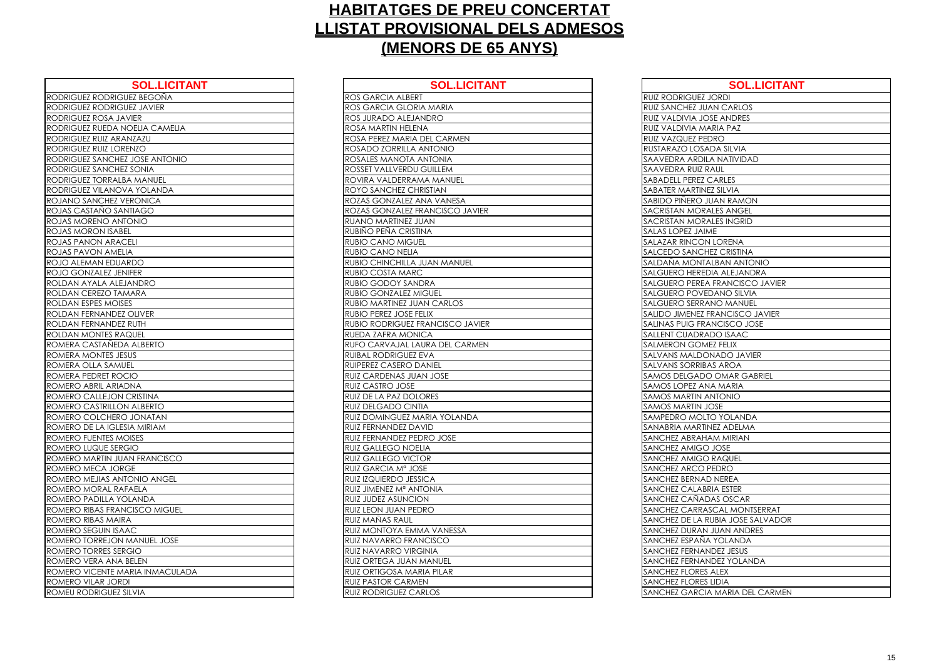| <b>SOL.LICITANT</b>             | <b>SOL.LI</b>                |
|---------------------------------|------------------------------|
| RODRIGUEZ RODRIGUEZ BEGOÑA      | ROS GARCIA ALBERT            |
| RODRIGUEZ RODRIGUEZ JAVIER      | ROS GARCIA GLORIA MARIA      |
| RODRIGUEZ ROSA JAVIER           | ROS JURADO ALEJANDRO         |
| RODRIGUEZ RUEDA NOELIA CAMELIA  | ROSA MARTIN HELENA           |
| RODRIGUEZ RUIZ ARANZAZU         | ROSA PEREZ MARIA DEL CARMEN  |
| RODRIGUEZ RUIZ LORENZO          | ROSADO ZORRILLA ANTONIO      |
| RODRIGUEZ SANCHEZ JOSE ANTONIO  | ROSALES MANOTA ANTONIA       |
| RODRIGUEZ SANCHEZ SONIA         | ROSSET VALLVERDU GUILLEM     |
| RODRIGUEZ TORRALBA MANUEL       | ROVIRA VALDERRAMA MANUEL     |
| RODRIGUEZ VILANOVA YOLANDA      | ROYO SANCHEZ CHRISTIAN       |
| ROJANO SANCHEZ VERONICA         | ROZAS GONZALEZ ANA VANESA    |
| ROJAS CASTAÑO SANTIAGO          | ROZAS GONZALEZ FRANCISCO JA  |
| ROJAS MORENO ANTONIO            | RUANO MARTINEZ JUAN          |
| ROJAS MORON ISABEL              | RUBIÑO PEÑA CRISTINA         |
| <b>ROJAS PANON ARACELI</b>      | <b>RUBIO CANO MIGUEL</b>     |
| ROJAS PAVON AMELIA              | RUBIO CANO NELIA             |
| ROJO ALEMAN EDUARDO             | RUBIO CHINCHILLA JUAN MANUE  |
| ROJO GONZALEZ JENIFER           | RUBIO COSTA MARC             |
| ROLDAN AYALA ALEJANDRO          | RUBIO GODOY SANDRA           |
| ROLDAN CEREZO TAMARA            | <b>RUBIO GONZALEZ MIGUEL</b> |
| ROLDAN ESPES MOISES             | RUBIO MARTINEZ JUAN CARLOS   |
| ROLDAN FERNANDEZ OLIVER         | RUBIO PEREZ JOSE FELIX       |
| ROLDAN FERNANDEZ RUTH           | RUBIO RODRIGUEZ FRANCISCO J. |
| ROLDAN MONTES RAQUEL            | RUEDA ZAFRA MONICA           |
| ROMERA CASTAÑEDA ALBERTO        | RUFO CARVAJAL LAURA DEL CAF  |
| ROMERA MONTES JESUS             | RUIBAL RODRIGUEZ EVA         |
| ROMERA OLLA SAMUEL              | RUIPEREZ CASERO DANIEL       |
| ROMERA PEDRET ROCIO             | RUIZ CARDENAS JUAN JOSE      |
| ROMERO ABRIL ARIADNA            | RUIZ CASTRO JOSE             |
| ROMERO CALLEJON CRISTINA        | RUIZ DE LA PAZ DOLORES       |
| ROMERO CASTRILLON ALBERTO       | RUIZ DELGADO CINTIA          |
| ROMERO COLCHERO JONATAN         | RUIZ DOMINGUEZ MARIA YOLANI  |
| ROMERO DE LA IGLESIA MIRIAM     | <b>RUIZ FERNANDEZ DAVID</b>  |
| ROMERO FUENTES MOISES           | RUIZ FERNANDEZ PEDRO JOSE    |
| ROMERO LUQUE SERGIO             | RUIZ GALLEGO NOELIA          |
| ROMERO MARTIN JUAN FRANCISCO    | <b>RUIZ GALLEGO VICTOR</b>   |
| ROMERO MECA JORGE               | RUIZ GARCIA Mª JOSE          |
| ROMERO MEJIAS ANTONIO ANGEL     | RUIZ IZQUIERDO JESSICA       |
| ROMERO MORAL RAFAELA            | RUIZ JIMENEZ Mª ANTONIA      |
| ROMERO PADILLA YOLANDA          | RUIZ JUDEZ ASUNCION          |
| ROMERO RIBAS FRANCISCO MIGUEL   | RUIZ LEON JUAN PEDRO         |
| ROMERO RIBAS MAIRA              | RUIZ MAÑAS RAUL              |
| ROMERO SEGUIN ISAAC             | RUIZ MONTOYA EMMA VANESSA    |
| ROMERO TORREJON MANUEL JOSE     | RUIZ NAVARRO FRANCISCO       |
| ROMERO TORRES SERGIO            | RUIZ NAVARRO VIRGINIA        |
| ROMERO VERA ANA BELEN           | RUIZ ORTEGA JUAN MANUEL      |
| ROMERO VICENTE MARIA INMACULADA | RUIZ ORTIGOSA MARIA PILAR    |
| ROMERO VILAR JORDI              | <b>RUIZ PASTOR CARMEN</b>    |
| ROMEU RODRIGUEZ SILVIA          | <b>RUIZ RODRIGUEZ CARLOS</b> |

| <b>SOL.LICITANT</b>     | <b>SOL.LICITANT</b>                     | <b>SOL.LICITANT</b>                    |
|-------------------------|-----------------------------------------|----------------------------------------|
| JEZ BEGOÑA              | <b>ROS GARCIA ALBERT</b>                | <b>RUIZ RODRIGUEZ JORDI</b>            |
| <b>JEZ JAVIER</b>       | <b>ROS GARCIA GLORIA MARIA</b>          | <b>RUIZ SANCHEZ JUAN CARLOS</b>        |
| VIER                    | <b>ROS JURADO ALEJANDRO</b>             | <b>RUIZ VALDIVIA JOSE ANDRES</b>       |
| <b>OELIA CAMELIA</b>    | <b>ROSA MARTIN HELENA</b>               | RUIZ VALDIVIA MARIA PAZ                |
| <b>NZAZU</b>            | <b>ROSA PEREZ MARIA DEL CARMEN</b>      | RUIZ VAZQUEZ PEDRO                     |
| ENZO                    | <b>ROSADO ZORRILLA ANTONIO</b>          | RUSTARAZO LOSADA SILVIA                |
| <b>JOSE ANTONIO</b>     | ROSALES MANOTA ANTONIA                  | SAAVEDRA ARDILA NATIVIDAD              |
| <b>SONIA</b>            | ROSSET VALLVERDU GUILLEM                | <b>SAAVEDRA RUIZ RAUL</b>              |
| A MANUEL                | ROVIRA VALDERRAMA MANUEL                | <b>SABADELL PEREZ CARLES</b>           |
| A YOLANDA               | <b>ROYO SANCHEZ CHRISTIAN</b>           | <b>SABATER MARTINEZ SILVIA</b>         |
| <b>ERONICA</b>          | ROZAS GONZALEZ ANA VANESA               | SABIDO PIÑERO JUAN RAMON               |
| <b>VTIAGO</b>           | <b>ROZAS GONZALEZ FRANCISCO JAVIER</b>  | SACRISTAN MORALES ANGEL                |
| <b>ONIO</b>             | <b>RUANO MARTINEZ JUAN</b>              | SACRISTAN MORALES INGRID               |
| EL                      | RUBIÑO PEÑA CRISTINA                    | <b>SALAS LOPEZ JAIME</b>               |
| ELI.                    | <b>RUBIO CANO MIGUEL</b>                | <b>SALAZAR RINCON LORENA</b>           |
| ΙA                      | <b>RUBIO CANO NELIA</b>                 | <b>SALCEDO SANCHEZ CRISTINA</b>        |
| RDO.                    | RUBIO CHINCHILLA JUAN MANUEL            | SALDAÑA MONTALBAN ANTONIO              |
| <b>IIFER</b>            | <b>RUBIO COSTA MARC</b>                 | SALGUERO HEREDIA ALEJANDRA             |
| <b>ANDRO</b>            | <b>RUBIO GODOY SANDRA</b>               | SALGUERO PEREA FRANCISCO JAVIER        |
| <b>AARA</b>             | <b>RUBIO GONZALEZ MIGUEL</b>            | SALGUERO POVEDANO SILVIA               |
| $\bar{S}$               | <b>RUBIO MARTINEZ JUAN CARLOS</b>       | <b>SALGUERO SERRANO MANUEL</b>         |
| <b>OLIVER</b>           | <b>RUBIO PEREZ JOSE FELIX</b>           | SALIDO JIMENEZ FRANCISCO JAVIER        |
| <b>RUTH</b>             | <b>RUBIO RODRIGUEZ FRANCISCO JAVIER</b> | SALINAS PUIG FRANCISCO JOSE            |
| QUEL                    | <b>RUEDA ZAFRA MONICA</b>               | SALLENT CUADRADO ISAAC                 |
| A ALBERTO               | <b>RUFO CARVAJAL LAURA DEL CARMEN</b>   | <b>SALMERON GOMEZ FELIX</b>            |
| SUS                     | <b>RUIBAL RODRIGUEZ EVA</b>             | SALVANS MALDONADO JAVIER               |
| EL                      | <b>RUIPEREZ CASERO DANIEL</b>           | <b>SALVANS SORRIBAS AROA</b>           |
| CIO                     | <b>RUIZ CARDENAS JUAN JOSE</b>          | <b>SAMOS DELGADO OMAR GABRIEL</b>      |
| <b>ANC</b>              | <b>RUIZ CASTRO JOSE</b>                 | <b>SAMOS LOPEZ ANA MARIA</b>           |
| <b>CRISTINA</b>         | <b>RUIZ DE LA PAZ DOLORES</b>           | <b>SAMOS MARTIN ANTONIO</b>            |
| <b>VALBERTO</b>         | <b>RUIZ DELGADO CINTIA</b>              | SAMOS MARTIN JOSE                      |
| JONATAN                 | <b>RUIZ DOMINGUEZ MARIA YOLANDA</b>     | SAMPEDRO MOLTO YOLANDA                 |
| <b>SIA MIRIAM</b>       | <b>RUIZ FERNANDEZ DAVID</b>             | SANABRIA MARTINEZ ADELMA               |
| DISES                   | <b>RUIZ FERNANDEZ PEDRO JOSE</b>        | <b>SANCHEZ ABRAHAM MIRIAN</b>          |
| $\overline{\mathsf{G}}$ | <b>RUIZ GALLEGO NOELIA</b>              | <b>SANCHEZ AMIGO JOSE</b>              |
| AN FRANCISCO            | <b>RUIZ GALLEGO VICTOR</b>              | <b>SANCHEZ AMIGO RAQUEL</b>            |
| ЭE                      | RUIZ GARCIA Mª JOSE                     | SANCHEZ ARCO PEDRO                     |
| <b>ONIO ANGEL</b>       | <b>RUIZ IZQUIERDO JESSICA</b>           | <b>SANCHEZ BERNAD NEREA</b>            |
| <b>AELA</b>             | RUIZ JIMENEZ Mª ANTONIA                 | <b>SANCHEZ CALABRIA ESTER</b>          |
| <b>LANDA</b>            | <b>RUIZ JUDEZ ASUNCION</b>              | SANCHEZ CAÑADAS OSCAR                  |
| <b>CISCO MIGUEL</b>     | <b>RUIZ LEON JUAN PEDRO</b>             | <b>SANCHEZ CARRASCAL MONTSERRAT</b>    |
| A                       | RUIZ MAÑAS RAUL                         | SANCHEZ DE LA RUBIA JOSE SALVADOR      |
| AС                      | RUIZ MONTOYA EMMA VANESSA               | <b>SANCHEZ DURAN JUAN ANDRES</b>       |
| MANUEL JOSE             | <b>RUIZ NAVARRO FRANCISCO</b>           | SANCHEZ ESPAÑA YOLANDA                 |
| <b>GIO</b>              | <b>RUIZ NAVARRO VIRGINIA</b>            | <b>SANCHEZ FERNANDEZ JESUS</b>         |
| <b>BELEN</b>            | <b>RUIZ ORTEGA JUAN MANUEL</b>          | SANCHEZ FERNANDEZ YOLANDA              |
| ARIA INMACULADA         | <b>RUIZ ORTIGOSA MARIA PILAR</b>        | <b>SANCHEZ FLORES ALEX</b>             |
|                         | <b>RUIZ PASTOR CARMEN</b>               | <b>SANCHEZ FLORES LIDIA</b>            |
| <b>ILVIA</b>            | <b>RUIZ RODRIGUEZ CARLOS</b>            | <b>SANCHEZ GARCIA MARIA DEL CARMEN</b> |

| RUIZ RODRIGUEZ                      |
|-------------------------------------|
| RUIZ SANCHEZ JU                     |
| RUIZ VALDIVIA JO                    |
| RUIZ VALDIVIA M.                    |
| RUIZ VAZQUEZ PE                     |
| RUSTARAZO LOSA                      |
| SAAVEDRA ARDII                      |
| SAAVEDRA RUIZ F                     |
| SABADELL PEREZ                      |
| <b>SABATER MARTIN</b>               |
| SABIDO PIÑERO .                     |
| SACRISTAN MOR,                      |
| SACRISTAN MOR                       |
| SALAS LOPEZ JAII                    |
| SALAZAR RINCOI                      |
| SALCEDO SANCH                       |
| SALDAÑA MONT,                       |
| SALGUERO HEREI                      |
| <b>SALGUERO PEREA</b>               |
| <u>SALGUERO POVE</u>                |
| <b>SALGUERO SERRA</b>               |
| SALIDO JIMENEZ                      |
| SALINAS PUIG FR                     |
| SALLENT CUADRA                      |
| SALMERON GOM                        |
| <u>SALVANS MALDC</u>                |
| <b>SALVANS SORRIB</b>               |
| <b>SAMOS DELGAD</b>                 |
| SAMOS LOPEZ AN                      |
| <u>SAMOS MARTIN A</u>               |
| SAMOS MARTIN J                      |
| SAMPEDRO MOLT                       |
| SANABRIA MARTI                      |
| SANCHEZ ABRAH                       |
| SANCHEZ AMIGC                       |
| <b>HEZ AMIGC</b><br>SANC<br>SANCHEZ |
| ARCO<br>SANCHEZ BERNAI              |
| SANCHEZ CALAB                       |
| SANCHEZ CAÑAI                       |
| :HEZ<br>ARRA:<br>SANC<br>C          |
| SANCHEZ DE LA F                     |
| SANCHEZ DURAN                       |
| SANCHEZ ESPAN,                      |
| SANCHEZ FERNAI                      |
| SANCHEZ FERNAI                      |
| SANCHEZ FLORES                      |
| SANCHEZ FLORES                      |
| SANCHEZ GARCI.                      |
|                                     |

| <b>SOL.LICITANT</b>       |
|---------------------------|
| <b>ORDI</b>               |
| <b>IN CARLOS</b>          |
| SE ANDRES                 |
| RIA PAZ                   |
| )RO                       |
| DA SILVIA                 |
| A NATIVIDAD               |
| AUL                       |
| <b>CARLES</b>             |
| Z SILVIA                  |
| JAN RAMON                 |
| LES ANGEL                 |
| <b>LES INGRID</b>         |
| ١Ē                        |
| LORENA                    |
| EZ CRISTINA               |
| <b>LBAN ANTONIO</b>       |
| IA ALEJANDRA              |
| <b>FRANCISCO JAVIER</b>   |
| <b>DANO SILVIA</b>        |
| NO MANUEL                 |
| RANCISCO JAVIER           |
| NCISCO JOSE               |
| DO ISAAC                  |
| EZ FELIX                  |
| <b>VADO JAVIER</b>        |
| S AROA                    |
| <b>OMAR GABRIEL</b>       |
| A MARIA                   |
| NTONIO                    |
| <b>OSE</b>                |
| O YOLANDA                 |
| <b>IEZ ADELMA</b>         |
| <b>M MIRIAN</b>           |
| <b>JOSE</b>               |
| <b>RAQUEL</b>             |
| <b>EDRO</b>               |
| NEREA                     |
| <b>IA ESTER</b>           |
| AS OSCAR                  |
| <b>CAL MONTSERRAT</b>     |
| <b>JBIA JOSE SALVADOR</b> |
| <b>JUAN ANDRES</b>        |
| YOLANDA                   |
| DEZ JESUS                 |
| <b>DEZ YOLANDA</b>        |
| ALEX                      |
| LIDIA                     |
| MARIA DEL CARMEN          |
|                           |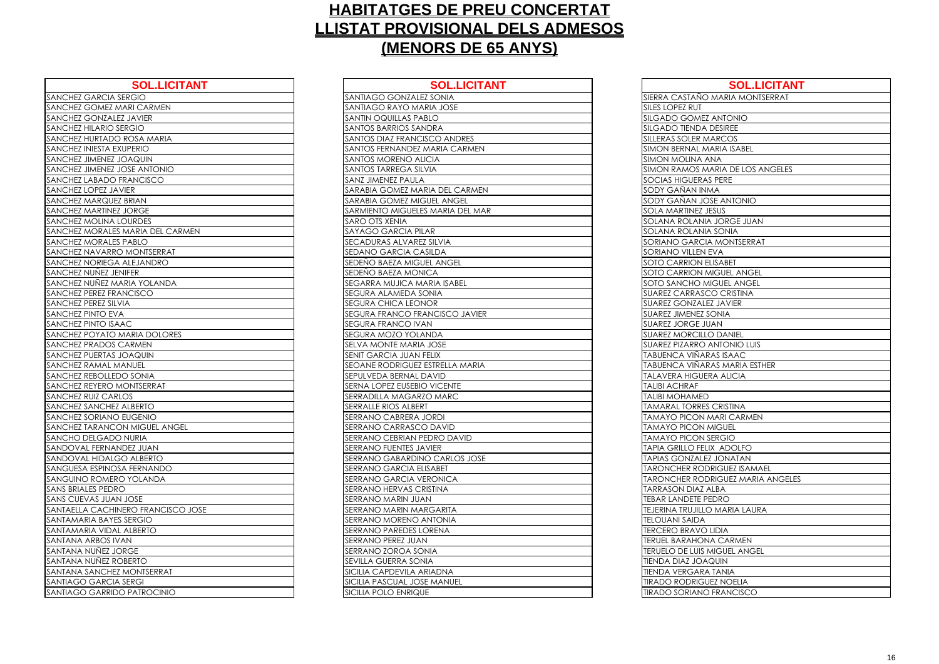| <b>SOL.LICITANT</b>                | <b>SOL.LICITA</b>                  |
|------------------------------------|------------------------------------|
| SANCHEZ GARCIA SERGIO              | SANTIAGO GONZALEZ SONIA            |
| SANCHEZ GOMEZ MARI CARMEN          | SANTIAGO RAYO MARIA JOSE           |
| SANCHEZ GONZALEZ JAVIER            | <b>SANTIN OQUILLAS PABLO</b>       |
| SANCHEZ HILARIO SERGIO             | SANTOS BARRIOS SANDRA              |
| SANCHEZ HURTADO ROSA MARIA         | SANTOS DIAZ FRANCISCO ANDRES       |
| SANCHEZ INIESTA EXUPERIO           | SANTOS FERNANDEZ MARIA CARMEN      |
| SANCHEZ JIMENEZ JOAQUIN            | SANTOS MORENO ALICIA               |
| SANCHEZ JIMENEZ JOSE ANTONIO       | SANTOS TARREGA SILVIA              |
| SANCHEZ LABADO FRANCISCO           | <b>SANZ JIMENEZ PAULA</b>          |
| SANCHEZ LOPEZ JAVIER               | SARABIA GOMEZ MARIA DEL CARMEN     |
| SANCHEZ MARQUEZ BRIAN              | SARABIA GOMEZ MIGUEL ANGEL         |
| SANCHEZ MARTINEZ JORGE             | SARMIENTO MIGUELES MARIA DEL MAR   |
| SANCHEZ MOLINA LOURDES             | SARO OTS XENIA                     |
| SANCHEZ MORALES MARIA DEL CARMEN   | <b>SAYAGO GARCIA PILAR</b>         |
| SANCHEZ MORALES PABLO              | SECADURAS ALVAREZ SILVIA           |
| SANCHEZ NAVARRO MONTSERRAT         | SEDANO GARCIA CASILDA              |
| SANCHEZ NORIEGA ALEJANDRO          | SEDEÑO BAEZA MIGUEL ANGEL          |
| SANCHEZ NUNEZ JENIFER              | SEDEÑO BAEZA MONICA                |
| SANCHEZ NUNEZ MARIA YOLANDA        | <b>SEGARRA MUJICA MARIA ISABEL</b> |
| SANCHEZ PEREZ FRANCISCO            | <b>SEGURA ALAMEDA SONIA</b>        |
| SANCHEZ PEREZ SILVIA               | <b>SEGURA CHICA LEONOR</b>         |
| SANCHEZ PINTO EVA                  | SEGURA FRANCO FRANCISCO JAVIER     |
| SANCHEZ PINTO ISAAC                | SEGURA FRANCO IVAN                 |
| SANCHEZ POYATO MARIA DOLORES       | SEGURA MOZO YOLANDA                |
| SANCHEZ PRADOS CARMEN              | SELVA MONTE MARIA JOSE             |
| SANCHEZ PUERTAS JOAQUIN            | <b>SENIT GARCIA JUAN FELIX</b>     |
| SANCHEZ RAMAL MANUEL               | SEOANE RODRIGUEZ ESTRELLA MARIA    |
| SANCHEZ REBOLLEDO SONIA            | <b>SEPULVEDA BERNAL DAVID</b>      |
| SANCHEZ REYERO MONTSERRAT          | SERNA LOPEZ EUSEBIO VICENTE        |
| <b>SANCHEZ RUIZ CARLOS</b>         | SERRADILLA MAGARZO MARC            |
| SANCHEZ SANCHEZ ALBERTO            | <b>SERRALLE RIOS ALBERT</b>        |
| SANCHEZ SORIANO EUGENIO            | SERRANO CABRERA JORDI              |
| SANCHEZ TARANCON MIGUEL ANGEL      | <b>SERRANO CARRASCO DAVID</b>      |
| SANCHO DELGADO NURIA               | <b>SERRANO CEBRIAN PEDRO DAVID</b> |
| SANDOVAL FERNANDEZ JUAN            | <b>SERRANO FUENTES JAVIER</b>      |
| SANDOVAL HIDALGO ALBERTO           | SERRANO GABARDINO CARLOS JOSE      |
| SANGUESA ESPINOSA FERNANDO         | <b>SERRANO GARCIA ELISABET</b>     |
| SANGUINO ROMERO YOLANDA            | <b>SERRANO GARCIA VERONICA</b>     |
| <b>SANS BRIALES PEDRO</b>          | SERRANO HERVAS CRISTINA            |
| SANS CUEVAS JUAN JOSE              | SERRANO MARIN JUAN                 |
| SANTAELLA CACHINERO FRANCISCO JOSE | <b>SERRANO MARIN MARGARITA</b>     |
| SANTAMARIA BAYES SERGIO            | SERRANO MORENO ANTONIA             |
| SANTAMARIA VIDAL ALBERTO           | <b>SERRANO PAREDES LORENA</b>      |
| SANTANA ARBOS IVAN                 | SERRANO PEREZ JUAN                 |
| SANTANA NUÑEZ JORGE                | SERRANO ZOROA SONIA                |
| SANTANA NUÑEZ ROBERTO              | <b>SEVILLA GUERRA SONIA</b>        |
| SANTANA SANCHEZ MONTSERRAT         | SICILIA CAPDEVILA ARIADNA          |
| SANTIAGO GARCIA SERGI              | SICILIA PASCUAL JOSE MANUEL        |
| SANTIAGO GARRIDO PATROCINIO        | SICILIA POLO ENRIQUE               |

| <b>SOL.LICITANT</b>        | <b>SOL.LICITANT</b>              | <b>SOL.LICITANT</b>                      |
|----------------------------|----------------------------------|------------------------------------------|
| SERGIO                     | SANTIAGO GONZALEZ SONIA          | SIERRA CASTAÑO MARIA MONTSERRAT          |
| <b>AARI CARMEN</b>         | SANTIAGO RAYO MARIA JOSE         | <b>SILES LOPEZ RUT</b>                   |
| EZ JAVIER                  | <b>SANTIN OQUILLAS PABLO</b>     | <b>SILGADO GOMEZ ANTONIO</b>             |
| <b>ERGIO</b>               | SANTOS BARRIOS SANDRA            | <b>SILGADO TIENDA DESIREE</b>            |
| ) ROSA MARIA               | SANTOS DIAZ FRANCISCO ANDRES     | SILLERAS SOLER MARCOS                    |
| <b>KUPERIO</b>             | SANTOS FERNANDEZ MARIA CARMEN    | <b>SIMON BERNAL MARIA ISABEL</b>         |
| <b>MIUDAOL</b>             | <b>SANTOS MORENO ALICIA</b>      | <b>SIMON MOLINA ANA</b>                  |
| <b>JOSE ANTONIO</b>        | SANTOS TARREGA SILVIA            | <b>SIMON RAMOS MARIA DE LOS ANGELES</b>  |
| <b>FRANCISCO</b>           | SANZ JIMENEZ PAULA               | <b>SOCIAS HIGUERAS PERE</b>              |
| <b>VIER</b>                | SARABIA GOMEZ MARIA DEL CARMEN   | SODY GAÑAN INMA                          |
| Z BRIAN                    | SARABIA GOMEZ MIGUEL ANGEL       | SODY GAÑAN JOSE ANTONIO                  |
| <b>JORGE</b>               | SARMIENTO MIGUELES MARIA DEL MAR | <b>SOLA MARTINEZ JESUS</b>               |
| <b>LOURDES</b>             | <b>SARO OTS XENIA</b>            | SOLANA ROLANIA JORGE JUAN                |
| <b>MARIA DEL CARMEN</b>    | <b>SAYAGO GARCIA PILAR</b>       | <b>SOLANA ROLANIA SONIA</b>              |
| SPABLO                     | SECADURAS ALVAREZ SILVIA         | SORIANO GARCIA MONTSERRAT                |
| O MONTSERRAT               | SEDANO GARCIA CASILDA            | <b>SORIANO VILLEN EVA</b>                |
| <b>ALEJANDRO</b>           | SEDEÑO BAEZA MIGUEL ANGEL        | <b>SOTO CARRION ELISABET</b>             |
| NIFER                      | SEDEÑO BAEZA MONICA              | <b>SOTO CARRION MIGUEL ANGEL</b>         |
| <b>ARIA YOLANDA</b>        | SEGARRA MUJICA MARIA ISABEL      | <b>SOTO SANCHO MIGUEL ANGEL</b>          |
| ANCISCO                    | SEGURA ALAMEDA SONIA             | <b>SUAREZ CARRASCO CRISTINA</b>          |
| VIA                        | <b>SEGURA CHICA LEONOR</b>       | <b>SUAREZ GONZALEZ JAVIER</b>            |
| A                          | SEGURA FRANCO FRANCISCO JAVIER   | <b>SUAREZ JIMENEZ SONIA</b>              |
| <b>AC</b>                  | SEGURA FRANCO IVAN               | <b>SUAREZ JORGE JUAN</b>                 |
| <b>MARIA DOLORES</b>       | SEGURA MOZO YOLANDA              | <b>SUAREZ MORCILLO DANIEL</b>            |
| CARMEN                     | SELVA MONTE MARIA JOSE           | <b>SUAREZ PIZARRO ANTONIO LUIS</b>       |
| <b>JOAQUIN</b>             | SENIT GARCIA JUAN FELIX          | TABUENCA VIÑARAS ISAAC                   |
| <b>ANUEL</b>               | SEOANE RODRIGUEZ ESTRELLA MARIA  | TABUENCA VIÑARAS MARIA ESTHER            |
| <b>DO SONIA</b>            | SEPULVEDA BERNAL DAVID           | <b>TALAVERA HIGUERA ALICIA</b>           |
| MONTSERRAT                 | SERNA LOPEZ EUSEBIO VICENTE      | <b>TALIBI ACHRAF</b>                     |
| LOS                        | SERRADILLA MAGARZO MARC          | <b>TALIBI MOHAMED</b>                    |
| ALBERTO                    | SERRALLE RIOS ALBERT             | <b>TAMARAL TORRES CRISTINA</b>           |
| <b>EUGENIO</b>             | SERRANO CABRERA JORDI            | <b>TAMAYO PICON MARI CARMEN</b>          |
| ON MIGUEL ANGEL            | SERRANO CARRASCO DAVID           | <b>TAMAYO PICON MIGUEL</b>               |
| ) NURIA                    | SERRANO CEBRIAN PEDRO DAVID      | <b>TAMAYO PICON SERGIO</b>               |
| <b>NDEZ JUAN</b>           | SERRANO FUENTES JAVIER           | TAPIA GRILLO FELIX ADOLFO                |
| <b>GO ALBERTO</b>          | SERRANO GABARDINO CARLOS JOSE    | <b>TAPIAS GONZALEZ JONATAN</b>           |
| SA FERNANDO                | SERRANO GARCIA ELISABET          | <b>TARONCHER RODRIGUEZ ISAMAEL</b>       |
| O YOLANDA                  | SERRANO GARCIA VERONICA          | <b>TARONCHER RODRIGUEZ MARIA ANGELES</b> |
| $\circ$                    | SERRANO HERVAS CRISTINA          | <b>TARRASON DIAZ ALBA</b>                |
| <b>JOSE</b>                | SERRANO MARIN JUAN               | <b>TEBAR LANDETE PEDRO</b>               |
| <b>VERO FRANCISCO JOSE</b> | SERRANO MARIN MARGARITA          | <b>TEJERINA TRUJILLO MARIA LAURA</b>     |
| S SERGIO                   | SERRANO MORENO ANTONIA           | <b>TELOUANI SAIDA</b>                    |
| L ALBERTO                  | SERRANO PAREDES LORENA           | <b>TERCERO BRAVO LIDIA</b>               |
| 'AN                        | SERRANO PEREZ JUAN               | <b>TERUEL BARAHONA CARMEN</b>            |
| <b>ORGE</b>                | SERRANO ZOROA SONIA              | <b>ITERUELO DE LUIS MIGUEL ANGEL</b>     |
| OBERTO                     | SEVILLA GUERRA SONIA             | <b>TIENDA DIAZ JOAQUIN</b>               |
| <b>MONTSERRAT</b>          | SICILIA CAPDEVILA ARIADNA        | <b>TIENDA VERGARA TANIA</b>              |
| <b>SERGI</b>               | SICILIA PASCUAL JOSE MANUEL      | <b>TIRADO RODRIGUEZ NOELIA</b>           |
| O PATROCINIO               | <b>SICILIA POLO ENRIQUE</b>      | <b>TIRADO SORIANO FRANCISCO</b>          |

| SIERRA CASTAÑO                               |
|----------------------------------------------|
| SILES LOPEZ RUT                              |
| SILGADO GOME                                 |
| <b>SILGADO TIENDA</b>                        |
| SILLERAS SOLER N                             |
| SIMON BERNAL N                               |
| SIMON MOLINA                                 |
| SIMON RAMOS N                                |
| SOCIAS HIGUERA                               |
| <u>SODY GAÑAN IN</u>                         |
| <u>SODY GAÑAN JO</u>                         |
| SOLA MARTINEZ.                               |
| <b>SOLANA ROLANI</b>                         |
| <b>SOLANA ROLANI</b>                         |
| DRIANO GARCI<br>SC                           |
| <b>SORIANO VILLEN</b>                        |
| SOTO CARRION I                               |
| SOTO CARRION                                 |
| SOTO SANCHO M                                |
| SUAREZ CARRAS                                |
| SUAREZ GONZAL                                |
| SUAREZ JIMENEZ                               |
| SUAREZ JORGE J                               |
| <b>SUAREZ MORCILL</b>                        |
| <b>SUAREZ PIZARRO</b>                        |
| TABUENCA VIÑA                                |
| TABUENCA VIÑA                                |
| <b>TALAVERA HIGUE</b>                        |
| <b>TALIBI ACHRAF</b>                         |
| <b>TALIBI MOHAMED</b>                        |
| <b>TAMARAL TORRE</b>                         |
| <b>TAMAYO PICON</b>                          |
| <b>TAMAYO PICON</b>                          |
| <b>TAMAYO PICON</b>                          |
| <b>TAPIA GRILLO FEI</b>                      |
| <b>TAPIAS GONZALE</b>                        |
| <u>TARONCHER ROI</u>                         |
| <u>TARONCHER ROI</u><br><b>TARRASON DIAZ</b> |
| <b>TEBAR LANDETE F</b>                       |
| TEJERINA TRUJILL                             |
| <b>TELOUANI SAIDA</b>                        |
| TERCERO BRAVC                                |
| <b>RUEL BARAHOI</b><br>ſE                    |
| <b>TERUELO DE LUIS</b>                       |
| <b>TIENDA DIAZ JOA</b>                       |
| <b>TIENDA VERGAR/</b>                        |
| <b>TIRADO RODRIGI</b>                        |
| <b>TIRADO SORIANO</b>                        |
|                                              |

| <b>SOL.LICITANT</b>  |
|----------------------|
|                      |
| MARIA MONTSERRAT     |
|                      |
| <b>ANTONIO</b>       |
| <b>DESIREE</b>       |
| ARCOS                |
| ARIA ISABEL          |
| <b>NA</b>            |
| ARIA DE LOS ANGELES  |
| <b>PERE</b>          |
| ٨A                   |
| SE ANTONIO           |
| <u>ESUS</u>          |
| JORGE JUAN           |
| SONIA                |
| <b>MONTSERRAT</b>    |
| VA:                  |
| <b>ISABET</b>        |
| <b>IGUEL ANGEL</b>   |
| <b>GUEL ANGEL</b>    |
| O CRISTINA           |
| Z JAVIER             |
| <b>ONIA</b>          |
| AN                   |
| D DANIEL             |
| <b>NTONIO LUIS</b>   |
| AS ISAAC             |
| AS MARIA ESTHER      |
| A ALICIA             |
|                      |
|                      |
| <b>CRISTINA</b>      |
| <b>AARI CARMEN</b>   |
| <b>AIGUEL</b>        |
| ERGIO                |
| X ADOLFO             |
| <b>JONATAN</b>       |
| RIGUEZ ISAMAEL       |
| RIGUEZ MARIA ANGELES |
| LBA                  |
| :DRO                 |
| <b>MARIA LAURA</b>   |
|                      |
| IDIA                 |
| A CARMEN             |
| <b>IIGUEL ANGEL</b>  |
| NIUQ                 |
| <b>TANIA</b>         |
| EZ NOELIA            |
| <b>FRANCISCO</b>     |